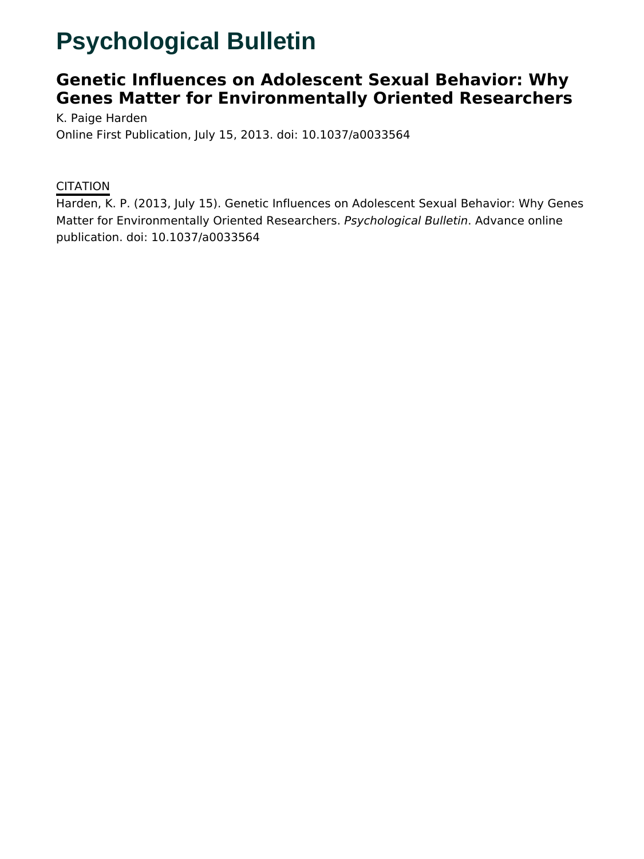# **Psychological Bulletin**

# **Genetic Influences on Adolescent Sexual Behavior: Why Genes Matter for Environmentally Oriented Researchers**

K. Paige Harden Online First Publication, July 15, 2013. doi: 10.1037/a0033564

### **CITATION**

Harden, K. P. (2013, July 15). Genetic Influences on Adolescent Sexual Behavior: Why Genes Matter for Environmentally Oriented Researchers. Psychological Bulletin. Advance online publication. doi: 10.1037/a0033564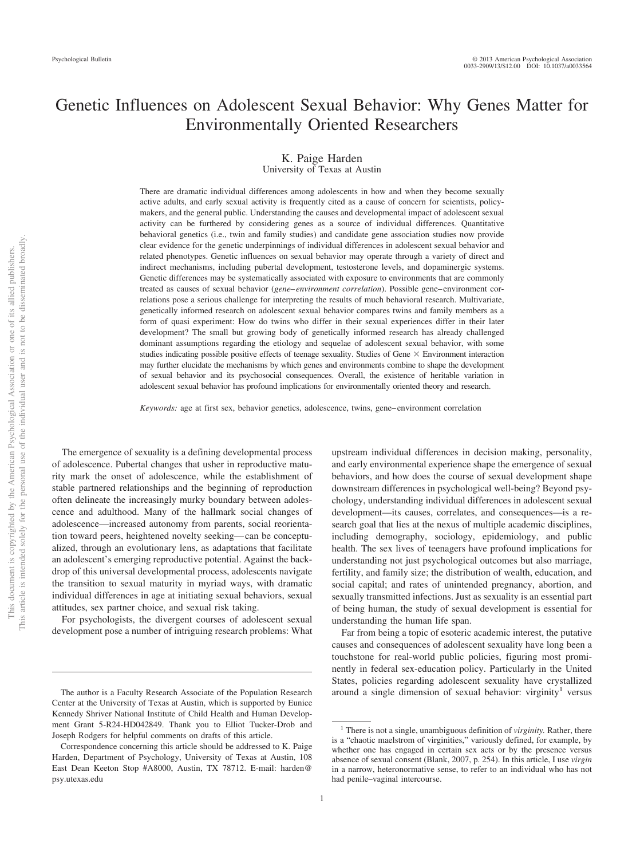## Genetic Influences on Adolescent Sexual Behavior: Why Genes Matter for Environmentally Oriented Researchers

### K. Paige Harden

University of Texas at Austin

There are dramatic individual differences among adolescents in how and when they become sexually active adults, and early sexual activity is frequently cited as a cause of concern for scientists, policymakers, and the general public. Understanding the causes and developmental impact of adolescent sexual activity can be furthered by considering genes as a source of individual differences. Quantitative behavioral genetics (i.e., twin and family studies) and candidate gene association studies now provide clear evidence for the genetic underpinnings of individual differences in adolescent sexual behavior and related phenotypes. Genetic influences on sexual behavior may operate through a variety of direct and indirect mechanisms, including pubertal development, testosterone levels, and dopaminergic systems. Genetic differences may be systematically associated with exposure to environments that are commonly treated as causes of sexual behavior (*gene– environment correlation*). Possible gene– environment correlations pose a serious challenge for interpreting the results of much behavioral research. Multivariate, genetically informed research on adolescent sexual behavior compares twins and family members as a form of quasi experiment: How do twins who differ in their sexual experiences differ in their later development? The small but growing body of genetically informed research has already challenged dominant assumptions regarding the etiology and sequelae of adolescent sexual behavior, with some studies indicating possible positive effects of teenage sexuality. Studies of Gene  $\times$  Environment interaction may further elucidate the mechanisms by which genes and environments combine to shape the development of sexual behavior and its psychosocial consequences. Overall, the existence of heritable variation in adolescent sexual behavior has profound implications for environmentally oriented theory and research.

*Keywords:* age at first sex, behavior genetics, adolescence, twins, gene– environment correlation

The emergence of sexuality is a defining developmental process of adolescence. Pubertal changes that usher in reproductive maturity mark the onset of adolescence, while the establishment of stable partnered relationships and the beginning of reproduction often delineate the increasingly murky boundary between adolescence and adulthood. Many of the hallmark social changes of adolescence—increased autonomy from parents, social reorientation toward peers, heightened novelty seeking— can be conceptualized, through an evolutionary lens, as adaptations that facilitate an adolescent's emerging reproductive potential. Against the backdrop of this universal developmental process, adolescents navigate the transition to sexual maturity in myriad ways, with dramatic individual differences in age at initiating sexual behaviors, sexual attitudes, sex partner choice, and sexual risk taking.

For psychologists, the divergent courses of adolescent sexual development pose a number of intriguing research problems: What

upstream individual differences in decision making, personality, and early environmental experience shape the emergence of sexual behaviors, and how does the course of sexual development shape downstream differences in psychological well-being? Beyond psychology, understanding individual differences in adolescent sexual development—its causes, correlates, and consequences—is a research goal that lies at the nexus of multiple academic disciplines, including demography, sociology, epidemiology, and public health. The sex lives of teenagers have profound implications for understanding not just psychological outcomes but also marriage, fertility, and family size; the distribution of wealth, education, and social capital; and rates of unintended pregnancy, abortion, and sexually transmitted infections. Just as sexuality is an essential part of being human, the study of sexual development is essential for understanding the human life span.

Far from being a topic of esoteric academic interest, the putative causes and consequences of adolescent sexuality have long been a touchstone for real-world public policies, figuring most prominently in federal sex-education policy. Particularly in the United States, policies regarding adolescent sexuality have crystallized around a single dimension of sexual behavior: virginity<sup>1</sup> versus

The author is a Faculty Research Associate of the Population Research Center at the University of Texas at Austin, which is supported by Eunice Kennedy Shriver National Institute of Child Health and Human Development Grant 5-R24-HD042849. Thank you to Elliot Tucker-Drob and Joseph Rodgers for helpful comments on drafts of this article.

Correspondence concerning this article should be addressed to K. Paige Harden, Department of Psychology, University of Texas at Austin, 108 East Dean Keeton Stop #A8000, Austin, TX 78712. E-mail: harden@ psy.utexas.edu

<sup>1</sup> There is not a single, unambiguous definition of *virginity.* Rather, there is a "chaotic maelstrom of virginities," variously defined, for example, by whether one has engaged in certain sex acts or by the presence versus absence of sexual consent (Blank, 2007, p. 254). In this article, I use *virgin* in a narrow, heteronormative sense, to refer to an individual who has not had penile–vaginal intercourse.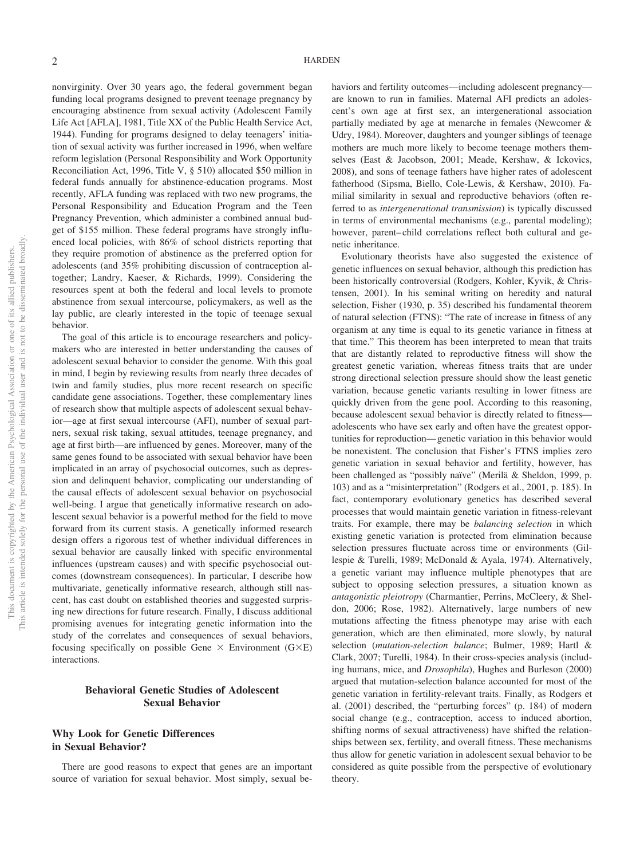nonvirginity. Over 30 years ago, the federal government began funding local programs designed to prevent teenage pregnancy by encouraging abstinence from sexual activity (Adolescent Family Life Act [AFLA], 1981, Title XX of the Public Health Service Act, 1944). Funding for programs designed to delay teenagers' initiation of sexual activity was further increased in 1996, when welfare reform legislation (Personal Responsibility and Work Opportunity Reconciliation Act, 1996, Title V, § 510) allocated \$50 million in federal funds annually for abstinence-education programs. Most recently, AFLA funding was replaced with two new programs, the Personal Responsibility and Education Program and the Teen Pregnancy Prevention, which administer a combined annual budget of \$155 million. These federal programs have strongly influenced local policies, with 86% of school districts reporting that they require promotion of abstinence as the preferred option for adolescents (and 35% prohibiting discussion of contraception altogether; Landry, Kaeser, & Richards, 1999). Considering the resources spent at both the federal and local levels to promote abstinence from sexual intercourse, policymakers, as well as the lay public, are clearly interested in the topic of teenage sexual behavior.

The goal of this article is to encourage researchers and policymakers who are interested in better understanding the causes of adolescent sexual behavior to consider the genome. With this goal in mind, I begin by reviewing results from nearly three decades of twin and family studies, plus more recent research on specific candidate gene associations. Together, these complementary lines of research show that multiple aspects of adolescent sexual behavior—age at first sexual intercourse (AFI), number of sexual partners, sexual risk taking, sexual attitudes, teenage pregnancy, and age at first birth—are influenced by genes. Moreover, many of the same genes found to be associated with sexual behavior have been implicated in an array of psychosocial outcomes, such as depression and delinquent behavior, complicating our understanding of the causal effects of adolescent sexual behavior on psychosocial well-being. I argue that genetically informative research on adolescent sexual behavior is a powerful method for the field to move forward from its current stasis. A genetically informed research design offers a rigorous test of whether individual differences in sexual behavior are causally linked with specific environmental influences (upstream causes) and with specific psychosocial outcomes (downstream consequences). In particular, I describe how multivariate, genetically informative research, although still nascent, has cast doubt on established theories and suggested surprising new directions for future research. Finally, I discuss additional promising avenues for integrating genetic information into the study of the correlates and consequences of sexual behaviors, focusing specifically on possible Gene  $\times$  Environment (G $\times$ E) interactions.

#### **Behavioral Genetic Studies of Adolescent Sexual Behavior**

#### **Why Look for Genetic Differences in Sexual Behavior?**

There are good reasons to expect that genes are an important source of variation for sexual behavior. Most simply, sexual behaviors and fertility outcomes—including adolescent pregnancy are known to run in families. Maternal AFI predicts an adolescent's own age at first sex, an intergenerational association partially mediated by age at menarche in females (Newcomer & Udry, 1984). Moreover, daughters and younger siblings of teenage mothers are much more likely to become teenage mothers themselves (East & Jacobson, 2001; Meade, Kershaw, & Ickovics, 2008), and sons of teenage fathers have higher rates of adolescent fatherhood (Sipsma, Biello, Cole-Lewis, & Kershaw, 2010). Familial similarity in sexual and reproductive behaviors (often referred to as *intergenerational transmission*) is typically discussed in terms of environmental mechanisms (e.g., parental modeling); however, parent– child correlations reflect both cultural and genetic inheritance.

Evolutionary theorists have also suggested the existence of genetic influences on sexual behavior, although this prediction has been historically controversial (Rodgers, Kohler, Kyvik, & Christensen, 2001). In his seminal writing on heredity and natural selection, Fisher (1930, p. 35) described his fundamental theorem of natural selection (FTNS): "The rate of increase in fitness of any organism at any time is equal to its genetic variance in fitness at that time." This theorem has been interpreted to mean that traits that are distantly related to reproductive fitness will show the greatest genetic variation, whereas fitness traits that are under strong directional selection pressure should show the least genetic variation, because genetic variants resulting in lower fitness are quickly driven from the gene pool. According to this reasoning, because adolescent sexual behavior is directly related to fitness adolescents who have sex early and often have the greatest opportunities for reproduction— genetic variation in this behavior would be nonexistent. The conclusion that Fisher's FTNS implies zero genetic variation in sexual behavior and fertility, however, has been challenged as "possibly naïve" (Merilä & Sheldon, 1999, p. 103) and as a "misinterpretation" (Rodgers et al., 2001, p. 185). In fact, contemporary evolutionary genetics has described several processes that would maintain genetic variation in fitness-relevant traits. For example, there may be *balancing selection* in which existing genetic variation is protected from elimination because selection pressures fluctuate across time or environments (Gillespie & Turelli, 1989; McDonald & Ayala, 1974). Alternatively, a genetic variant may influence multiple phenotypes that are subject to opposing selection pressures, a situation known as *antagonistic pleiotropy* (Charmantier, Perrins, McCleery, & Sheldon, 2006; Rose, 1982). Alternatively, large numbers of new mutations affecting the fitness phenotype may arise with each generation, which are then eliminated, more slowly, by natural selection (*mutation-selection balance*; Bulmer, 1989; Hartl & Clark, 2007; Turelli, 1984). In their cross-species analysis (including humans, mice, and *Drosophila*), Hughes and Burleson (2000) argued that mutation-selection balance accounted for most of the genetic variation in fertility-relevant traits. Finally, as Rodgers et al. (2001) described, the "perturbing forces" (p. 184) of modern social change (e.g., contraception, access to induced abortion, shifting norms of sexual attractiveness) have shifted the relationships between sex, fertility, and overall fitness. These mechanisms thus allow for genetic variation in adolescent sexual behavior to be considered as quite possible from the perspective of evolutionary theory.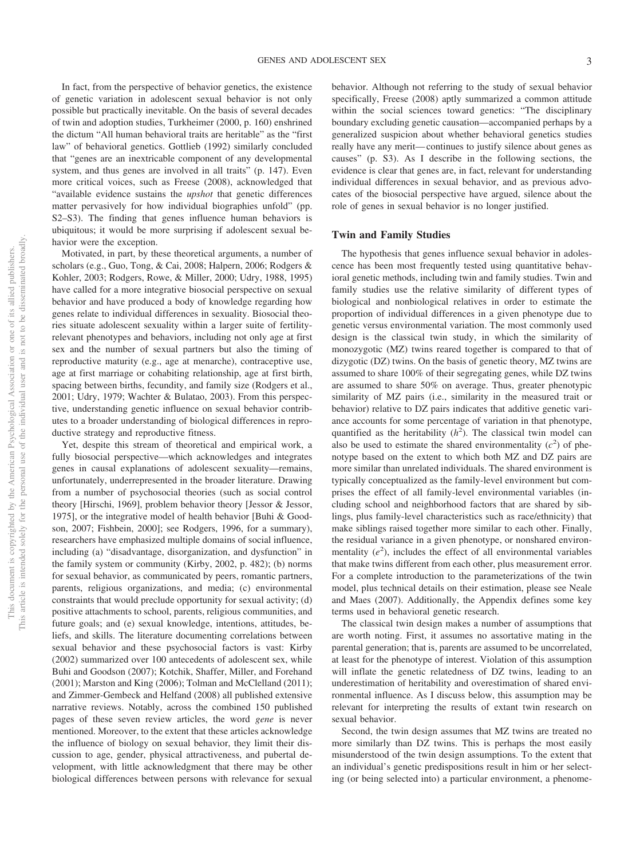In fact, from the perspective of behavior genetics, the existence of genetic variation in adolescent sexual behavior is not only possible but practically inevitable. On the basis of several decades of twin and adoption studies, Turkheimer (2000, p. 160) enshrined the dictum "All human behavioral traits are heritable" as the "first law" of behavioral genetics. Gottlieb (1992) similarly concluded that "genes are an inextricable component of any developmental system, and thus genes are involved in all traits" (p. 147). Even more critical voices, such as Freese (2008), acknowledged that "available evidence sustains the *upshot* that genetic differences matter pervasively for how individual biographies unfold" (pp. S2–S3). The finding that genes influence human behaviors is ubiquitous; it would be more surprising if adolescent sexual behavior were the exception.

Motivated, in part, by these theoretical arguments, a number of scholars (e.g., Guo, Tong, & Cai, 2008; Halpern, 2006; Rodgers & Kohler, 2003; Rodgers, Rowe, & Miller, 2000; Udry, 1988, 1995) have called for a more integrative biosocial perspective on sexual behavior and have produced a body of knowledge regarding how genes relate to individual differences in sexuality. Biosocial theories situate adolescent sexuality within a larger suite of fertilityrelevant phenotypes and behaviors, including not only age at first sex and the number of sexual partners but also the timing of reproductive maturity (e.g., age at menarche), contraceptive use, age at first marriage or cohabiting relationship, age at first birth, spacing between births, fecundity, and family size (Rodgers et al., 2001; Udry, 1979; Wachter & Bulatao, 2003). From this perspective, understanding genetic influence on sexual behavior contributes to a broader understanding of biological differences in reproductive strategy and reproductive fitness.

Yet, despite this stream of theoretical and empirical work, a fully biosocial perspective—which acknowledges and integrates genes in causal explanations of adolescent sexuality—remains, unfortunately, underrepresented in the broader literature. Drawing from a number of psychosocial theories (such as social control theory [Hirschi, 1969], problem behavior theory [Jessor & Jessor, 1975], or the integrative model of health behavior [Buhi & Goodson, 2007; Fishbein, 2000]; see Rodgers, 1996, for a summary), researchers have emphasized multiple domains of social influence, including (a) "disadvantage, disorganization, and dysfunction" in the family system or community (Kirby, 2002, p. 482); (b) norms for sexual behavior, as communicated by peers, romantic partners, parents, religious organizations, and media; (c) environmental constraints that would preclude opportunity for sexual activity; (d) positive attachments to school, parents, religious communities, and future goals; and (e) sexual knowledge, intentions, attitudes, beliefs, and skills. The literature documenting correlations between sexual behavior and these psychosocial factors is vast: Kirby (2002) summarized over 100 antecedents of adolescent sex, while Buhi and Goodson (2007); Kotchik, Shaffer, Miller, and Forehand (2001); Marston and King (2006); Tolman and McClelland (2011); and Zimmer-Gembeck and Helfand (2008) all published extensive narrative reviews. Notably, across the combined 150 published pages of these seven review articles, the word *gene* is never mentioned. Moreover, to the extent that these articles acknowledge the influence of biology on sexual behavior, they limit their discussion to age, gender, physical attractiveness, and pubertal development, with little acknowledgment that there may be other biological differences between persons with relevance for sexual behavior. Although not referring to the study of sexual behavior specifically, Freese (2008) aptly summarized a common attitude within the social sciences toward genetics: "The disciplinary boundary excluding genetic causation—accompanied perhaps by a generalized suspicion about whether behavioral genetics studies really have any merit— continues to justify silence about genes as causes" (p. S3). As I describe in the following sections, the evidence is clear that genes are, in fact, relevant for understanding individual differences in sexual behavior, and as previous advocates of the biosocial perspective have argued, silence about the role of genes in sexual behavior is no longer justified.

#### **Twin and Family Studies**

The hypothesis that genes influence sexual behavior in adolescence has been most frequently tested using quantitative behavioral genetic methods, including twin and family studies. Twin and family studies use the relative similarity of different types of biological and nonbiological relatives in order to estimate the proportion of individual differences in a given phenotype due to genetic versus environmental variation. The most commonly used design is the classical twin study, in which the similarity of monozygotic (MZ) twins reared together is compared to that of dizygotic (DZ) twins. On the basis of genetic theory, MZ twins are assumed to share 100% of their segregating genes, while DZ twins are assumed to share 50% on average. Thus, greater phenotypic similarity of MZ pairs (i.e., similarity in the measured trait or behavior) relative to DZ pairs indicates that additive genetic variance accounts for some percentage of variation in that phenotype, quantified as the heritability  $(h^2)$ . The classical twin model can also be used to estimate the shared environmentality  $(c^2)$  of phenotype based on the extent to which both MZ and DZ pairs are more similar than unrelated individuals. The shared environment is typically conceptualized as the family-level environment but comprises the effect of all family-level environmental variables (including school and neighborhood factors that are shared by siblings, plus family-level characteristics such as race/ethnicity) that make siblings raised together more similar to each other. Finally, the residual variance in a given phenotype, or nonshared environmentality  $(e^2)$ , includes the effect of all environmental variables that make twins different from each other, plus measurement error. For a complete introduction to the parameterizations of the twin model, plus technical details on their estimation, please see Neale and Maes (2007). Additionally, the Appendix defines some key terms used in behavioral genetic research.

The classical twin design makes a number of assumptions that are worth noting. First, it assumes no assortative mating in the parental generation; that is, parents are assumed to be uncorrelated, at least for the phenotype of interest. Violation of this assumption will inflate the genetic relatedness of DZ twins, leading to an underestimation of heritability and overestimation of shared environmental influence. As I discuss below, this assumption may be relevant for interpreting the results of extant twin research on sexual behavior.

Second, the twin design assumes that MZ twins are treated no more similarly than DZ twins. This is perhaps the most easily misunderstood of the twin design assumptions. To the extent that an individual's genetic predispositions result in him or her selecting (or being selected into) a particular environment, a phenome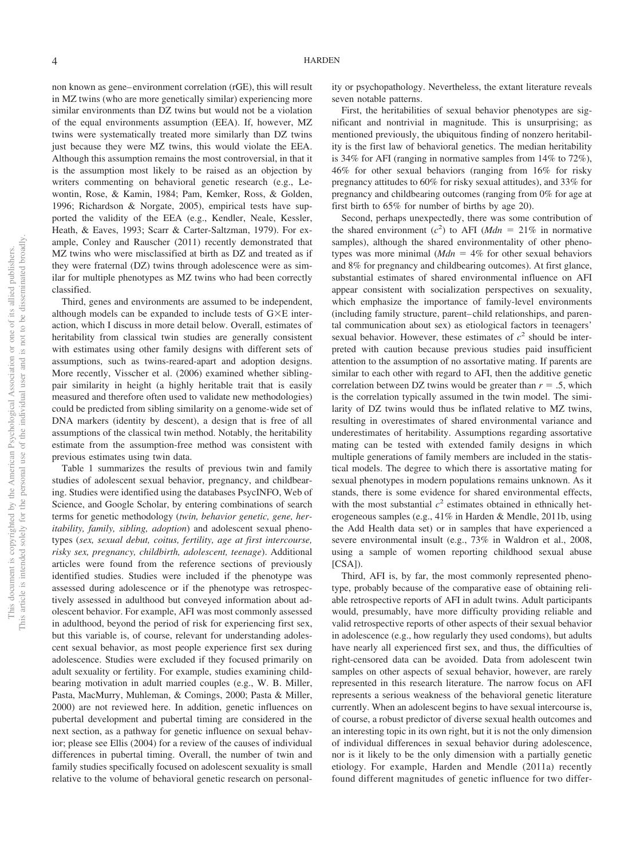non known as gene– environment correlation (rGE), this will result in MZ twins (who are more genetically similar) experiencing more similar environments than DZ twins but would not be a violation of the equal environments assumption (EEA). If, however, MZ twins were systematically treated more similarly than DZ twins just because they were MZ twins, this would violate the EEA. Although this assumption remains the most controversial, in that it is the assumption most likely to be raised as an objection by writers commenting on behavioral genetic research (e.g., Lewontin, Rose, & Kamin, 1984; Pam, Kemker, Ross, & Golden, 1996; Richardson & Norgate, 2005), empirical tests have supported the validity of the EEA (e.g., Kendler, Neale, Kessler, Heath, & Eaves, 1993; Scarr & Carter-Saltzman, 1979). For example, Conley and Rauscher (2011) recently demonstrated that MZ twins who were misclassified at birth as DZ and treated as if they were fraternal (DZ) twins through adolescence were as similar for multiple phenotypes as MZ twins who had been correctly classified.

Third, genes and environments are assumed to be independent, although models can be expanded to include tests of  $G \times E$  interaction, which I discuss in more detail below. Overall, estimates of heritability from classical twin studies are generally consistent with estimates using other family designs with different sets of assumptions, such as twins-reared-apart and adoption designs. More recently, Visscher et al. (2006) examined whether siblingpair similarity in height (a highly heritable trait that is easily measured and therefore often used to validate new methodologies) could be predicted from sibling similarity on a genome-wide set of DNA markers (identity by descent), a design that is free of all assumptions of the classical twin method. Notably, the heritability estimate from the assumption-free method was consistent with previous estimates using twin data.

Table 1 summarizes the results of previous twin and family studies of adolescent sexual behavior, pregnancy, and childbearing. Studies were identified using the databases PsycINFO, Web of Science, and Google Scholar, by entering combinations of search terms for genetic methodology (*twin, behavior genetic, gene, heritability, family, sibling, adoption*) and adolescent sexual phenotypes (*sex, sexual debut, coitus, fertility, age at first intercourse, risky sex, pregnancy, childbirth, adolescent, teenage*). Additional articles were found from the reference sections of previously identified studies. Studies were included if the phenotype was assessed during adolescence or if the phenotype was retrospectively assessed in adulthood but conveyed information about adolescent behavior. For example, AFI was most commonly assessed in adulthood, beyond the period of risk for experiencing first sex, but this variable is, of course, relevant for understanding adolescent sexual behavior, as most people experience first sex during adolescence. Studies were excluded if they focused primarily on adult sexuality or fertility. For example, studies examining childbearing motivation in adult married couples (e.g., W. B. Miller, Pasta, MacMurry, Muhleman, & Comings, 2000; Pasta & Miller, 2000) are not reviewed here. In addition, genetic influences on pubertal development and pubertal timing are considered in the next section, as a pathway for genetic influence on sexual behavior; please see Ellis (2004) for a review of the causes of individual differences in pubertal timing. Overall, the number of twin and family studies specifically focused on adolescent sexuality is small relative to the volume of behavioral genetic research on personality or psychopathology. Nevertheless, the extant literature reveals seven notable patterns.

First, the heritabilities of sexual behavior phenotypes are significant and nontrivial in magnitude. This is unsurprising; as mentioned previously, the ubiquitous finding of nonzero heritability is the first law of behavioral genetics. The median heritability is 34% for AFI (ranging in normative samples from 14% to 72%), 46% for other sexual behaviors (ranging from 16% for risky pregnancy attitudes to 60% for risky sexual attitudes), and 33% for pregnancy and childbearing outcomes (ranging from 0% for age at first birth to 65% for number of births by age 20).

Second, perhaps unexpectedly, there was some contribution of the shared environment  $(c^2)$  to AFI (*Mdn* = 21% in normative samples), although the shared environmentality of other phenotypes was more minimal  $(Mdn = 4\%$  for other sexual behaviors and 8% for pregnancy and childbearing outcomes). At first glance, substantial estimates of shared environmental influence on AFI appear consistent with socialization perspectives on sexuality, which emphasize the importance of family-level environments (including family structure, parent– child relationships, and parental communication about sex) as etiological factors in teenagers' sexual behavior. However, these estimates of  $c^2$  should be interpreted with caution because previous studies paid insufficient attention to the assumption of no assortative mating. If parents are similar to each other with regard to AFI, then the additive genetic correlation between DZ twins would be greater than  $r = .5$ , which is the correlation typically assumed in the twin model. The similarity of DZ twins would thus be inflated relative to MZ twins, resulting in overestimates of shared environmental variance and underestimates of heritability. Assumptions regarding assortative mating can be tested with extended family designs in which multiple generations of family members are included in the statistical models. The degree to which there is assortative mating for sexual phenotypes in modern populations remains unknown. As it stands, there is some evidence for shared environmental effects, with the most substantial  $c^2$  estimates obtained in ethnically heterogeneous samples (e.g., 41% in Harden & Mendle, 2011b, using the Add Health data set) or in samples that have experienced a severe environmental insult (e.g., 73% in Waldron et al., 2008, using a sample of women reporting childhood sexual abuse  $[CSA]$ .

Third, AFI is, by far, the most commonly represented phenotype, probably because of the comparative ease of obtaining reliable retrospective reports of AFI in adult twins. Adult participants would, presumably, have more difficulty providing reliable and valid retrospective reports of other aspects of their sexual behavior in adolescence (e.g., how regularly they used condoms), but adults have nearly all experienced first sex, and thus, the difficulties of right-censored data can be avoided. Data from adolescent twin samples on other aspects of sexual behavior, however, are rarely represented in this research literature. The narrow focus on AFI represents a serious weakness of the behavioral genetic literature currently. When an adolescent begins to have sexual intercourse is, of course, a robust predictor of diverse sexual health outcomes and an interesting topic in its own right, but it is not the only dimension of individual differences in sexual behavior during adolescence, nor is it likely to be the only dimension with a partially genetic etiology. For example, Harden and Mendle (2011a) recently found different magnitudes of genetic influence for two differ-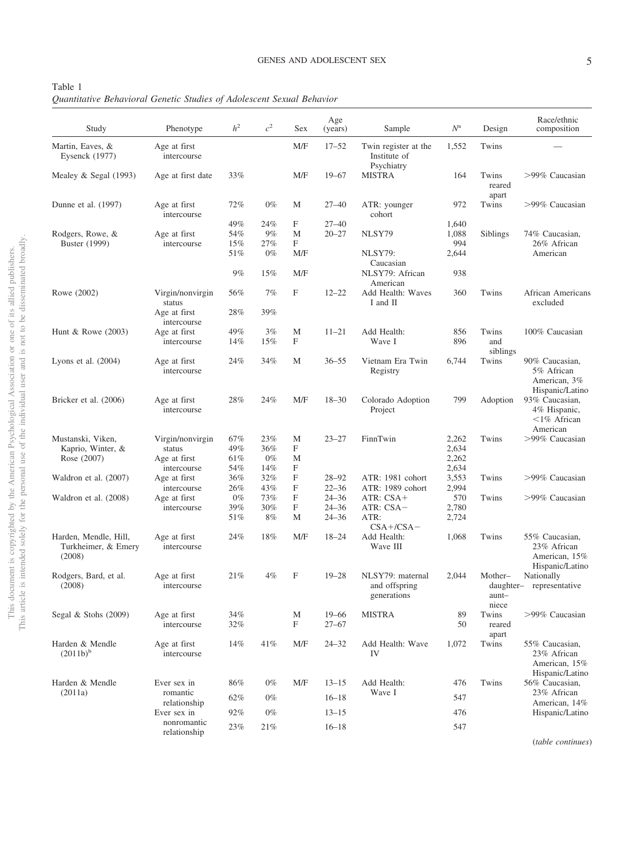| Study                                                  | Phenotype                                                  | h <sup>2</sup>           | c <sup>2</sup>             | Sex                | Age<br>(years)                      | Sample                                              | $N^{\mathrm{a}}$                 | Design                                 | Race/ethnic<br>composition                                                         |
|--------------------------------------------------------|------------------------------------------------------------|--------------------------|----------------------------|--------------------|-------------------------------------|-----------------------------------------------------|----------------------------------|----------------------------------------|------------------------------------------------------------------------------------|
| Martin, Eaves, &<br>Eysenck (1977)                     | Age at first<br>intercourse                                |                          |                            | M/F                | $17 - 52$                           | Twin register at the<br>Institute of<br>Psychiatry  | 1,552                            | Twins                                  |                                                                                    |
| Mealey & Segal (1993)                                  | Age at first date                                          | 33%                      |                            | M/F                | $19 - 67$                           | <b>MISTRA</b>                                       | 164                              | Twins<br>reared<br>apart               | >99% Caucasian                                                                     |
| Dunne et al. (1997)                                    | Age at first<br>intercourse                                | 72%                      | $0\%$                      | М                  | $27 - 40$                           | ATR: younger<br>cohort                              | 972                              | Twins                                  | >99% Caucasian                                                                     |
| Rodgers, Rowe, &<br>Buster (1999)                      | Age at first<br>intercourse                                | 49%<br>54%<br>15%<br>51% | 24%<br>9%<br>27%<br>$0\%$  | F<br>М<br>F<br>M/F | $27 - 40$<br>$20 - 27$              | NLSY79<br><b>NLSY79:</b><br>Caucasian               | 1,640<br>1,088<br>994<br>2,644   | <b>Siblings</b>                        | 74% Caucasian,<br>26% African<br>American                                          |
|                                                        |                                                            | 9%                       | 15%                        | M/F                |                                     | NLSY79: African<br>American                         | 938                              |                                        |                                                                                    |
| Rowe (2002)                                            | Virgin/nonvirgin<br>status                                 | 56%<br>28%               | 7%<br>39%                  | F                  | $12 - 22$                           | Add Health: Waves<br>I and II                       | 360                              | Twins                                  | African Americans<br>excluded                                                      |
| Hunt & Rowe (2003)                                     | Age at first<br>intercourse<br>Age at first<br>intercourse | 49%<br>14%               | 3%<br>15%                  | М<br>F             | $11 - 21$                           | Add Health:<br>Wave I                               | 856<br>896                       | Twins<br>and                           | 100% Caucasian                                                                     |
| Lyons et al. $(2004)$                                  | Age at first<br>intercourse                                | 24%                      | 34%                        | М                  | $36 - 55$                           | Vietnam Era Twin<br>Registry                        | 6,744                            | siblings<br>Twins                      | 90% Caucasian.<br>5% African<br>American, 3%                                       |
| Bricker et al. (2006)                                  | Age at first<br>intercourse                                | 28%                      | 24%                        | M/F                | $18 - 30$                           | Colorado Adoption<br>Project                        | 799                              | Adoption                               | Hispanic/Latino<br>93% Caucasian,<br>4% Hispanic,<br>$\leq$ 1% African<br>American |
| Mustanski, Viken,<br>Kaprio, Winter, &<br>Rose (2007)  | Virgin/nonvirgin<br>status<br>Age at first<br>intercourse  | 67%<br>49%<br>61%<br>54% | 23%<br>36%<br>$0\%$<br>14% | М<br>F<br>М<br>F   | $23 - 27$                           | FinnTwin                                            | 2,262<br>2,634<br>2,262<br>2,634 | Twins                                  | >99% Caucasian                                                                     |
| Waldron et al. (2007)                                  | Age at first<br>intercourse                                | 36%<br>26%               | 32%<br>43%                 | F<br>F             | $28 - 92$<br>$22 - 36$              | ATR: 1981 cohort<br>ATR: 1989 cohort                | 3,553<br>2,994                   | Twins                                  | >99% Caucasian                                                                     |
| Waldron et al. (2008)                                  | Age at first<br>intercourse                                | $0\%$<br>39%<br>51%      | 73%<br>30%<br>8%           | F<br>F<br>М        | $24 - 36$<br>$24 - 36$<br>$24 - 36$ | $ATR: CSA+$<br>ATR: CSA-<br>ATR:<br>$CSA + / CSA -$ | 570<br>2,780<br>2,724            | Twins                                  | >99% Caucasian                                                                     |
| Harden, Mendle, Hill,<br>Turkheimer, & Emery<br>(2008) | Age at first<br>intercourse                                | 24%                      | 18%                        | M/F                | $18 - 24$                           | Add Health:<br>Wave III                             | 1,068                            | Twins                                  | 55% Caucasian,<br>23% African<br>American, 15%<br>Hispanic/Latino                  |
| Rodgers, Bard, et al.<br>(2008)                        | Age at first<br>intercourse                                | 21%                      | 4%                         | F                  | $19 - 28$                           | NLSY79: maternal<br>and offspring<br>generations    | 2,044                            | Mother-<br>daughter-<br>aunt-<br>niece | Nationally<br>representative                                                       |
| Segal & Stohs (2009)                                   | Age at first<br>intercourse                                | 34%<br>32%               |                            | М<br>F             | $19 - 66$<br>$27 - 67$              | MISTRA                                              | 89<br>50                         | Twins<br>reared                        | >99% Caucasian                                                                     |
| Harden & Mendle<br>$(2011b)^{b}$                       | Age at first<br>intercourse                                | 14%                      | 41%                        | M/F                | $24 - 32$                           | Add Health: Wave<br>IV                              | 1,072                            | apart<br>Twins                         | 55% Caucasian,<br>23% African<br>American, 15%<br>Hispanic/Latino                  |
| Harden & Mendle<br>(2011a)                             | Ever sex in<br>romantic                                    | 86%                      | $0\%$                      | M/F                | $13 - 15$                           | Add Health:<br>Wave I                               | 476                              | Twins                                  | 56% Caucasian,<br>23% African                                                      |
|                                                        | relationship                                               | 62%                      | $0\%$                      |                    | $16 - 18$                           |                                                     | 547                              |                                        | American, 14%                                                                      |
|                                                        | Ever sex in<br>nonromantic                                 | 92%                      | $0\%$                      |                    | $13 - 15$                           |                                                     | 476                              |                                        | Hispanic/Latino                                                                    |
|                                                        | relationship                                               | 23%                      | 21%                        |                    | $16 - 18$                           |                                                     | 547                              |                                        |                                                                                    |

(*table continues*)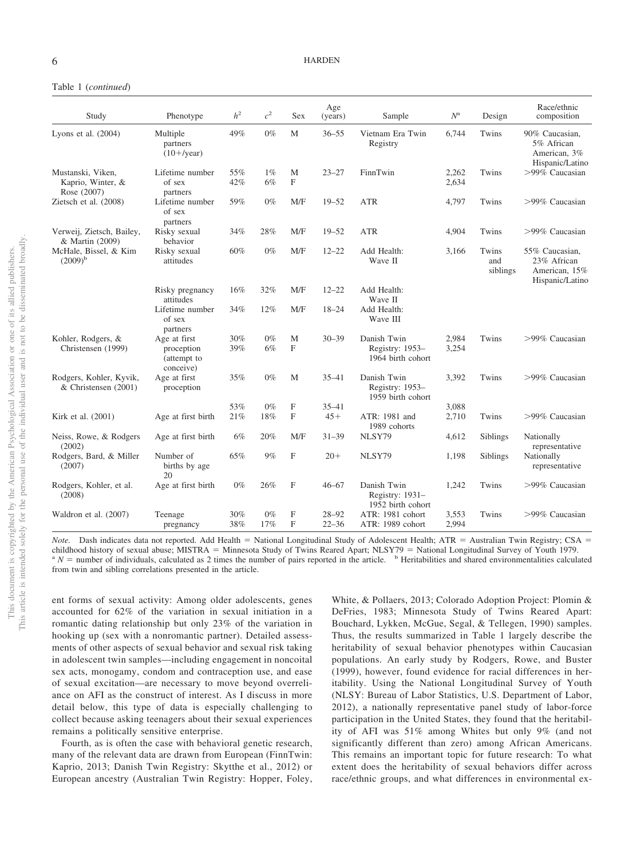#### Table 1 (*continued*)

| Study                                                 | Phenotype                                              | h <sup>2</sup> | c <sup>2</sup> | Sex               | Age<br>(years)         | Sample                                              | $N^{\mathrm{a}}$ | Design                   | Race/ethnic<br>composition                                        |
|-------------------------------------------------------|--------------------------------------------------------|----------------|----------------|-------------------|------------------------|-----------------------------------------------------|------------------|--------------------------|-------------------------------------------------------------------|
| Lyons et al. $(2004)$                                 | Multiple<br>partners<br>$(10 + / \text{year})$         | 49%            | $0\%$          | M                 | $36 - 55$              | Vietnam Era Twin<br>Registry                        | 6.744            | Twins                    | 90% Caucasian.<br>5% African<br>American, 3%<br>Hispanic/Latino   |
| Mustanski, Viken,<br>Kaprio, Winter, &<br>Rose (2007) | Lifetime number<br>of sex<br>partners                  | 55%<br>42%     | $1\%$<br>6%    | M<br>F            | $23 - 27$              | FinnTwin                                            | 2,262<br>2,634   | Twins                    | >99% Caucasian                                                    |
| Zietsch et al. (2008)                                 | Lifetime number<br>of sex<br>partners                  | 59%            | $0\%$          | M/F               | $19 - 52$              | <b>ATR</b>                                          | 4,797            | Twins                    | >99% Caucasian                                                    |
| Verweij, Zietsch, Bailey,<br>& Martin (2009)          | Risky sexual<br>behavior                               | 34%            | 28%            | M/F               | $19 - 52$              | <b>ATR</b>                                          | 4,904            | Twins                    | >99% Caucasian                                                    |
| McHale, Bissel, & Kim<br>$(2009)^{b}$                 | Risky sexual<br>attitudes                              | 60%            | $0\%$          | M/F               | $12 - 22$              | Add Health:<br>Wave II                              | 3,166            | Twins<br>and<br>siblings | 55% Caucasian,<br>23% African<br>American, 15%<br>Hispanic/Latino |
|                                                       | Risky pregnancy<br>attitudes                           | 16%            | 32%            | M/F               | $12 - 22$              | Add Health:<br>Wave II                              |                  |                          |                                                                   |
|                                                       | Lifetime number<br>of sex<br>partners                  | 34%            | 12%            | M/F               | $18 - 24$              | Add Health:<br>Wave III                             |                  |                          |                                                                   |
| Kohler, Rodgers, &<br>Christensen (1999)              | Age at first<br>proception<br>(attempt to<br>conceive) | 30%<br>39%     | $0\%$<br>6%    | M<br>F            | $30 - 39$              | Danish Twin<br>Registry: 1953-<br>1964 birth cohort | 2,984<br>3,254   | Twins                    | >99% Caucasian                                                    |
| Rodgers, Kohler, Kyvik,<br>& Christensen (2001)       | Age at first<br>proception                             | 35%            | $0\%$          | M                 | $35 - 41$              | Danish Twin<br>Registry: 1953-<br>1959 birth cohort | 3,392            | Twins                    | >99% Caucasian                                                    |
|                                                       |                                                        | 53%            | $0\%$          | F                 | $35 - 41$              |                                                     | 3,088            |                          |                                                                   |
| Kirk et al. (2001)                                    | Age at first birth                                     | 21%            | 18%            | F                 | $45+$                  | ATR: 1981 and<br>1989 cohorts                       | 2,710            | Twins                    | >99% Caucasian                                                    |
| Neiss, Rowe, & Rodgers<br>(2002)                      | Age at first birth                                     | 6%             | 20%            | M/F               | $31 - 39$              | NLSY79                                              | 4,612            | Siblings                 | Nationally<br>representative                                      |
| Rodgers, Bard, & Miller<br>(2007)                     | Number of<br>births by age<br>20                       | 65%            | 9%             | F                 | $20+$                  | NLSY79                                              | 1,198            | Siblings                 | Nationally<br>representative                                      |
| Rodgers, Kohler, et al.<br>(2008)                     | Age at first birth                                     | $0\%$          | 26%            | F                 | $46 - 67$              | Danish Twin<br>Registry: 1931-<br>1952 birth cohort | 1,242            | Twins                    | >99% Caucasian                                                    |
| Waldron et al. (2007)                                 | Teenage<br>pregnancy                                   | 30%<br>38%     | $0\%$<br>17%   | $\mathbf{F}$<br>F | $28 - 92$<br>$22 - 36$ | ATR: 1981 cohort<br>ATR: 1989 cohort                | 3,553<br>2,994   | Twins                    | >99% Caucasian                                                    |

Note. Dash indicates data not reported. Add Health = National Longitudinal Study of Adolescent Health; ATR = Australian Twin Registry; CSA = childhood history of sexual abuse;  $MISTRA =$  Minnesota Study of Twins Reared Apart;  $NLSY79 =$ childhood history of sexual abuse; MISTRA = Minnesota Study of Twins Reared Apart; NLSY79 = National Longitudinal Survey of Youth 1979.<br><sup>a</sup> N = number of individuals, calculated as 2 times the number of pairs reported in t from twin and sibling correlations presented in the article.

ent forms of sexual activity: Among older adolescents, genes accounted for 62% of the variation in sexual initiation in a romantic dating relationship but only 23% of the variation in hooking up (sex with a nonromantic partner). Detailed assessments of other aspects of sexual behavior and sexual risk taking in adolescent twin samples—including engagement in noncoital sex acts, monogamy, condom and contraception use, and ease of sexual excitation—are necessary to move beyond overreliance on AFI as the construct of interest. As I discuss in more detail below, this type of data is especially challenging to collect because asking teenagers about their sexual experiences remains a politically sensitive enterprise.

Fourth, as is often the case with behavioral genetic research, many of the relevant data are drawn from European (FinnTwin: Kaprio, 2013; Danish Twin Registry: Skytthe et al., 2012) or European ancestry (Australian Twin Registry: Hopper, Foley,

White, & Pollaers, 2013; Colorado Adoption Project: Plomin & DeFries, 1983; Minnesota Study of Twins Reared Apart: Bouchard, Lykken, McGue, Segal, & Tellegen, 1990) samples. Thus, the results summarized in Table 1 largely describe the heritability of sexual behavior phenotypes within Caucasian populations. An early study by Rodgers, Rowe, and Buster (1999), however, found evidence for racial differences in heritability. Using the National Longitudinal Survey of Youth (NLSY: Bureau of Labor Statistics, U.S. Department of Labor, 2012), a nationally representative panel study of labor-force participation in the United States, they found that the heritability of AFI was 51% among Whites but only 9% (and not significantly different than zero) among African Americans. This remains an important topic for future research: To what extent does the heritability of sexual behaviors differ across race/ethnic groups, and what differences in environmental ex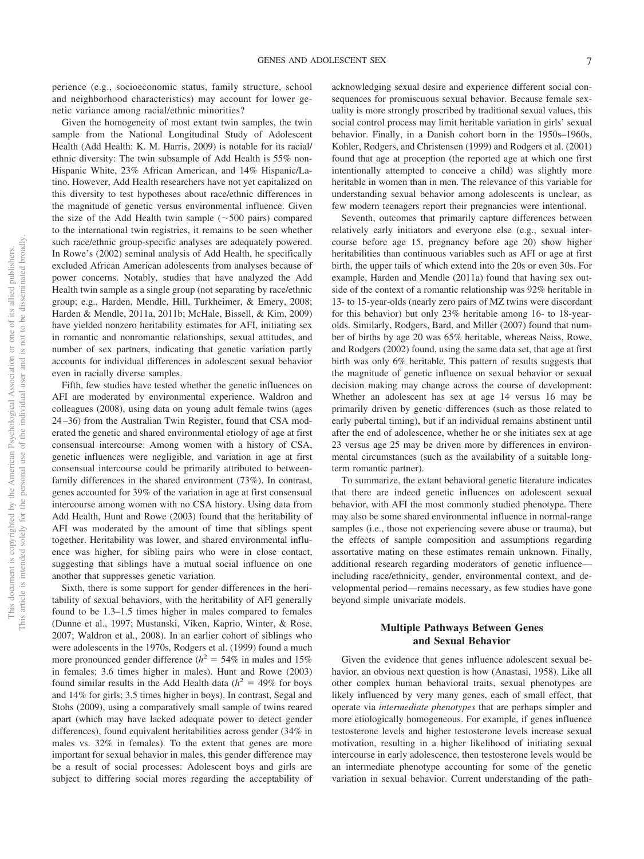perience (e.g., socioeconomic status, family structure, school and neighborhood characteristics) may account for lower genetic variance among racial/ethnic minorities?

Given the homogeneity of most extant twin samples, the twin sample from the National Longitudinal Study of Adolescent Health (Add Health: K. M. Harris, 2009) is notable for its racial/ ethnic diversity: The twin subsample of Add Health is 55% non-Hispanic White, 23% African American, and 14% Hispanic/Latino. However, Add Health researchers have not yet capitalized on this diversity to test hypotheses about race/ethnic differences in the magnitude of genetic versus environmental influence. Given the size of the Add Health twin sample  $(\sim 500 \text{ pairs})$  compared to the international twin registries, it remains to be seen whether such race/ethnic group-specific analyses are adequately powered. In Rowe's (2002) seminal analysis of Add Health, he specifically excluded African American adolescents from analyses because of power concerns. Notably, studies that have analyzed the Add Health twin sample as a single group (not separating by race/ethnic group; e.g., Harden, Mendle, Hill, Turkheimer, & Emery, 2008; Harden & Mendle, 2011a, 2011b; McHale, Bissell, & Kim, 2009) have yielded nonzero heritability estimates for AFI, initiating sex in romantic and nonromantic relationships, sexual attitudes, and number of sex partners, indicating that genetic variation partly accounts for individual differences in adolescent sexual behavior even in racially diverse samples.

Fifth, few studies have tested whether the genetic influences on AFI are moderated by environmental experience. Waldron and colleagues (2008), using data on young adult female twins (ages 24 –36) from the Australian Twin Register, found that CSA moderated the genetic and shared environmental etiology of age at first consensual intercourse: Among women with a history of CSA, genetic influences were negligible, and variation in age at first consensual intercourse could be primarily attributed to betweenfamily differences in the shared environment (73%). In contrast, genes accounted for 39% of the variation in age at first consensual intercourse among women with no CSA history. Using data from Add Health, Hunt and Rowe (2003) found that the heritability of AFI was moderated by the amount of time that siblings spent together. Heritability was lower, and shared environmental influence was higher, for sibling pairs who were in close contact, suggesting that siblings have a mutual social influence on one another that suppresses genetic variation.

Sixth, there is some support for gender differences in the heritability of sexual behaviors, with the heritability of AFI generally found to be 1.3–1.5 times higher in males compared to females (Dunne et al., 1997; Mustanski, Viken, Kaprio, Winter, & Rose, 2007; Waldron et al., 2008). In an earlier cohort of siblings who were adolescents in the 1970s, Rodgers et al. (1999) found a much more pronounced gender difference ( $h^2 = 54\%$  in males and 15% in females; 3.6 times higher in males). Hunt and Rowe (2003) found similar results in the Add Health data  $(h^2 = 49\%$  for boys and 14% for girls; 3.5 times higher in boys). In contrast, Segal and Stohs (2009), using a comparatively small sample of twins reared apart (which may have lacked adequate power to detect gender differences), found equivalent heritabilities across gender (34% in males vs. 32% in females). To the extent that genes are more important for sexual behavior in males, this gender difference may be a result of social processes: Adolescent boys and girls are subject to differing social mores regarding the acceptability of acknowledging sexual desire and experience different social consequences for promiscuous sexual behavior. Because female sexuality is more strongly proscribed by traditional sexual values, this social control process may limit heritable variation in girls' sexual behavior. Finally, in a Danish cohort born in the 1950s–1960s, Kohler, Rodgers, and Christensen (1999) and Rodgers et al. (2001) found that age at proception (the reported age at which one first intentionally attempted to conceive a child) was slightly more heritable in women than in men. The relevance of this variable for understanding sexual behavior among adolescents is unclear, as few modern teenagers report their pregnancies were intentional.

Seventh, outcomes that primarily capture differences between relatively early initiators and everyone else (e.g., sexual intercourse before age 15, pregnancy before age 20) show higher heritabilities than continuous variables such as AFI or age at first birth, the upper tails of which extend into the 20s or even 30s. For example, Harden and Mendle (2011a) found that having sex outside of the context of a romantic relationship was 92% heritable in 13- to 15-year-olds (nearly zero pairs of MZ twins were discordant for this behavior) but only 23% heritable among 16- to 18-yearolds. Similarly, Rodgers, Bard, and Miller (2007) found that number of births by age 20 was 65% heritable, whereas Neiss, Rowe, and Rodgers (2002) found, using the same data set, that age at first birth was only 6% heritable. This pattern of results suggests that the magnitude of genetic influence on sexual behavior or sexual decision making may change across the course of development: Whether an adolescent has sex at age 14 versus 16 may be primarily driven by genetic differences (such as those related to early pubertal timing), but if an individual remains abstinent until after the end of adolescence, whether he or she initiates sex at age 23 versus age 25 may be driven more by differences in environmental circumstances (such as the availability of a suitable longterm romantic partner).

To summarize, the extant behavioral genetic literature indicates that there are indeed genetic influences on adolescent sexual behavior, with AFI the most commonly studied phenotype. There may also be some shared environmental influence in normal-range samples (i.e., those not experiencing severe abuse or trauma), but the effects of sample composition and assumptions regarding assortative mating on these estimates remain unknown. Finally, additional research regarding moderators of genetic influence including race/ethnicity, gender, environmental context, and developmental period—remains necessary, as few studies have gone beyond simple univariate models.

#### **Multiple Pathways Between Genes and Sexual Behavior**

Given the evidence that genes influence adolescent sexual behavior, an obvious next question is how (Anastasi, 1958). Like all other complex human behavioral traits, sexual phenotypes are likely influenced by very many genes, each of small effect, that operate via *intermediate phenotypes* that are perhaps simpler and more etiologically homogeneous. For example, if genes influence testosterone levels and higher testosterone levels increase sexual motivation, resulting in a higher likelihood of initiating sexual intercourse in early adolescence, then testosterone levels would be an intermediate phenotype accounting for some of the genetic variation in sexual behavior. Current understanding of the path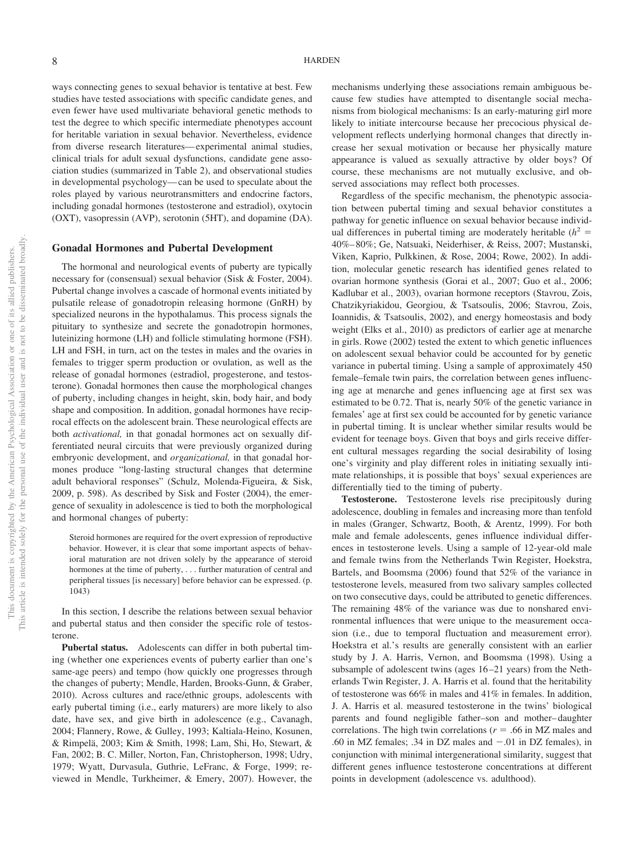ways connecting genes to sexual behavior is tentative at best. Few studies have tested associations with specific candidate genes, and even fewer have used multivariate behavioral genetic methods to test the degree to which specific intermediate phenotypes account for heritable variation in sexual behavior. Nevertheless, evidence from diverse research literatures— experimental animal studies, clinical trials for adult sexual dysfunctions, candidate gene association studies (summarized in Table 2), and observational studies in developmental psychology— can be used to speculate about the roles played by various neurotransmitters and endocrine factors, including gonadal hormones (testosterone and estradiol), oxytocin (OXT), vasopressin (AVP), serotonin (5HT), and dopamine (DA).

#### **Gonadal Hormones and Pubertal Development**

The hormonal and neurological events of puberty are typically necessary for (consensual) sexual behavior (Sisk & Foster, 2004). Pubertal change involves a cascade of hormonal events initiated by pulsatile release of gonadotropin releasing hormone (GnRH) by specialized neurons in the hypothalamus. This process signals the pituitary to synthesize and secrete the gonadotropin hormones, luteinizing hormone (LH) and follicle stimulating hormone (FSH). LH and FSH, in turn, act on the testes in males and the ovaries in females to trigger sperm production or ovulation, as well as the release of gonadal hormones (estradiol, progesterone, and testosterone). Gonadal hormones then cause the morphological changes of puberty, including changes in height, skin, body hair, and body shape and composition. In addition, gonadal hormones have reciprocal effects on the adolescent brain. These neurological effects are both *activational,* in that gonadal hormones act on sexually differentiated neural circuits that were previously organized during embryonic development, and *organizational,* in that gonadal hormones produce "long-lasting structural changes that determine adult behavioral responses" (Schulz, Molenda-Figueira, & Sisk, 2009, p. 598). As described by Sisk and Foster (2004), the emergence of sexuality in adolescence is tied to both the morphological and hormonal changes of puberty:

Steroid hormones are required for the overt expression of reproductive behavior. However, it is clear that some important aspects of behavioral maturation are not driven solely by the appearance of steroid hormones at the time of puberty, . . . further maturation of central and peripheral tissues [is necessary] before behavior can be expressed. (p. 1043)

In this section, I describe the relations between sexual behavior and pubertal status and then consider the specific role of testosterone.

**Pubertal status.** Adolescents can differ in both pubertal timing (whether one experiences events of puberty earlier than one's same-age peers) and tempo (how quickly one progresses through the changes of puberty; Mendle, Harden, Brooks-Gunn, & Graber, 2010). Across cultures and race/ethnic groups, adolescents with early pubertal timing (i.e., early maturers) are more likely to also date, have sex, and give birth in adolescence (e.g., Cavanagh, 2004; Flannery, Rowe, & Gulley, 1993; Kaltiala-Heino, Kosunen, & Rimpelä, 2003; Kim & Smith, 1998; Lam, Shi, Ho, Stewart, & Fan, 2002; B. C. Miller, Norton, Fan, Christopherson, 1998; Udry, 1979; Wyatt, Durvasula, Guthrie, LeFranc, & Forge, 1999; reviewed in Mendle, Turkheimer, & Emery, 2007). However, the

mechanisms underlying these associations remain ambiguous because few studies have attempted to disentangle social mechanisms from biological mechanisms: Is an early-maturing girl more likely to initiate intercourse because her precocious physical development reflects underlying hormonal changes that directly increase her sexual motivation or because her physically mature appearance is valued as sexually attractive by older boys? Of course, these mechanisms are not mutually exclusive, and observed associations may reflect both processes.

Regardless of the specific mechanism, the phenotypic association between pubertal timing and sexual behavior constitutes a pathway for genetic influence on sexual behavior because individual differences in pubertal timing are moderately heritable  $(h^2 =$ 40%– 80%; Ge, Natsuaki, Neiderhiser, & Reiss, 2007; Mustanski, Viken, Kaprio, Pulkkinen, & Rose, 2004; Rowe, 2002). In addition, molecular genetic research has identified genes related to ovarian hormone synthesis (Gorai et al., 2007; Guo et al., 2006; Kadlubar et al., 2003), ovarian hormone receptors (Stavrou, Zois, Chatzikyriakidou, Georgiou, & Tsatsoulis, 2006; Stavrou, Zois, Ioannidis, & Tsatsoulis, 2002), and energy homeostasis and body weight (Elks et al., 2010) as predictors of earlier age at menarche in girls. Rowe (2002) tested the extent to which genetic influences on adolescent sexual behavior could be accounted for by genetic variance in pubertal timing. Using a sample of approximately 450 female–female twin pairs, the correlation between genes influencing age at menarche and genes influencing age at first sex was estimated to be 0.72. That is, nearly 50% of the genetic variance in females' age at first sex could be accounted for by genetic variance in pubertal timing. It is unclear whether similar results would be evident for teenage boys. Given that boys and girls receive different cultural messages regarding the social desirability of losing one's virginity and play different roles in initiating sexually intimate relationships, it is possible that boys' sexual experiences are differentially tied to the timing of puberty.

**Testosterone.** Testosterone levels rise precipitously during adolescence, doubling in females and increasing more than tenfold in males (Granger, Schwartz, Booth, & Arentz, 1999). For both male and female adolescents, genes influence individual differences in testosterone levels. Using a sample of 12-year-old male and female twins from the Netherlands Twin Register, Hoekstra, Bartels, and Boomsma (2006) found that 52% of the variance in testosterone levels, measured from two salivary samples collected on two consecutive days, could be attributed to genetic differences. The remaining 48% of the variance was due to nonshared environmental influences that were unique to the measurement occasion (i.e., due to temporal fluctuation and measurement error). Hoekstra et al.'s results are generally consistent with an earlier study by J. A. Harris, Vernon, and Boomsma (1998). Using a subsample of adolescent twins (ages 16 –21 years) from the Netherlands Twin Register, J. A. Harris et al. found that the heritability of testosterone was 66% in males and 41% in females. In addition, J. A. Harris et al. measured testosterone in the twins' biological parents and found negligible father–son and mother– daughter correlations. The high twin correlations ( $r = .66$  in MZ males and .60 in MZ females; .34 in DZ males and  $-.01$  in DZ females), in conjunction with minimal intergenerational similarity, suggest that different genes influence testosterone concentrations at different points in development (adolescence vs. adulthood).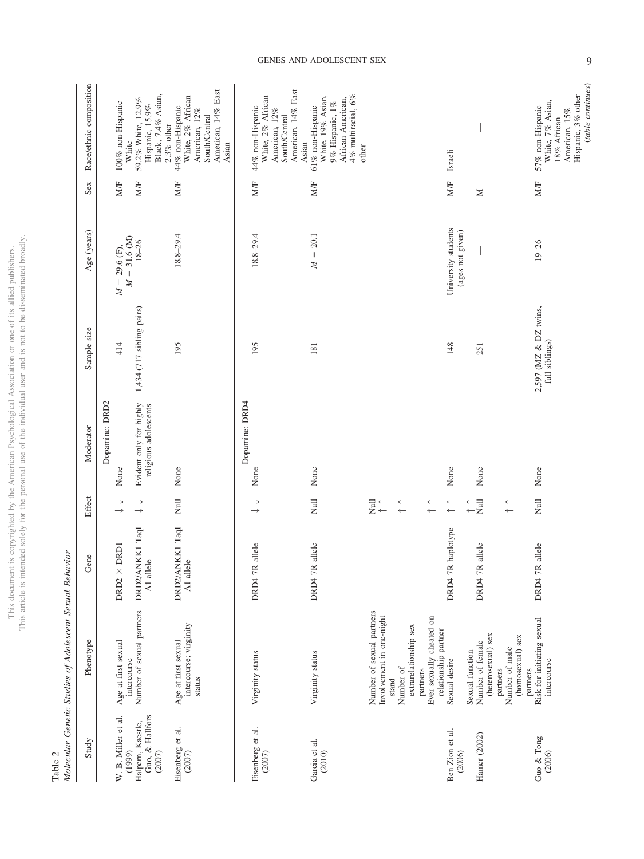|                          | ्र            |
|--------------------------|---------------|
| ו<br>נוב<br>ă            |               |
| j                        |               |
| $\overline{\phantom{a}}$ |               |
|                          |               |
|                          |               |
|                          |               |
|                          |               |
|                          |               |
| ı                        | i             |
|                          |               |
|                          |               |
| i                        |               |
|                          |               |
|                          |               |
|                          |               |
|                          |               |
|                          |               |
|                          |               |
|                          |               |
|                          |               |
|                          |               |
|                          |               |
|                          | $\mathcal{C}$ |
|                          | ģ             |
|                          |               |
| i                        | j             |
|                          | j             |
| i<br>j                   |               |
| j<br>)                   |               |
| ì                        |               |
|                          |               |
|                          |               |
|                          |               |
|                          |               |
| <u>ו</u>                 |               |
|                          |               |
| Š                        | j             |
|                          |               |
|                          |               |
|                          |               |
|                          | ١             |
|                          | Ϊ             |
|                          |               |
| ł                        | j             |
|                          |               |
|                          |               |
|                          | í<br>ï        |
| J                        | ï             |
| ł<br>J<br>Ű              |               |
| ì                        |               |
| ł                        |               |
| ł                        |               |
| ١<br>Ć                   |               |
|                          |               |
|                          |               |
|                          |               |
| $\frac{1}{2}$<br>i       |               |
|                          |               |
|                          |               |
| í<br>j                   |               |
|                          | j             |
| $\overline{MS}$          | З             |
|                          |               |
| ì                        |               |
|                          | hic           |
|                          | i             |

Table 2<br>Molecular Genetic Studies of Adolescent Sexual Behavior *Molecular Genetic Studies of Adolescent Sexual Behavior*

| Study                                                    | Phenotype                                                                                                                                    | Gene                                        | Effect                                                                                                                                          | Moderator                                        | Sample size                             | Age (years)                             | Sex | Race/ethnic composition                                                                                                 |
|----------------------------------------------------------|----------------------------------------------------------------------------------------------------------------------------------------------|---------------------------------------------|-------------------------------------------------------------------------------------------------------------------------------------------------|--------------------------------------------------|-----------------------------------------|-----------------------------------------|-----|-------------------------------------------------------------------------------------------------------------------------|
| W. B. Miller et al.                                      | Age at first sexual                                                                                                                          | DRD <sub>1</sub><br>DRD2 $\times$           | $\rightarrow$                                                                                                                                   | Dopamine: DRD2<br>None                           | 414                                     | $M = 31.6$ (M)<br>$M = 29.6$ (F),       | MÆ  | 100% non-Hispanic                                                                                                       |
| Guo, & Hallfors<br>Halpern, Kaestle,<br>(1999)<br>(2007) | Number of sexual partners<br>intercourse                                                                                                     | DRD2/ANKK1 TaqI<br>A1 allele                | $\rightarrow$                                                                                                                                   | Evident only for highly<br>religious adolescents | 1,434 (717 sibling pairs)               | $18 - 26$                               | MÆ  | Black, 7.4% Asian,<br>59.2% White, 12.9%<br>Hispanic, 15.9%<br>White                                                    |
| Eisenberg et al.<br>(2007)                               | intercourse; virginity<br>Age at first sexual<br>status                                                                                      | DRD2/ANKK1 TaqI<br>$\mathbf{o}$<br>A1 allel | $\rm{Null}$                                                                                                                                     | None                                             | 195                                     | $18.8 - 29.4$                           | MÆ  | American, 14% East<br>White, 2% African<br>$2.3\%$ other $44\%$ non-Hispanic<br>American, 12%<br>South/Central<br>Asian |
| Eisenberg et al.<br>(2007)                               | Virginity status                                                                                                                             | allele<br>DRD47R                            |                                                                                                                                                 | Dopamine: DRD4<br>None                           | 195                                     | $18.8 - 29.4$                           | M/F | American, 14% East<br>White, 2% African<br>44% non-Hispanic<br>American, 12%<br>South/Central                           |
| Garcia et al.<br>(2010)                                  | Virginity status                                                                                                                             | allele<br>DRD47R                            | $N$ ull                                                                                                                                         | None                                             | 181                                     | $M = 20.1$                              | MÆ  | $4\%$ multiracial, $6\%$<br>White, 19% Asian,<br>African American,<br>9% Hispanic, 1%<br>61% non-Hispanic<br>Asian      |
|                                                          | Number of sexual partners<br>Involvement in one-night<br>Ever sexually cheated on<br>extrarelationship sex<br>Number of<br>partners<br>stand |                                             | $\begin{array}{c} \exists E \to \mathbb{R} \ \mathbb{R} \end{array}$<br>$\begin{array}{c} \leftarrow \\ \leftarrow \end{array}$<br>$\leftarrow$ |                                                  |                                         |                                         |     | other                                                                                                                   |
| Ben Zion et al.<br>(2006)                                | relationship partner<br>Sexual desire                                                                                                        | haplotype<br>DRD4 7R                        | $\begin{array}{c} \leftarrow \\ \leftarrow \end{array}$                                                                                         | None                                             | 148                                     | University students<br>(ages not given) | M/F | Israeli                                                                                                                 |
| Hamer (2002)                                             | (heterosexual) sex<br>(homosexual) sex<br>Number of female<br>Number of male<br>Sexual function<br>partners                                  | allele<br>DRD47R                            | $\overline{\mathbf{z}}$<br>$\begin{array}{c} \leftarrow \\ \leftarrow \end{array}$<br>$\begin{array}{c} \leftarrow \\ \leftarrow \end{array}$   | None                                             | 251                                     |                                         | Σ   |                                                                                                                         |
| Guo & Tong<br>(2006)                                     | Risk for initiating sexual<br>intercourse<br>partners                                                                                        | allele<br>DRD47R                            | $\overline{\mathsf{X}}$ ull                                                                                                                     | None                                             | 2,597 (MZ & DZ twins,<br>full siblings) | $19 - 26$                               | M/F | (table continues)<br>American, 15% Hispanic, 3% other<br>White, 7% Asian,<br>57% non-Hispanic<br>18% African            |

GENES AND ADOLESCENT SEX 9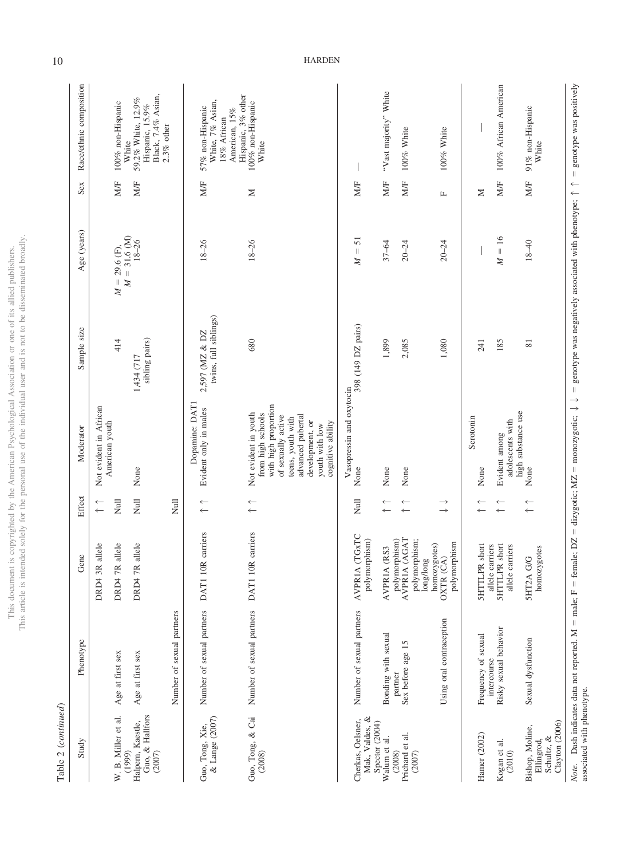| Table 2 (continued)                                           |                                                                                                        |                                                                |                                                         |                                                                                                                                                                                             |                                         |                                                    |                              |                                                                      |
|---------------------------------------------------------------|--------------------------------------------------------------------------------------------------------|----------------------------------------------------------------|---------------------------------------------------------|---------------------------------------------------------------------------------------------------------------------------------------------------------------------------------------------|-----------------------------------------|----------------------------------------------------|------------------------------|----------------------------------------------------------------------|
| Study                                                         | Phenotype                                                                                              | Gene                                                           | Effect                                                  | Moderator                                                                                                                                                                                   | Sample size                             | Age (years)                                        | Sex                          | Race/ethnic composition                                              |
| W. B. Miller et al.                                           | Age at first sex                                                                                       | allele<br>allele<br>DRD47R<br>DRD4 3R                          | $\overline{\mathbf{z}}$<br>$\overbrace{\leftarrow}$     | Not evident in African<br>American youth                                                                                                                                                    | 414                                     | $= 29.6$ (F),<br>$\mathbb{Z}$                      | MÆ                           | 100% non-Hispanic                                                    |
| Guo, & Hallfors<br>Halpern, Kaestle,<br>(2007)<br>(1999)      | Age at first sex                                                                                       | allele<br>DRD47R                                               | $\overline{\mathsf{Z}}$                                 | None                                                                                                                                                                                        | sibling pairs)<br>1,434 (717            | $M = 31.6$ (M)<br>$18 - 26$                        | M/F                          | Black, 7.4% Asian,<br>59.2% White, 12.9%<br>Hispanic, 15.9%<br>White |
|                                                               | Number of sexual partners                                                                              |                                                                | 目                                                       |                                                                                                                                                                                             |                                         |                                                    |                              | $2.3\%$ other                                                        |
| Guo, Tong, Xie,<br>& Lange (2007)                             | Number of sexual partners                                                                              | DAT1 10R carriers                                              | $\leftarrow$<br>$\leftarrow$                            | Dopamine: DAT1<br>Evident only in males                                                                                                                                                     | twins, full siblings)<br>2,597 (MZ & DZ | $18 - 26$                                          | M/F                          | White, 7% Asian,<br>57% non-Hispanic<br>American, 15%<br>18% African |
| Guo, Tong, & Cai<br>(2008)                                    | Number of sexual partners                                                                              | DAT1 10R carriers                                              | $\begin{array}{c} \leftarrow \\ \leftarrow \end{array}$ | with high proportion<br>Not evident in youth<br>from high schools<br>advanced pubertal<br>of sexually active<br>teens, youth with<br>development, or<br>cognitive ability<br>youth with low | 680                                     | $18 - 26$                                          | ≍                            | Hispanic, $3\%$ other $100\%$ non-Hispanic<br>White                  |
| Cherkas, Oelsner,<br>Mak, Valdes, &                           | Number of sexual partners                                                                              | <b>TGxTC</b><br>polymorphism)<br><b>AVPR1A</b>                 | $\overline{\mathsf{z}}$                                 | Vasopressin and oxytocin<br>None                                                                                                                                                            | 398 (149 DZ pairs)                      | 51<br>$M =$                                        | M/F                          |                                                                      |
| Spector (2004)<br>Walum et al.                                | Bonding with sexual                                                                                    | (RS3<br><b>AVPR1A</b>                                          | $\leftarrow$                                            | None                                                                                                                                                                                        | 1,899                                   | $37 - 64$                                          | MÆ                           | "Vast majority" White                                                |
| Prichard et al.<br>(2008)<br>(2007)                           | Sex before age 15<br>partner                                                                           | <b>AGAT</b><br>polymorphism)<br>polymorphism;<br><b>AVPR1A</b> | $\leftarrow$<br>$\leftarrow$                            | None                                                                                                                                                                                        | 2,085                                   | $20 - 24$                                          | MÆ                           | 100% White                                                           |
|                                                               | Using oral contraception                                                                               | polymorphism<br>homozygotes)<br>OXTR (CA)<br>iong/long         | $\rightarrow$<br>$\rightarrow$                          |                                                                                                                                                                                             | 1,080                                   | $20 - 24$                                          | Щ                            | 100% White                                                           |
| Hamer (2002)                                                  | Frequency of sexual                                                                                    | short<br>SHTTLPR                                               | $\leftarrow$<br>$\leftarrow$                            | Serotonin<br>None                                                                                                                                                                           | 241                                     |                                                    | ≍                            |                                                                      |
| Kogan et al.<br>(2010)                                        | Risky sexual behavior<br>intercourse                                                                   | short<br>allele carriers<br>allele carriers<br>SHTTLPR         | $\leftarrow$<br>$\leftarrow$                            | adolescents with<br>Evident among                                                                                                                                                           | 185                                     | $M = 16$                                           | <b>M/F</b>                   | 100% African American                                                |
| Clayton (2006)<br>Bishop, Moline,<br>Schultz, &<br>Ellingrod, | Sexual dysfunction                                                                                     | homozygotes<br><b>SHT2A G/G</b>                                | $\leftarrow$<br>$\leftarrow$                            | high substance use<br>None                                                                                                                                                                  | $\overline{8}1$                         | $18 - 40$                                          | M/F                          | 91% non-Hispanic<br>White                                            |
| associated with phenotype.<br>Note.                           | Dash indicates data not reported. M = male; F = female; DZ = dizygotic; MZ = monozygotic; $\downarrow$ |                                                                |                                                         | $\rightarrow$                                                                                                                                                                               | $\vert\vert$                            | genotype was negatively associated with phenotype; | $\leftarrow$<br>$\leftarrow$ | genotype was positively<br>$\parallel$                               |

This document is copyrighted by the American Psychological Association or one of its allied publishers. This article is intended solely for the personal use of the individual user and is not to be disseminated broadly.

This document is copyrighted by the American Psychological Association or one of its allied publishers.<br>This article is intended solely for the personal use of the individual user and is not to be disseminated broadly.

10 HARDEN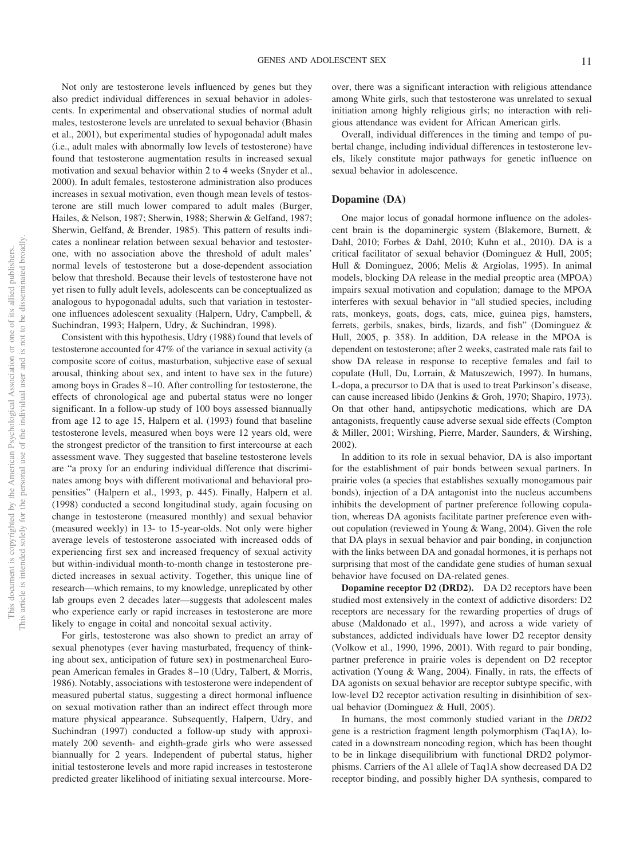Not only are testosterone levels influenced by genes but they also predict individual differences in sexual behavior in adolescents. In experimental and observational studies of normal adult males, testosterone levels are unrelated to sexual behavior (Bhasin et al., 2001), but experimental studies of hypogonadal adult males (i.e., adult males with abnormally low levels of testosterone) have found that testosterone augmentation results in increased sexual motivation and sexual behavior within 2 to 4 weeks (Snyder et al., 2000). In adult females, testosterone administration also produces increases in sexual motivation, even though mean levels of testosterone are still much lower compared to adult males (Burger, Hailes, & Nelson, 1987; Sherwin, 1988; Sherwin & Gelfand, 1987; Sherwin, Gelfand, & Brender, 1985). This pattern of results indicates a nonlinear relation between sexual behavior and testosterone, with no association above the threshold of adult males' normal levels of testosterone but a dose-dependent association below that threshold. Because their levels of testosterone have not yet risen to fully adult levels, adolescents can be conceptualized as analogous to hypogonadal adults, such that variation in testosterone influences adolescent sexuality (Halpern, Udry, Campbell, & Suchindran, 1993; Halpern, Udry, & Suchindran, 1998).

Consistent with this hypothesis, Udry (1988) found that levels of testosterone accounted for 47% of the variance in sexual activity (a composite score of coitus, masturbation, subjective ease of sexual arousal, thinking about sex, and intent to have sex in the future) among boys in Grades 8 –10. After controlling for testosterone, the effects of chronological age and pubertal status were no longer significant. In a follow-up study of 100 boys assessed biannually from age 12 to age 15, Halpern et al. (1993) found that baseline testosterone levels, measured when boys were 12 years old, were the strongest predictor of the transition to first intercourse at each assessment wave. They suggested that baseline testosterone levels are "a proxy for an enduring individual difference that discriminates among boys with different motivational and behavioral propensities" (Halpern et al., 1993, p. 445). Finally, Halpern et al. (1998) conducted a second longitudinal study, again focusing on change in testosterone (measured monthly) and sexual behavior (measured weekly) in 13- to 15-year-olds. Not only were higher average levels of testosterone associated with increased odds of experiencing first sex and increased frequency of sexual activity but within-individual month-to-month change in testosterone predicted increases in sexual activity. Together, this unique line of research—which remains, to my knowledge, unreplicated by other lab groups even 2 decades later—suggests that adolescent males who experience early or rapid increases in testosterone are more likely to engage in coital and noncoital sexual activity.

For girls, testosterone was also shown to predict an array of sexual phenotypes (ever having masturbated, frequency of thinking about sex, anticipation of future sex) in postmenarcheal European American females in Grades 8 –10 (Udry, Talbert, & Morris, 1986). Notably, associations with testosterone were independent of measured pubertal status, suggesting a direct hormonal influence on sexual motivation rather than an indirect effect through more mature physical appearance. Subsequently, Halpern, Udry, and Suchindran (1997) conducted a follow-up study with approximately 200 seventh- and eighth-grade girls who were assessed biannually for 2 years. Independent of pubertal status, higher initial testosterone levels and more rapid increases in testosterone predicted greater likelihood of initiating sexual intercourse. Moreover, there was a significant interaction with religious attendance among White girls, such that testosterone was unrelated to sexual initiation among highly religious girls; no interaction with religious attendance was evident for African American girls.

Overall, individual differences in the timing and tempo of pubertal change, including individual differences in testosterone levels, likely constitute major pathways for genetic influence on sexual behavior in adolescence.

#### **Dopamine (DA)**

One major locus of gonadal hormone influence on the adolescent brain is the dopaminergic system (Blakemore, Burnett, & Dahl, 2010; Forbes & Dahl, 2010; Kuhn et al., 2010). DA is a critical facilitator of sexual behavior (Dominguez & Hull, 2005; Hull & Dominguez, 2006; Melis & Argiolas, 1995). In animal models, blocking DA release in the medial preoptic area (MPOA) impairs sexual motivation and copulation; damage to the MPOA interferes with sexual behavior in "all studied species, including rats, monkeys, goats, dogs, cats, mice, guinea pigs, hamsters, ferrets, gerbils, snakes, birds, lizards, and fish" (Dominguez & Hull, 2005, p. 358). In addition, DA release in the MPOA is dependent on testosterone; after 2 weeks, castrated male rats fail to show DA release in response to receptive females and fail to copulate (Hull, Du, Lorrain, & Matuszewich, 1997). In humans, L-dopa, a precursor to DA that is used to treat Parkinson's disease, can cause increased libido (Jenkins & Groh, 1970; Shapiro, 1973). On that other hand, antipsychotic medications, which are DA antagonists, frequently cause adverse sexual side effects (Compton & Miller, 2001; Wirshing, Pierre, Marder, Saunders, & Wirshing, 2002).

In addition to its role in sexual behavior, DA is also important for the establishment of pair bonds between sexual partners. In prairie voles (a species that establishes sexually monogamous pair bonds), injection of a DA antagonist into the nucleus accumbens inhibits the development of partner preference following copulation, whereas DA agonists facilitate partner preference even without copulation (reviewed in Young & Wang, 2004). Given the role that DA plays in sexual behavior and pair bonding, in conjunction with the links between DA and gonadal hormones, it is perhaps not surprising that most of the candidate gene studies of human sexual behavior have focused on DA-related genes.

**Dopamine receptor D2 (DRD2).** DA D2 receptors have been studied most extensively in the context of addictive disorders: D2 receptors are necessary for the rewarding properties of drugs of abuse (Maldonado et al., 1997), and across a wide variety of substances, addicted individuals have lower D2 receptor density (Volkow et al., 1990, 1996, 2001). With regard to pair bonding, partner preference in prairie voles is dependent on D2 receptor activation (Young & Wang, 2004). Finally, in rats, the effects of DA agonists on sexual behavior are receptor subtype specific, with low-level D2 receptor activation resulting in disinhibition of sexual behavior (Dominguez & Hull, 2005).

In humans, the most commonly studied variant in the *DRD2* gene is a restriction fragment length polymorphism (Taq1A), located in a downstream noncoding region, which has been thought to be in linkage disequilibrium with functional DRD2 polymorphisms. Carriers of the A1 allele of Taq1A show decreased DA D2 receptor binding, and possibly higher DA synthesis, compared to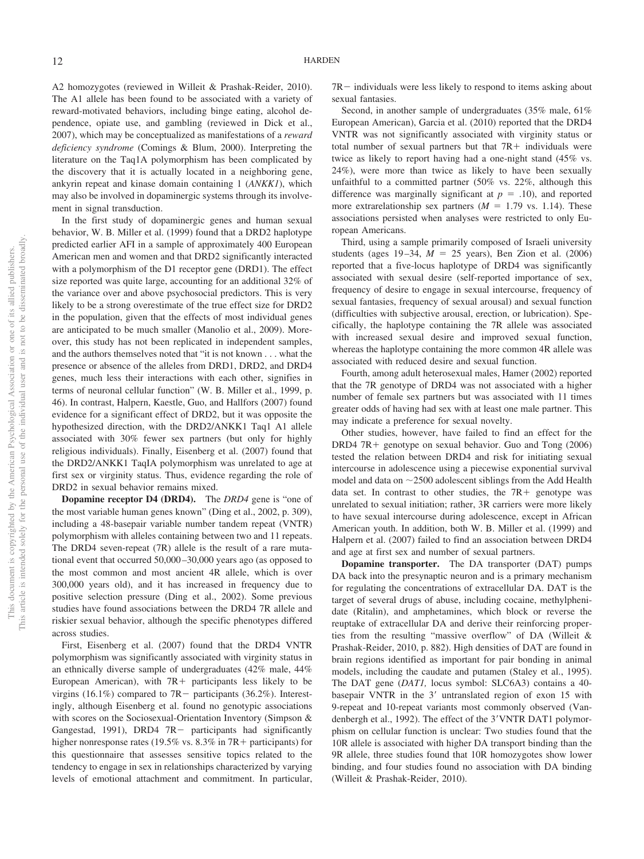A2 homozygotes (reviewed in Willeit & Prashak-Reider, 2010). The A1 allele has been found to be associated with a variety of reward-motivated behaviors, including binge eating, alcohol dependence, opiate use, and gambling (reviewed in Dick et al., 2007), which may be conceptualized as manifestations of a *reward deficiency syndrome* (Comings & Blum, 2000). Interpreting the literature on the Taq1A polymorphism has been complicated by the discovery that it is actually located in a neighboring gene, ankyrin repeat and kinase domain containing 1 (*ANKK1*), which may also be involved in dopaminergic systems through its involvement in signal transduction.

In the first study of dopaminergic genes and human sexual behavior, W. B. Miller et al. (1999) found that a DRD2 haplotype predicted earlier AFI in a sample of approximately 400 European American men and women and that DRD2 significantly interacted with a polymorphism of the D1 receptor gene (DRD1). The effect size reported was quite large, accounting for an additional 32% of the variance over and above psychosocial predictors. This is very likely to be a strong overestimate of the true effect size for DRD2 in the population, given that the effects of most individual genes are anticipated to be much smaller (Manolio et al., 2009). Moreover, this study has not been replicated in independent samples, and the authors themselves noted that "it is not known . . . what the presence or absence of the alleles from DRD1, DRD2, and DRD4 genes, much less their interactions with each other, signifies in terms of neuronal cellular function" (W. B. Miller et al., 1999, p. 46). In contrast, Halpern, Kaestle, Guo, and Hallfors (2007) found evidence for a significant effect of DRD2, but it was opposite the hypothesized direction, with the DRD2/ANKK1 Taq1 A1 allele associated with 30% fewer sex partners (but only for highly religious individuals). Finally, Eisenberg et al. (2007) found that the DRD2/ANKK1 TaqIA polymorphism was unrelated to age at first sex or virginity status. Thus, evidence regarding the role of DRD2 in sexual behavior remains mixed.

**Dopamine receptor D4 (DRD4).** The *DRD4* gene is "one of the most variable human genes known" (Ding et al., 2002, p. 309), including a 48-basepair variable number tandem repeat (VNTR) polymorphism with alleles containing between two and 11 repeats. The DRD4 seven-repeat (7R) allele is the result of a rare mutational event that occurred 50,000 –30,000 years ago (as opposed to the most common and most ancient 4R allele, which is over 300,000 years old), and it has increased in frequency due to positive selection pressure (Ding et al., 2002). Some previous studies have found associations between the DRD4 7R allele and riskier sexual behavior, although the specific phenotypes differed across studies.

First, Eisenberg et al. (2007) found that the DRD4 VNTR polymorphism was significantly associated with virginity status in an ethnically diverse sample of undergraduates (42% male, 44% European American), with  $7R +$  participants less likely to be virgins (16.1%) compared to  $7R$  participants (36.2%). Interestingly, although Eisenberg et al. found no genotypic associations with scores on the Sociosexual-Orientation Inventory (Simpson & Gangestad, 1991), DRD4 7R- participants had significantly higher nonresponse rates (19.5% vs.  $8.3\%$  in  $7R +$  participants) for this questionnaire that assesses sensitive topics related to the tendency to engage in sex in relationships characterized by varying levels of emotional attachment and commitment. In particular,

 $7R$  individuals were less likely to respond to items asking about sexual fantasies.

Second, in another sample of undergraduates (35% male, 61% European American), Garcia et al. (2010) reported that the DRD4 VNTR was not significantly associated with virginity status or total number of sexual partners but that  $7R +$  individuals were twice as likely to report having had a one-night stand (45% vs. 24%), were more than twice as likely to have been sexually unfaithful to a committed partner (50% vs. 22%, although this difference was marginally significant at  $p = .10$ ), and reported more extrarelationship sex partners  $(M = 1.79 \text{ vs. } 1.14)$ . These associations persisted when analyses were restricted to only European Americans.

Third, using a sample primarily composed of Israeli university students (ages  $19-34$ ,  $M = 25$  years), Ben Zion et al. (2006) reported that a five-locus haplotype of DRD4 was significantly associated with sexual desire (self-reported importance of sex, frequency of desire to engage in sexual intercourse, frequency of sexual fantasies, frequency of sexual arousal) and sexual function (difficulties with subjective arousal, erection, or lubrication). Specifically, the haplotype containing the 7R allele was associated with increased sexual desire and improved sexual function, whereas the haplotype containing the more common 4R allele was associated with reduced desire and sexual function.

Fourth, among adult heterosexual males, Hamer (2002) reported that the 7R genotype of DRD4 was not associated with a higher number of female sex partners but was associated with 11 times greater odds of having had sex with at least one male partner. This may indicate a preference for sexual novelty.

Other studies, however, have failed to find an effect for the DRD4  $7R +$  genotype on sexual behavior. Guo and Tong (2006) tested the relation between DRD4 and risk for initiating sexual intercourse in adolescence using a piecewise exponential survival model and data on  $\sim$  2500 adolescent siblings from the Add Health data set. In contrast to other studies, the  $7R +$  genotype was unrelated to sexual initiation; rather, 3R carriers were more likely to have sexual intercourse during adolescence, except in African American youth. In addition, both W. B. Miller et al. (1999) and Halpern et al. (2007) failed to find an association between DRD4 and age at first sex and number of sexual partners.

**Dopamine transporter.** The DA transporter (DAT) pumps DA back into the presynaptic neuron and is a primary mechanism for regulating the concentrations of extracellular DA. DAT is the target of several drugs of abuse, including cocaine, methylphenidate (Ritalin), and amphetamines, which block or reverse the reuptake of extracellular DA and derive their reinforcing properties from the resulting "massive overflow" of DA (Willeit & Prashak-Reider, 2010, p. 882). High densities of DAT are found in brain regions identified as important for pair bonding in animal models, including the caudate and putamen (Staley et al., 1995). The DAT gene (*DAT1,* locus symbol: SLC6A3) contains a 40 basepair VNTR in the 3' untranslated region of exon 15 with 9-repeat and 10-repeat variants most commonly observed (Vandenbergh et al., 1992). The effect of the 3'VNTR DAT1 polymorphism on cellular function is unclear: Two studies found that the 10R allele is associated with higher DA transport binding than the 9R allele, three studies found that 10R homozygotes show lower binding, and four studies found no association with DA binding (Willeit & Prashak-Reider, 2010).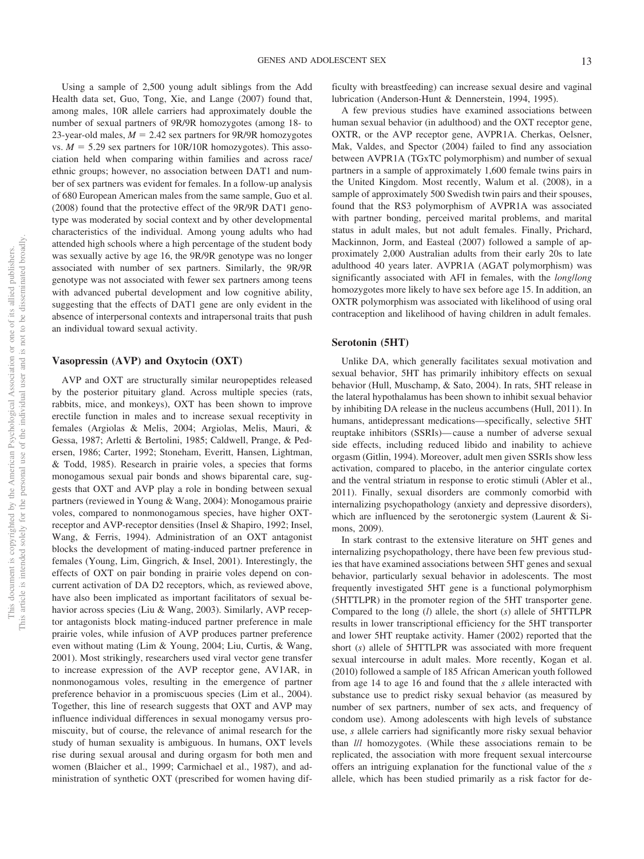Health data set, Guo, Tong, Xie, and Lange (2007) found that, among males, 10R allele carriers had approximately double the number of sexual partners of 9R/9R homozygotes (among 18- to 23-year-old males,  $M = 2.42$  sex partners for 9R/9R homozygotes vs.  $M = 5.29$  sex partners for 10R/10R homozygotes). This association held when comparing within families and across race/ ethnic groups; however, no association between DAT1 and number of sex partners was evident for females. In a follow-up analysis of 680 European American males from the same sample, Guo et al. (2008) found that the protective effect of the 9R/9R DAT1 genotype was moderated by social context and by other developmental characteristics of the individual. Among young adults who had attended high schools where a high percentage of the student body was sexually active by age 16, the 9R/9R genotype was no longer associated with number of sex partners. Similarly, the 9R/9R genotype was not associated with fewer sex partners among teens with advanced pubertal development and low cognitive ability, suggesting that the effects of DAT1 gene are only evident in the absence of interpersonal contexts and intrapersonal traits that push an individual toward sexual activity.

Using a sample of 2,500 young adult siblings from the Add

#### **Vasopressin (AVP) and Oxytocin (OXT)**

AVP and OXT are structurally similar neuropeptides released by the posterior pituitary gland. Across multiple species (rats, rabbits, mice, and monkeys), OXT has been shown to improve erectile function in males and to increase sexual receptivity in females (Argiolas & Melis, 2004; Argiolas, Melis, Mauri, & Gessa, 1987; Arletti & Bertolini, 1985; Caldwell, Prange, & Pedersen, 1986; Carter, 1992; Stoneham, Everitt, Hansen, Lightman, & Todd, 1985). Research in prairie voles, a species that forms monogamous sexual pair bonds and shows biparental care, suggests that OXT and AVP play a role in bonding between sexual partners (reviewed in Young & Wang, 2004): Monogamous prairie voles, compared to nonmonogamous species, have higher OXTreceptor and AVP-receptor densities (Insel & Shapiro, 1992; Insel, Wang, & Ferris, 1994). Administration of an OXT antagonist blocks the development of mating-induced partner preference in females (Young, Lim, Gingrich, & Insel, 2001). Interestingly, the effects of OXT on pair bonding in prairie voles depend on concurrent activation of DA D2 receptors, which, as reviewed above, have also been implicated as important facilitators of sexual behavior across species (Liu & Wang, 2003). Similarly, AVP receptor antagonists block mating-induced partner preference in male prairie voles, while infusion of AVP produces partner preference even without mating (Lim & Young, 2004; Liu, Curtis, & Wang, 2001). Most strikingly, researchers used viral vector gene transfer to increase expression of the AVP receptor gene, AV1AR, in nonmonogamous voles, resulting in the emergence of partner preference behavior in a promiscuous species (Lim et al., 2004). Together, this line of research suggests that OXT and AVP may influence individual differences in sexual monogamy versus promiscuity, but of course, the relevance of animal research for the study of human sexuality is ambiguous. In humans, OXT levels rise during sexual arousal and during orgasm for both men and women (Blaicher et al., 1999; Carmichael et al., 1987), and administration of synthetic OXT (prescribed for women having dif-

A few previous studies have examined associations between human sexual behavior (in adulthood) and the OXT receptor gene, OXTR, or the AVP receptor gene, AVPR1A. Cherkas, Oelsner, Mak, Valdes, and Spector (2004) failed to find any association between AVPR1A (TGxTC polymorphism) and number of sexual partners in a sample of approximately 1,600 female twins pairs in the United Kingdom. Most recently, Walum et al. (2008), in a sample of approximately 500 Swedish twin pairs and their spouses, found that the RS3 polymorphism of AVPR1A was associated with partner bonding, perceived marital problems, and marital status in adult males, but not adult females. Finally, Prichard, Mackinnon, Jorm, and Easteal (2007) followed a sample of approximately 2,000 Australian adults from their early 20s to late adulthood 40 years later. AVPR1A (AGAT polymorphism) was significantly associated with AFI in females, with the *long*/*long* homozygotes more likely to have sex before age 15. In addition, an OXTR polymorphism was associated with likelihood of using oral contraception and likelihood of having children in adult females.

#### **Serotonin (5HT)**

Unlike DA, which generally facilitates sexual motivation and sexual behavior, 5HT has primarily inhibitory effects on sexual behavior (Hull, Muschamp, & Sato, 2004). In rats, 5HT release in the lateral hypothalamus has been shown to inhibit sexual behavior by inhibiting DA release in the nucleus accumbens (Hull, 2011). In humans, antidepressant medications—specifically, selective 5HT reuptake inhibitors (SSRIs)— cause a number of adverse sexual side effects, including reduced libido and inability to achieve orgasm (Gitlin, 1994). Moreover, adult men given SSRIs show less activation, compared to placebo, in the anterior cingulate cortex and the ventral striatum in response to erotic stimuli (Abler et al., 2011). Finally, sexual disorders are commonly comorbid with internalizing psychopathology (anxiety and depressive disorders), which are influenced by the serotonergic system (Laurent & Simons, 2009).

In stark contrast to the extensive literature on 5HT genes and internalizing psychopathology, there have been few previous studies that have examined associations between 5HT genes and sexual behavior, particularly sexual behavior in adolescents. The most frequently investigated 5HT gene is a functional polymorphism (5HTTLPR) in the promoter region of the 5HT transporter gene. Compared to the long (*l*) allele, the short (*s*) allele of 5HTTLPR results in lower transcriptional efficiency for the 5HT transporter and lower 5HT reuptake activity. Hamer (2002) reported that the short (*s*) allele of 5HTTLPR was associated with more frequent sexual intercourse in adult males. More recently, Kogan et al. (2010) followed a sample of 185 African American youth followed from age 14 to age 16 and found that the *s* allele interacted with substance use to predict risky sexual behavior (as measured by number of sex partners, number of sex acts, and frequency of condom use). Among adolescents with high levels of substance use, *s* allele carriers had significantly more risky sexual behavior than *l*/*l* homozygotes. (While these associations remain to be replicated, the association with more frequent sexual intercourse offers an intriguing explanation for the functional value of the *s* allele, which has been studied primarily as a risk factor for de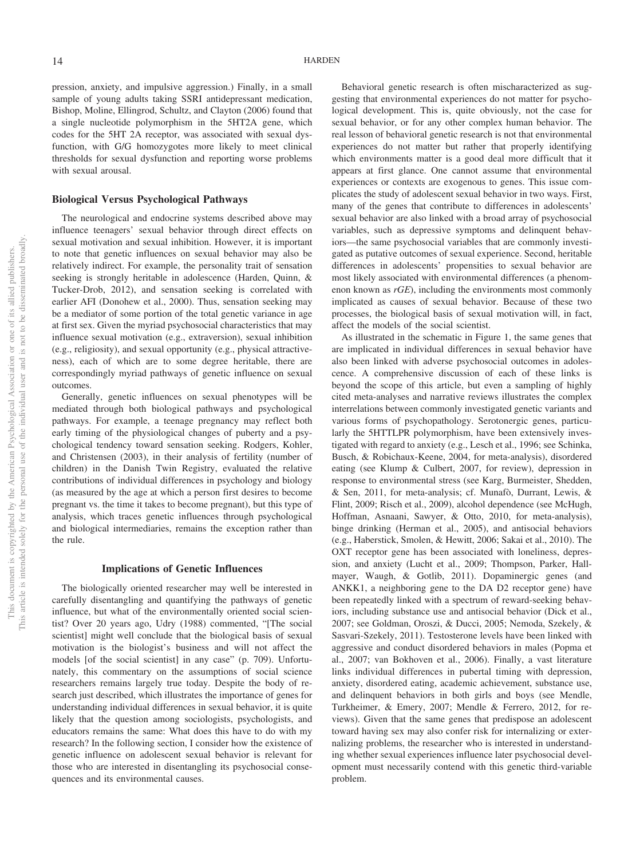pression, anxiety, and impulsive aggression.) Finally, in a small sample of young adults taking SSRI antidepressant medication, Bishop, Moline, Ellingrod, Schultz, and Clayton (2006) found that a single nucleotide polymorphism in the 5HT2A gene, which codes for the 5HT 2A receptor, was associated with sexual dysfunction, with G/G homozygotes more likely to meet clinical thresholds for sexual dysfunction and reporting worse problems with sexual arousal.

#### **Biological Versus Psychological Pathways**

The neurological and endocrine systems described above may influence teenagers' sexual behavior through direct effects on sexual motivation and sexual inhibition. However, it is important to note that genetic influences on sexual behavior may also be relatively indirect. For example, the personality trait of sensation seeking is strongly heritable in adolescence (Harden, Quinn, & Tucker-Drob, 2012), and sensation seeking is correlated with earlier AFI (Donohew et al., 2000). Thus, sensation seeking may be a mediator of some portion of the total genetic variance in age at first sex. Given the myriad psychosocial characteristics that may influence sexual motivation (e.g., extraversion), sexual inhibition (e.g., religiosity), and sexual opportunity (e.g., physical attractiveness), each of which are to some degree heritable, there are correspondingly myriad pathways of genetic influence on sexual outcomes.

Generally, genetic influences on sexual phenotypes will be mediated through both biological pathways and psychological pathways. For example, a teenage pregnancy may reflect both early timing of the physiological changes of puberty and a psychological tendency toward sensation seeking. Rodgers, Kohler, and Christensen (2003), in their analysis of fertility (number of children) in the Danish Twin Registry, evaluated the relative contributions of individual differences in psychology and biology (as measured by the age at which a person first desires to become pregnant vs. the time it takes to become pregnant), but this type of analysis, which traces genetic influences through psychological and biological intermediaries, remains the exception rather than the rule.

#### **Implications of Genetic Influences**

The biologically oriented researcher may well be interested in carefully disentangling and quantifying the pathways of genetic influence, but what of the environmentally oriented social scientist? Over 20 years ago, Udry (1988) commented, "[The social scientist] might well conclude that the biological basis of sexual motivation is the biologist's business and will not affect the models [of the social scientist] in any case" (p. 709). Unfortunately, this commentary on the assumptions of social science researchers remains largely true today. Despite the body of research just described, which illustrates the importance of genes for understanding individual differences in sexual behavior, it is quite likely that the question among sociologists, psychologists, and educators remains the same: What does this have to do with my research? In the following section, I consider how the existence of genetic influence on adolescent sexual behavior is relevant for those who are interested in disentangling its psychosocial consequences and its environmental causes.

Behavioral genetic research is often mischaracterized as suggesting that environmental experiences do not matter for psychological development. This is, quite obviously, not the case for sexual behavior, or for any other complex human behavior. The real lesson of behavioral genetic research is not that environmental experiences do not matter but rather that properly identifying which environments matter is a good deal more difficult that it appears at first glance. One cannot assume that environmental experiences or contexts are exogenous to genes. This issue complicates the study of adolescent sexual behavior in two ways. First, many of the genes that contribute to differences in adolescents' sexual behavior are also linked with a broad array of psychosocial variables, such as depressive symptoms and delinquent behaviors—the same psychosocial variables that are commonly investigated as putative outcomes of sexual experience. Second, heritable differences in adolescents' propensities to sexual behavior are most likely associated with environmental differences (a phenomenon known as *rGE*), including the environments most commonly implicated as causes of sexual behavior. Because of these two processes, the biological basis of sexual motivation will, in fact, affect the models of the social scientist.

As illustrated in the schematic in Figure 1, the same genes that are implicated in individual differences in sexual behavior have also been linked with adverse psychosocial outcomes in adolescence. A comprehensive discussion of each of these links is beyond the scope of this article, but even a sampling of highly cited meta-analyses and narrative reviews illustrates the complex interrelations between commonly investigated genetic variants and various forms of psychopathology. Serotonergic genes, particularly the 5HTTLPR polymorphism, have been extensively investigated with regard to anxiety (e.g., Lesch et al., 1996; see Schinka, Busch, & Robichaux-Keene, 2004, for meta-analysis), disordered eating (see Klump & Culbert, 2007, for review), depression in response to environmental stress (see Karg, Burmeister, Shedden, & Sen, 2011, for meta-analysis; cf. Munafò, Durrant, Lewis, & Flint, 2009; Risch et al., 2009), alcohol dependence (see McHugh, Hoffman, Asnaani, Sawyer, & Otto, 2010, for meta-analysis), binge drinking (Herman et al., 2005), and antisocial behaviors (e.g., Haberstick, Smolen, & Hewitt, 2006; Sakai et al., 2010). The OXT receptor gene has been associated with loneliness, depression, and anxiety (Lucht et al., 2009; Thompson, Parker, Hallmayer, Waugh, & Gotlib, 2011). Dopaminergic genes (and ANKK1, a neighboring gene to the DA D2 receptor gene) have been repeatedly linked with a spectrum of reward-seeking behaviors, including substance use and antisocial behavior (Dick et al., 2007; see Goldman, Oroszi, & Ducci, 2005; Nemoda, Szekely, & Sasvari-Szekely, 2011). Testosterone levels have been linked with aggressive and conduct disordered behaviors in males (Popma et al., 2007; van Bokhoven et al., 2006). Finally, a vast literature links individual differences in pubertal timing with depression, anxiety, disordered eating, academic achievement, substance use, and delinquent behaviors in both girls and boys (see Mendle, Turkheimer, & Emery, 2007; Mendle & Ferrero, 2012, for reviews). Given that the same genes that predispose an adolescent toward having sex may also confer risk for internalizing or externalizing problems, the researcher who is interested in understanding whether sexual experiences influence later psychosocial development must necessarily contend with this genetic third-variable problem.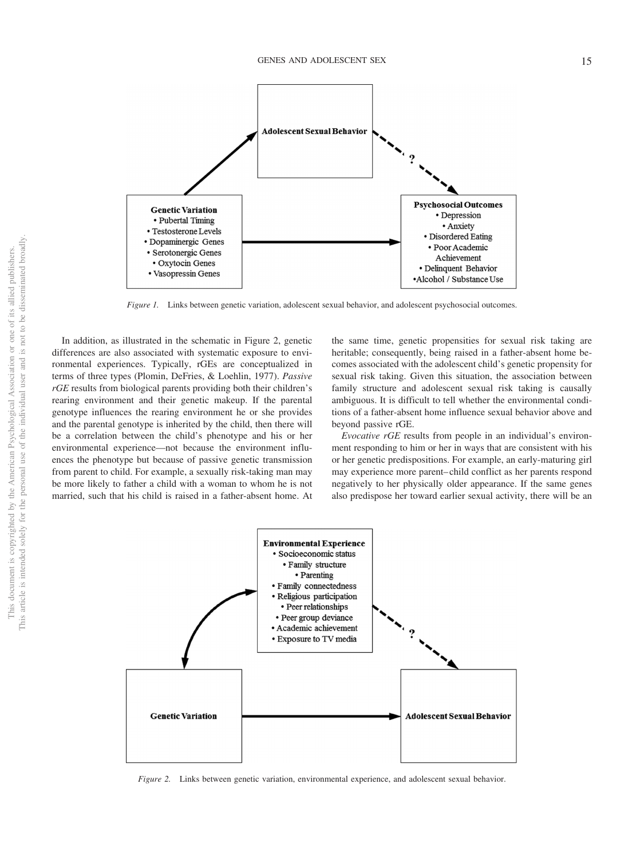

*Figure 1.* Links between genetic variation, adolescent sexual behavior, and adolescent psychosocial outcomes.

In addition, as illustrated in the schematic in Figure 2, genetic differences are also associated with systematic exposure to environmental experiences. Typically, rGEs are conceptualized in terms of three types (Plomin, DeFries, & Loehlin, 1977). *Passive rGE* results from biological parents providing both their children's rearing environment and their genetic makeup. If the parental genotype influences the rearing environment he or she provides and the parental genotype is inherited by the child, then there will be a correlation between the child's phenotype and his or her environmental experience—not because the environment influences the phenotype but because of passive genetic transmission from parent to child. For example, a sexually risk-taking man may be more likely to father a child with a woman to whom he is not married, such that his child is raised in a father-absent home. At

the same time, genetic propensities for sexual risk taking are heritable; consequently, being raised in a father-absent home becomes associated with the adolescent child's genetic propensity for sexual risk taking. Given this situation, the association between family structure and adolescent sexual risk taking is causally ambiguous. It is difficult to tell whether the environmental conditions of a father-absent home influence sexual behavior above and beyond passive rGE.

*Evocative rGE* results from people in an individual's environment responding to him or her in ways that are consistent with his or her genetic predispositions. For example, an early-maturing girl may experience more parent– child conflict as her parents respond negatively to her physically older appearance. If the same genes also predispose her toward earlier sexual activity, there will be an



*Figure 2.* Links between genetic variation, environmental experience, and adolescent sexual behavior.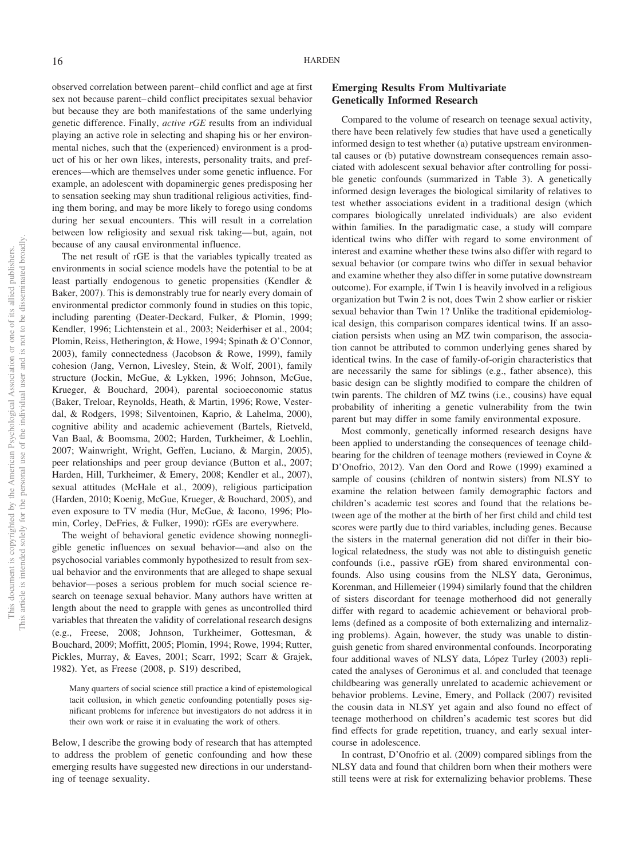observed correlation between parent– child conflict and age at first sex not because parent– child conflict precipitates sexual behavior but because they are both manifestations of the same underlying genetic difference. Finally, *active rGE* results from an individual playing an active role in selecting and shaping his or her environmental niches, such that the (experienced) environment is a product of his or her own likes, interests, personality traits, and preferences—which are themselves under some genetic influence. For example, an adolescent with dopaminergic genes predisposing her to sensation seeking may shun traditional religious activities, finding them boring, and may be more likely to forego using condoms during her sexual encounters. This will result in a correlation between low religiosity and sexual risk taking— but, again, not because of any causal environmental influence.

The net result of rGE is that the variables typically treated as environments in social science models have the potential to be at least partially endogenous to genetic propensities (Kendler & Baker, 2007). This is demonstrably true for nearly every domain of environmental predictor commonly found in studies on this topic, including parenting (Deater-Deckard, Fulker, & Plomin, 1999; Kendler, 1996; Lichtenstein et al., 2003; Neiderhiser et al., 2004; Plomin, Reiss, Hetherington, & Howe, 1994; Spinath & O'Connor, 2003), family connectedness (Jacobson & Rowe, 1999), family cohesion (Jang, Vernon, Livesley, Stein, & Wolf, 2001), family structure (Jockin, McGue, & Lykken, 1996; Johnson, McGue, Krueger, & Bouchard, 2004), parental socioeconomic status (Baker, Treloar, Reynolds, Heath, & Martin, 1996; Rowe, Vesterdal, & Rodgers, 1998; Silventoinen, Kaprio, & Lahelma, 2000), cognitive ability and academic achievement (Bartels, Rietveld, Van Baal, & Boomsma, 2002; Harden, Turkheimer, & Loehlin, 2007; Wainwright, Wright, Geffen, Luciano, & Margin, 2005), peer relationships and peer group deviance (Button et al., 2007; Harden, Hill, Turkheimer, & Emery, 2008; Kendler et al., 2007), sexual attitudes (McHale et al., 2009), religious participation (Harden, 2010; Koenig, McGue, Krueger, & Bouchard, 2005), and even exposure to TV media (Hur, McGue, & Iacono, 1996; Plomin, Corley, DeFries, & Fulker, 1990): rGEs are everywhere.

The weight of behavioral genetic evidence showing nonnegligible genetic influences on sexual behavior—and also on the psychosocial variables commonly hypothesized to result from sexual behavior and the environments that are alleged to shape sexual behavior—poses a serious problem for much social science research on teenage sexual behavior. Many authors have written at length about the need to grapple with genes as uncontrolled third variables that threaten the validity of correlational research designs (e.g., Freese, 2008; Johnson, Turkheimer, Gottesman, & Bouchard, 2009; Moffitt, 2005; Plomin, 1994; Rowe, 1994; Rutter, Pickles, Murray, & Eaves, 2001; Scarr, 1992; Scarr & Grajek, 1982). Yet, as Freese (2008, p. S19) described,

Many quarters of social science still practice a kind of epistemological tacit collusion, in which genetic confounding potentially poses significant problems for inference but investigators do not address it in their own work or raise it in evaluating the work of others.

Below, I describe the growing body of research that has attempted to address the problem of genetic confounding and how these emerging results have suggested new directions in our understanding of teenage sexuality.

#### **Emerging Results From Multivariate Genetically Informed Research**

Compared to the volume of research on teenage sexual activity, there have been relatively few studies that have used a genetically informed design to test whether (a) putative upstream environmental causes or (b) putative downstream consequences remain associated with adolescent sexual behavior after controlling for possible genetic confounds (summarized in Table 3). A genetically informed design leverages the biological similarity of relatives to test whether associations evident in a traditional design (which compares biologically unrelated individuals) are also evident within families. In the paradigmatic case, a study will compare identical twins who differ with regard to some environment of interest and examine whether these twins also differ with regard to sexual behavior (or compare twins who differ in sexual behavior and examine whether they also differ in some putative downstream outcome). For example, if Twin 1 is heavily involved in a religious organization but Twin 2 is not, does Twin 2 show earlier or riskier sexual behavior than Twin 1? Unlike the traditional epidemiological design, this comparison compares identical twins. If an association persists when using an MZ twin comparison, the association cannot be attributed to common underlying genes shared by identical twins. In the case of family-of-origin characteristics that are necessarily the same for siblings (e.g., father absence), this basic design can be slightly modified to compare the children of twin parents. The children of MZ twins (i.e., cousins) have equal probability of inheriting a genetic vulnerability from the twin parent but may differ in some family environmental exposure.

Most commonly, genetically informed research designs have been applied to understanding the consequences of teenage childbearing for the children of teenage mothers (reviewed in Coyne & D'Onofrio, 2012). Van den Oord and Rowe (1999) examined a sample of cousins (children of nontwin sisters) from NLSY to examine the relation between family demographic factors and children's academic test scores and found that the relations between age of the mother at the birth of her first child and child test scores were partly due to third variables, including genes. Because the sisters in the maternal generation did not differ in their biological relatedness, the study was not able to distinguish genetic confounds (i.e., passive rGE) from shared environmental confounds. Also using cousins from the NLSY data, Geronimus, Korenman, and Hillemeier (1994) similarly found that the children of sisters discordant for teenage motherhood did not generally differ with regard to academic achievement or behavioral problems (defined as a composite of both externalizing and internalizing problems). Again, however, the study was unable to distinguish genetic from shared environmental confounds. Incorporating four additional waves of NLSY data, López Turley (2003) replicated the analyses of Geronimus et al. and concluded that teenage childbearing was generally unrelated to academic achievement or behavior problems. Levine, Emery, and Pollack (2007) revisited the cousin data in NLSY yet again and also found no effect of teenage motherhood on children's academic test scores but did find effects for grade repetition, truancy, and early sexual intercourse in adolescence.

In contrast, D'Onofrio et al. (2009) compared siblings from the NLSY data and found that children born when their mothers were still teens were at risk for externalizing behavior problems. These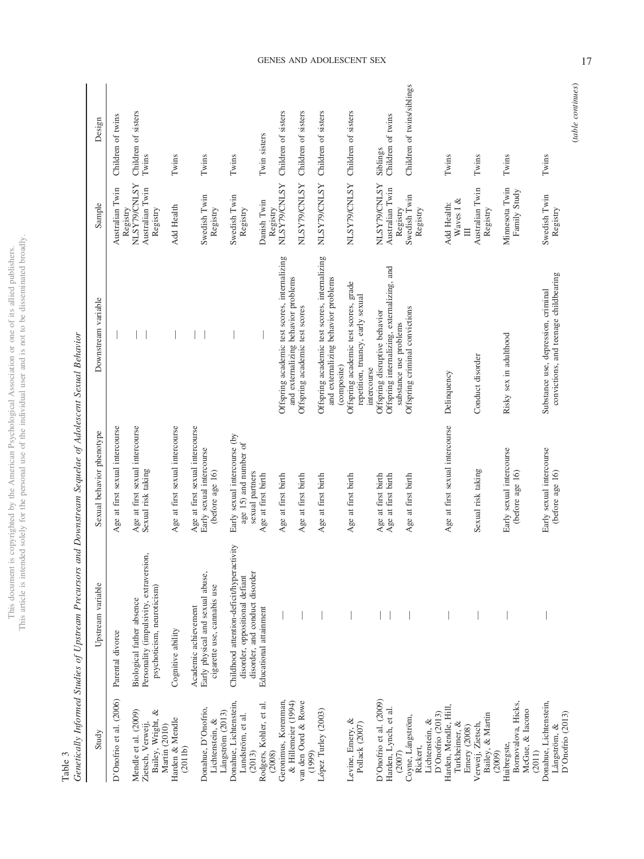| ļ       |        |  |
|---------|--------|--|
|         |        |  |
|         |        |  |
|         |        |  |
|         |        |  |
|         |        |  |
|         |        |  |
|         |        |  |
|         |        |  |
|         |        |  |
|         |        |  |
|         |        |  |
|         |        |  |
|         |        |  |
|         |        |  |
|         |        |  |
|         |        |  |
|         |        |  |
|         |        |  |
|         |        |  |
|         |        |  |
|         |        |  |
|         |        |  |
|         |        |  |
|         |        |  |
|         |        |  |
|         |        |  |
|         |        |  |
|         |        |  |
|         |        |  |
| I       |        |  |
|         |        |  |
|         |        |  |
|         |        |  |
|         |        |  |
|         |        |  |
|         |        |  |
|         |        |  |
|         |        |  |
|         |        |  |
|         |        |  |
|         |        |  |
|         |        |  |
| I       |        |  |
|         | Ī      |  |
|         |        |  |
|         |        |  |
|         | ີ      |  |
|         |        |  |
|         |        |  |
|         |        |  |
|         |        |  |
|         |        |  |
|         |        |  |
|         |        |  |
|         |        |  |
|         |        |  |
|         |        |  |
| I       |        |  |
|         |        |  |
|         |        |  |
|         |        |  |
|         |        |  |
|         |        |  |
|         |        |  |
|         |        |  |
|         | ļ      |  |
|         |        |  |
|         |        |  |
|         |        |  |
|         |        |  |
|         |        |  |
|         |        |  |
|         |        |  |
|         |        |  |
|         |        |  |
|         |        |  |
|         |        |  |
|         |        |  |
|         |        |  |
|         |        |  |
|         |        |  |
|         |        |  |
|         |        |  |
|         |        |  |
|         |        |  |
|         |        |  |
|         |        |  |
|         |        |  |
|         |        |  |
|         |        |  |
|         |        |  |
|         |        |  |
|         |        |  |
|         |        |  |
|         |        |  |
|         |        |  |
|         |        |  |
| :<br>:  | $\sim$ |  |
| $\zeta$ | Ϋ      |  |
|         |        |  |

| Table 3                                                                            | Genetically Informed Studies of Upstream Precursors and Downstream Sequelae of Adolescent Sexual Behavior |                                                                                |                                                                                                        |                                                         |                               |
|------------------------------------------------------------------------------------|-----------------------------------------------------------------------------------------------------------|--------------------------------------------------------------------------------|--------------------------------------------------------------------------------------------------------|---------------------------------------------------------|-------------------------------|
| Study                                                                              | Upstream variable                                                                                         | Sexual behavior phenotype                                                      | Downstream variable                                                                                    | Sample                                                  | Design                        |
| D'Onofrio et al. (2006)                                                            | Parental divorce                                                                                          | Age at first sexual intercourse                                                |                                                                                                        | Australian Twin                                         | Children of twins             |
| ଝ<br>Mendle et al. (2009)<br>Bailey, Wright,<br>Zietsch, Verweij,<br>Martin (2010) | Personality (impulsivity, extraversion,<br>psychoticism, neuroticism)<br>Biological father absence        | Age at first sexual intercourse<br>Sexual risk taking                          |                                                                                                        | NLSY79/CNLSY<br>Australian Twin<br>Registry<br>Registry | Children of sisters<br>Twins  |
| Harden & Mendle<br>(2011b)                                                         | Cognitive ability                                                                                         | Age at first sexual intercourse                                                |                                                                                                        | Add Health                                              | Twins                         |
| Donahue, D'Onofrio,<br>Långström (2013)<br>Lichtenstein, &                         | Early physical and sexual abuse,<br>cigarette use, cannabis use<br>Academic achievement                   | Age at first sexual intercourse<br>Early sexual intercourse<br>(before age 16) |                                                                                                        | Swedish Twin<br>Registry                                | Twins                         |
| Donahue, Lichtenstein,<br>Lundström, et al.<br>(2013)                              | Childhood attention-deficit/hyperactivity<br>disorder, oppositional defiant                               | Early sexual intercourse (by<br>age 15) and number of                          |                                                                                                        | Swedish Twin<br>Registry                                | Twins                         |
| Rodgers, Kohler, et al.<br>(2008)                                                  | disorder, and conduct disorder<br>Educational attainment                                                  | sexual partners<br>Age at first birth                                          |                                                                                                        | Danish Twin                                             | Twin sisters                  |
| Geronimus, Korenman,<br>& Hillemeier (1994)                                        |                                                                                                           | Age at first birth                                                             | Offspring academic test scores, internalizing<br>and externalizing behavior problems                   | NLSY79/CNLSY<br>Registry                                | Children of sisters           |
| van den Oord & Rowe<br>(1999)                                                      |                                                                                                           | Age at first birth                                                             | Offspring academic test scores                                                                         | NLSY79/CNLSY                                            | Children of sisters           |
| ópez Turley (2003)                                                                 |                                                                                                           | Age at first birth                                                             | Offspring academic test scores, internalizing<br>and externalizing behavior problems<br>(composite)    | NLSY79/CNLSY                                            | Children of sisters           |
| Levine, Emery, &<br>Pollack (2007)                                                 |                                                                                                           | Age at first birth                                                             | Offspring academic test scores, grade<br>repetition, truancy, early sexual<br>intercourse              | NLSY79/CNLSY                                            | Children of sisters           |
| D'Onofrio et al. (2009)<br>Harden, Lynch, et al<br>(2007)                          |                                                                                                           | Age at first birth<br>Age at first birth                                       | Offspring internalizing, externalizing, and<br>Offspring disruptive behavior<br>substance use problems | NLSY79/CNLSY<br>Australian Twin<br>Registry             | Children of twins<br>Siblings |
| D'Onofrio (2013)<br>Coyne, Långström,<br>Lichtenstein, &<br>Rickert,               |                                                                                                           | Age at first birth                                                             | Offspring criminal convictions                                                                         | Swedish Twin<br>Registry                                | Children of twins/siblings    |
| Harden, Mendle, Hill,<br>Turkheimer, &<br>Emery (2008)                             |                                                                                                           | Age at first sexual intercourse                                                | Delinquency                                                                                            | Waves $1 &$<br>Add Health:<br>$\equiv$                  | Twins                         |
| Bailey, & Martin<br>Verweij, Zietsch<br>(2009)                                     |                                                                                                           | Sexual risk taking                                                             | Conduct disorder                                                                                       | Australian Twin<br>Registry                             | Twins                         |
| Bornovalova, Hicks,<br>McGue, & Iacono<br>Huibregste,<br>(2011)                    |                                                                                                           | Early sexual intercourse<br>(before age 16)                                    | Risky sex in adulthood                                                                                 | Minnesota Twin<br>Family Study                          | Twins                         |
| Donahue, Lichtenstein,<br>D'Onofrio (2013)<br>Långström, &                         |                                                                                                           | Early sexual intercourse<br>(before age 16)                                    | convictions, and teenage childbearing<br>Substance use, depression, criminal                           | Swedish Twin<br>Registry                                | Twins                         |
|                                                                                    |                                                                                                           |                                                                                |                                                                                                        |                                                         | (table continues)             |

GENES AND ADOLESCENT SEX 17

(table continues)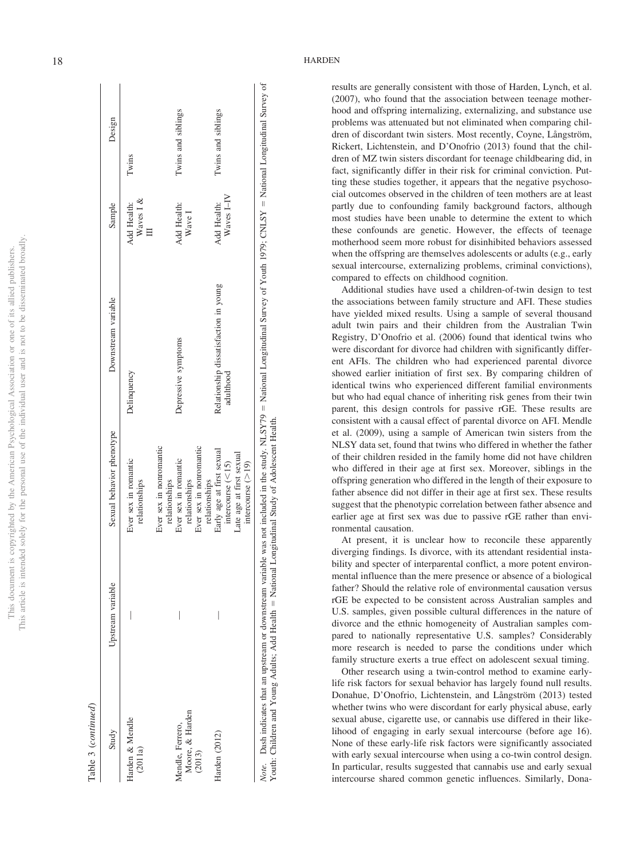|                               | ٠<br>i                   |
|-------------------------------|--------------------------|
|                               |                          |
|                               | j                        |
| i                             |                          |
| í<br>ċ<br>j                   |                          |
|                               |                          |
| Ś                             |                          |
| ζ<br>ï                        |                          |
|                               | j                        |
|                               | í<br>ì                   |
|                               |                          |
|                               | j                        |
|                               |                          |
|                               |                          |
| J                             |                          |
| į<br>$\overline{\phantom{a}}$ | i                        |
| j                             |                          |
|                               | ţ                        |
| ŗ                             |                          |
| i                             |                          |
|                               | í                        |
|                               |                          |
|                               |                          |
| nne i                         | i                        |
|                               |                          |
|                               |                          |
|                               |                          |
|                               | Ì                        |
| чoп u                         |                          |
|                               |                          |
|                               |                          |
| ١                             | I                        |
|                               |                          |
| j                             |                          |
|                               | <b>TIOOT</b>             |
|                               | j                        |
|                               | j                        |
|                               |                          |
|                               |                          |
| į                             |                          |
|                               |                          |
| ਫ਼                            |                          |
|                               | í                        |
| i<br>ï                        |                          |
| j<br>λĺ<br>Ϊ                  |                          |
| I                             |                          |
| ì                             |                          |
| J                             |                          |
| にっこっし                         | Ë                        |
|                               |                          |
|                               |                          |
|                               |                          |
|                               | c                        |
|                               |                          |
| can                           | i controller             |
| ï                             |                          |
|                               |                          |
| é<br>í                        |                          |
| i<br>S                        | ¢                        |
|                               | いきくこう                    |
|                               |                          |
|                               |                          |
|                               |                          |
| .ne                           | $\overline{\phantom{a}}$ |
| š                             |                          |
|                               | .<br>Be                  |
|                               |                          |
|                               | į.                       |
|                               |                          |
| ź<br>¢                        | $\overline{ }$           |
|                               |                          |
| Ì<br>₿                        |                          |
| ł<br>1<br>j                   |                          |
|                               | ł<br>j                   |
| POUT THE                      |                          |
|                               |                          |
| í                             |                          |
| I                             |                          |
|                               |                          |
|                               |                          |
|                               |                          |
| i                             | $\frac{1}{2}$            |
| š                             |                          |
|                               |                          |
| i<br>S                        |                          |
|                               |                          |
|                               |                          |
| í                             |                          |
| ì                             |                          |
|                               | Ŝ                        |
|                               |                          |
| į                             |                          |
|                               |                          |
| ŀ<br>i                        | 11C                      |
|                               |                          |
|                               |                          |
|                               | i                        |
|                               |                          |

Table 3 (

| Study                               | Upstream variable | Sexual behavior phenotype                                                                        | Downstream variable                                | Sample                        | Design             |
|-------------------------------------|-------------------|--------------------------------------------------------------------------------------------------|----------------------------------------------------|-------------------------------|--------------------|
| Harden & Mendle<br>(2011a)          | I                 | Ever sex in romantic<br>relationships                                                            | Delinquency                                        | Waves I &<br>Add Health:<br>Ë | Twins              |
| Moore, & Harden<br>Mendle, Ferrero, |                   | Ever sex in nonromantic<br>Ever sex in romantic<br>relationships<br>relationships                | Depressive symptoms                                | <b>Add Health:</b><br>Wave I  | Twins and siblings |
| Harden (2012)<br>(2013)             | I                 | Ever sex in nonromantic<br>Early age at first sexual<br>intercourse $(\leq 15)$<br>relationships | Relationship dissatisfaction in young<br>adulthood | Waves I-IV<br>Add Health:     | Twins and siblings |
|                                     |                   | Late age at first sexual<br>intercourse $($ >19)                                                 |                                                    |                               |                    |

results are generally consistent with those of Harden, Lynch, et al. (2007), who found that the association between teenage motherhood and offspring internalizing, externalizing, and substance use problems was attenuated but not eliminated when comparing children of discordant twin sisters. Most recently, Coyne, Långström, Rickert, Lichtenstein, and D'Onofrio (2013) found that the children of MZ twin sisters discordant for teenage childbearing did, in fact, significantly differ in their risk for criminal conviction. Putting these studies together, it appears that the negative psychosocial outcomes observed in the children of teen mothers are at least partly due to confounding family background factors, although most studies have been unable to determine the extent to which these confounds are genetic. However, the effects of teenage motherhood seem more robust for disinhibited behaviors assessed when the offspring are themselves adolescents or adults (e.g., early sexual intercourse, externalizing problems, criminal convictions), compared to effects on childhood cognition.

Additional studies have used a children-of-twin design to test the associations between family structure and AFI. These studies have yielded mixed results. Using a sample of several thousand adult twin pairs and their children from the Australian Twin Registry, D'Onofrio et al. (2006) found that identical twins who were discordant for divorce had children with significantly different AFIs. The children who had experienced parental divorce showed earlier initiation of first sex. By comparing children of identical twins who experienced different familial environments but who had equal chance of inheriting risk genes from their twin parent, this design controls for passive rGE. These results are consistent with a causal effect of parental divorce on AFI. Mendle et al. (2009), using a sample of American twin sisters from the NLSY data set, found that twins who differed in whether the father of their children resided in the family home did not have children who differed in their age at first sex. Moreover, siblings in the offspring generation who differed in the length of their exposure to father absence did not differ in their age at first sex. These results suggest that the phenotypic correlation between father absence and earlier age at first sex was due to passive rGE rather than environmental causation.

At present, it is unclear how to reconcile these apparently diverging findings. Is divorce, with its attendant residential instability and specter of interparental conflict, a more potent environmental influence than the mere presence or absence of a biological father? Should the relative role of environmental causation versus rGE be expected to be consistent across Australian samples and U.S. samples, given possible cultural differences in the nature of divorce and the ethnic homogeneity of Australian samples compared to nationally representative U.S. samples? Considerably more research is needed to parse the conditions under which family structure exerts a true effect on adolescent sexual timing.

Other research using a twin-control method to examine earlylife risk factors for sexual behavior has largely found null results. Donahue, D'Onofrio, Lichtenstein, and Långström (2013) tested whether twins who were discordant for early physical abuse, early sexual abuse, cigarette use, or cannabis use differed in their likelihood of engaging in early sexual intercourse (before age 16). None of these early-life risk factors were significantly associated with early sexual intercourse when using a co-twin control design. In particular, results suggested that cannabis use and early sexual intercourse shared common genetic influences. Similarly, Dona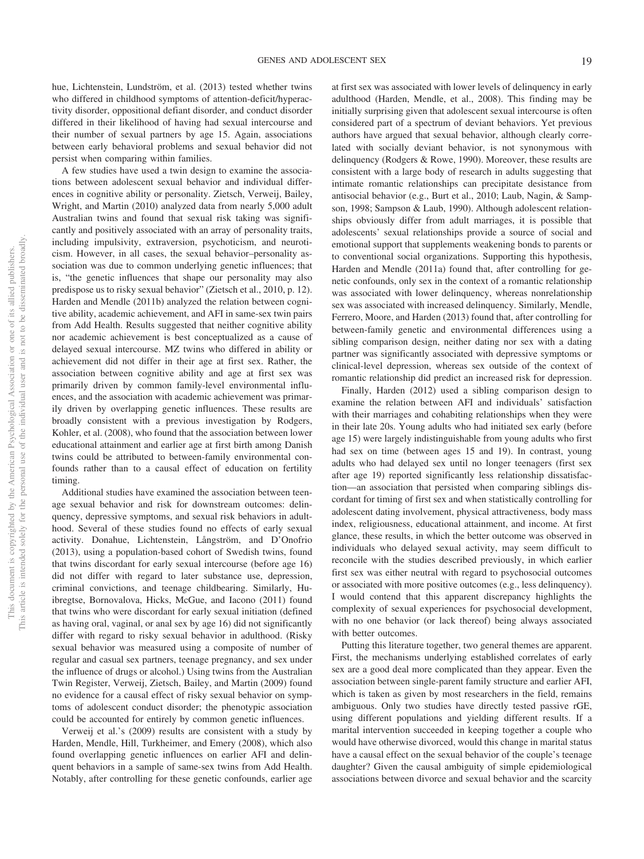hue, Lichtenstein, Lundström, et al. (2013) tested whether twins who differed in childhood symptoms of attention-deficit/hyperactivity disorder, oppositional defiant disorder, and conduct disorder differed in their likelihood of having had sexual intercourse and their number of sexual partners by age 15. Again, associations between early behavioral problems and sexual behavior did not persist when comparing within families.

A few studies have used a twin design to examine the associations between adolescent sexual behavior and individual differences in cognitive ability or personality. Zietsch, Verweij, Bailey, Wright, and Martin (2010) analyzed data from nearly 5,000 adult Australian twins and found that sexual risk taking was significantly and positively associated with an array of personality traits, including impulsivity, extraversion, psychoticism, and neuroticism. However, in all cases, the sexual behavior–personality association was due to common underlying genetic influences; that is, "the genetic influences that shape our personality may also predispose us to risky sexual behavior" (Zietsch et al., 2010, p. 12). Harden and Mendle (2011b) analyzed the relation between cognitive ability, academic achievement, and AFI in same-sex twin pairs from Add Health. Results suggested that neither cognitive ability nor academic achievement is best conceptualized as a cause of delayed sexual intercourse. MZ twins who differed in ability or achievement did not differ in their age at first sex. Rather, the association between cognitive ability and age at first sex was primarily driven by common family-level environmental influences, and the association with academic achievement was primarily driven by overlapping genetic influences. These results are broadly consistent with a previous investigation by Rodgers, Kohler, et al. (2008), who found that the association between lower educational attainment and earlier age at first birth among Danish twins could be attributed to between-family environmental confounds rather than to a causal effect of education on fertility timing.

Additional studies have examined the association between teenage sexual behavior and risk for downstream outcomes: delinquency, depressive symptoms, and sexual risk behaviors in adulthood. Several of these studies found no effects of early sexual activity. Donahue, Lichtenstein, Långström, and D'Onofrio (2013), using a population-based cohort of Swedish twins, found that twins discordant for early sexual intercourse (before age 16) did not differ with regard to later substance use, depression, criminal convictions, and teenage childbearing. Similarly, Huibregtse, Bornovalova, Hicks, McGue, and Iacono (2011) found that twins who were discordant for early sexual initiation (defined as having oral, vaginal, or anal sex by age 16) did not significantly differ with regard to risky sexual behavior in adulthood. (Risky sexual behavior was measured using a composite of number of regular and casual sex partners, teenage pregnancy, and sex under the influence of drugs or alcohol.) Using twins from the Australian Twin Register, Verweij, Zietsch, Bailey, and Martin (2009) found no evidence for a causal effect of risky sexual behavior on symptoms of adolescent conduct disorder; the phenotypic association could be accounted for entirely by common genetic influences.

Verweij et al.'s (2009) results are consistent with a study by Harden, Mendle, Hill, Turkheimer, and Emery (2008), which also found overlapping genetic influences on earlier AFI and delinquent behaviors in a sample of same-sex twins from Add Health. Notably, after controlling for these genetic confounds, earlier age at first sex was associated with lower levels of delinquency in early adulthood (Harden, Mendle, et al., 2008). This finding may be initially surprising given that adolescent sexual intercourse is often considered part of a spectrum of deviant behaviors. Yet previous authors have argued that sexual behavior, although clearly correlated with socially deviant behavior, is not synonymous with delinquency (Rodgers & Rowe, 1990). Moreover, these results are consistent with a large body of research in adults suggesting that intimate romantic relationships can precipitate desistance from antisocial behavior (e.g., Burt et al., 2010; Laub, Nagin, & Sampson, 1998; Sampson & Laub, 1990). Although adolescent relationships obviously differ from adult marriages, it is possible that adolescents' sexual relationships provide a source of social and emotional support that supplements weakening bonds to parents or to conventional social organizations. Supporting this hypothesis, Harden and Mendle (2011a) found that, after controlling for genetic confounds, only sex in the context of a romantic relationship was associated with lower delinquency, whereas nonrelationship sex was associated with increased delinquency. Similarly, Mendle, Ferrero, Moore, and Harden (2013) found that, after controlling for between-family genetic and environmental differences using a sibling comparison design, neither dating nor sex with a dating partner was significantly associated with depressive symptoms or clinical-level depression, whereas sex outside of the context of romantic relationship did predict an increased risk for depression.

Finally, Harden (2012) used a sibling comparison design to examine the relation between AFI and individuals' satisfaction with their marriages and cohabiting relationships when they were in their late 20s. Young adults who had initiated sex early (before age 15) were largely indistinguishable from young adults who first had sex on time (between ages 15 and 19). In contrast, young adults who had delayed sex until no longer teenagers (first sex after age 19) reported significantly less relationship dissatisfaction—an association that persisted when comparing siblings discordant for timing of first sex and when statistically controlling for adolescent dating involvement, physical attractiveness, body mass index, religiousness, educational attainment, and income. At first glance, these results, in which the better outcome was observed in individuals who delayed sexual activity, may seem difficult to reconcile with the studies described previously, in which earlier first sex was either neutral with regard to psychosocial outcomes or associated with more positive outcomes (e.g., less delinquency). I would contend that this apparent discrepancy highlights the complexity of sexual experiences for psychosocial development, with no one behavior (or lack thereof) being always associated with better outcomes.

Putting this literature together, two general themes are apparent. First, the mechanisms underlying established correlates of early sex are a good deal more complicated than they appear. Even the association between single-parent family structure and earlier AFI, which is taken as given by most researchers in the field, remains ambiguous. Only two studies have directly tested passive rGE, using different populations and yielding different results. If a marital intervention succeeded in keeping together a couple who would have otherwise divorced, would this change in marital status have a causal effect on the sexual behavior of the couple's teenage daughter? Given the causal ambiguity of simple epidemiological associations between divorce and sexual behavior and the scarcity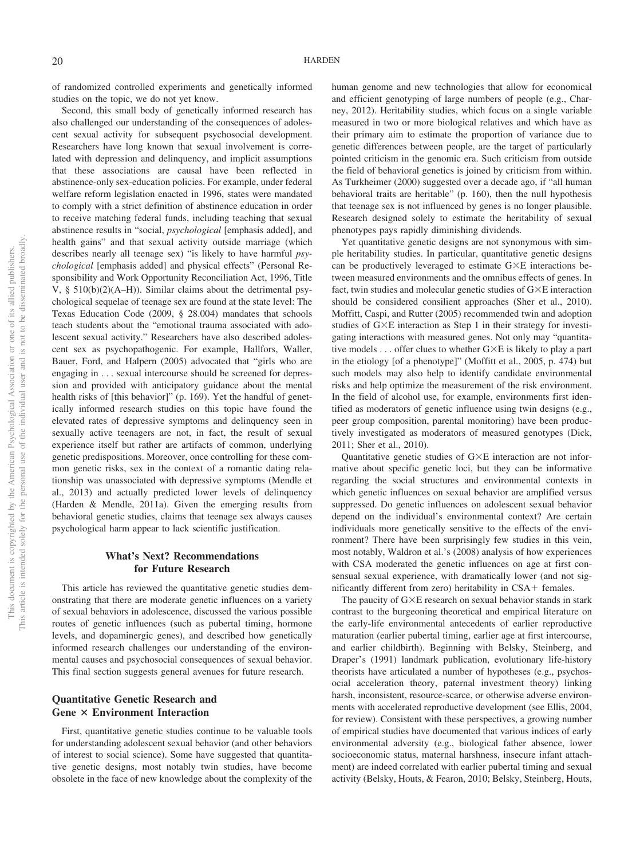of randomized controlled experiments and genetically informed studies on the topic, we do not yet know.

Second, this small body of genetically informed research has also challenged our understanding of the consequences of adolescent sexual activity for subsequent psychosocial development. Researchers have long known that sexual involvement is correlated with depression and delinquency, and implicit assumptions that these associations are causal have been reflected in abstinence-only sex-education policies. For example, under federal welfare reform legislation enacted in 1996, states were mandated to comply with a strict definition of abstinence education in order to receive matching federal funds, including teaching that sexual abstinence results in "social, *psychological* [emphasis added], and health gains" and that sexual activity outside marriage (which describes nearly all teenage sex) "is likely to have harmful *psychological* [emphasis added] and physical effects" (Personal Responsibility and Work Opportunity Reconciliation Act, 1996, Title V, § 510(b)(2)(A–H)). Similar claims about the detrimental psychological sequelae of teenage sex are found at the state level: The Texas Education Code (2009, § 28.004) mandates that schools teach students about the "emotional trauma associated with adolescent sexual activity." Researchers have also described adolescent sex as psychopathogenic. For example, Hallfors, Waller, Bauer, Ford, and Halpern (2005) advocated that "girls who are engaging in . . . sexual intercourse should be screened for depression and provided with anticipatory guidance about the mental health risks of [this behavior]" (p. 169). Yet the handful of genetically informed research studies on this topic have found the elevated rates of depressive symptoms and delinquency seen in sexually active teenagers are not, in fact, the result of sexual experience itself but rather are artifacts of common, underlying genetic predispositions. Moreover, once controlling for these common genetic risks, sex in the context of a romantic dating relationship was unassociated with depressive symptoms (Mendle et al., 2013) and actually predicted lower levels of delinquency (Harden & Mendle, 2011a). Given the emerging results from behavioral genetic studies, claims that teenage sex always causes psychological harm appear to lack scientific justification.

#### **What's Next? Recommendations for Future Research**

This article has reviewed the quantitative genetic studies demonstrating that there are moderate genetic influences on a variety of sexual behaviors in adolescence, discussed the various possible routes of genetic influences (such as pubertal timing, hormone levels, and dopaminergic genes), and described how genetically informed research challenges our understanding of the environmental causes and psychosocial consequences of sexual behavior. This final section suggests general avenues for future research.

#### **Quantitative Genetic Research and Gene Environment Interaction**

First, quantitative genetic studies continue to be valuable tools for understanding adolescent sexual behavior (and other behaviors of interest to social science). Some have suggested that quantitative genetic designs, most notably twin studies, have become obsolete in the face of new knowledge about the complexity of the human genome and new technologies that allow for economical and efficient genotyping of large numbers of people (e.g., Charney, 2012). Heritability studies, which focus on a single variable measured in two or more biological relatives and which have as their primary aim to estimate the proportion of variance due to genetic differences between people, are the target of particularly pointed criticism in the genomic era. Such criticism from outside the field of behavioral genetics is joined by criticism from within. As Turkheimer (2000) suggested over a decade ago, if "all human behavioral traits are heritable" (p. 160), then the null hypothesis that teenage sex is not influenced by genes is no longer plausible. Research designed solely to estimate the heritability of sexual phenotypes pays rapidly diminishing dividends.

Yet quantitative genetic designs are not synonymous with simple heritability studies. In particular, quantitative genetic designs can be productively leveraged to estimate  $G \times E$  interactions between measured environments and the omnibus effects of genes. In fact, twin studies and molecular genetic studies of  $G \times E$  interaction should be considered consilient approaches (Sher et al., 2010). Moffitt, Caspi, and Rutter (2005) recommended twin and adoption studies of  $G \times E$  interaction as Step 1 in their strategy for investigating interactions with measured genes. Not only may "quantitative models  $\dots$  offer clues to whether  $G \times E$  is likely to play a part in the etiology [of a phenotype]" (Moffitt et al., 2005, p. 474) but such models may also help to identify candidate environmental risks and help optimize the measurement of the risk environment. In the field of alcohol use, for example, environments first identified as moderators of genetic influence using twin designs (e.g., peer group composition, parental monitoring) have been productively investigated as moderators of measured genotypes (Dick, 2011; Sher et al., 2010).

Quantitative genetic studies of  $G \times E$  interaction are not informative about specific genetic loci, but they can be informative regarding the social structures and environmental contexts in which genetic influences on sexual behavior are amplified versus suppressed. Do genetic influences on adolescent sexual behavior depend on the individual's environmental context? Are certain individuals more genetically sensitive to the effects of the environment? There have been surprisingly few studies in this vein, most notably, Waldron et al.'s (2008) analysis of how experiences with CSA moderated the genetic influences on age at first consensual sexual experience, with dramatically lower (and not significantly different from zero) heritability in CSA+ females.

The paucity of  $G \times E$  research on sexual behavior stands in stark contrast to the burgeoning theoretical and empirical literature on the early-life environmental antecedents of earlier reproductive maturation (earlier pubertal timing, earlier age at first intercourse, and earlier childbirth). Beginning with Belsky, Steinberg, and Draper's (1991) landmark publication, evolutionary life-history theorists have articulated a number of hypotheses (e.g., psychosocial acceleration theory, paternal investment theory) linking harsh, inconsistent, resource-scarce, or otherwise adverse environments with accelerated reproductive development (see Ellis, 2004, for review). Consistent with these perspectives, a growing number of empirical studies have documented that various indices of early environmental adversity (e.g., biological father absence, lower socioeconomic status, maternal harshness, insecure infant attachment) are indeed correlated with earlier pubertal timing and sexual activity (Belsky, Houts, & Fearon, 2010; Belsky, Steinberg, Houts,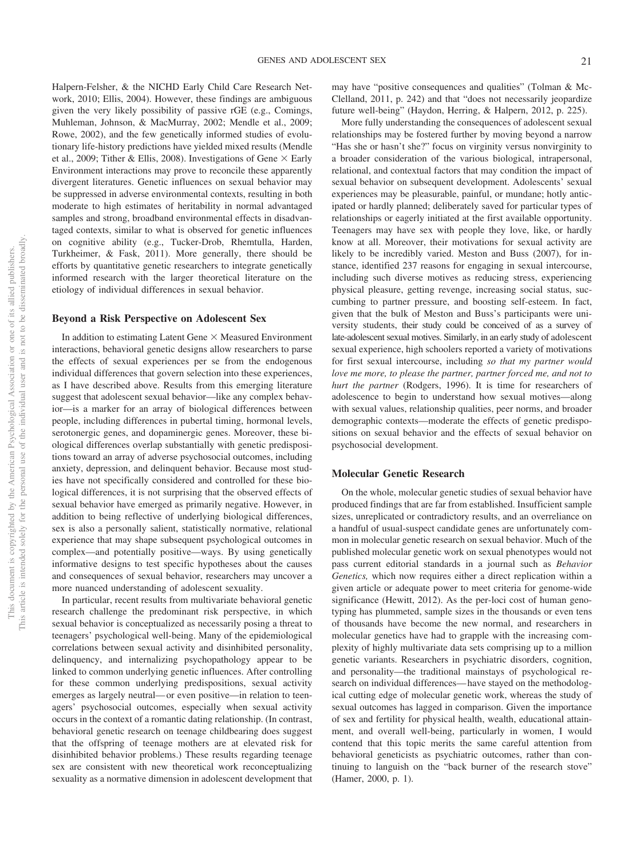Halpern-Felsher, & the NICHD Early Child Care Research Network, 2010; Ellis, 2004). However, these findings are ambiguous given the very likely possibility of passive rGE (e.g., Comings, Muhleman, Johnson, & MacMurray, 2002; Mendle et al., 2009; Rowe, 2002), and the few genetically informed studies of evolutionary life-history predictions have yielded mixed results (Mendle et al., 2009; Tither & Ellis, 2008). Investigations of Gene  $\times$  Early Environment interactions may prove to reconcile these apparently divergent literatures. Genetic influences on sexual behavior may be suppressed in adverse environmental contexts, resulting in both moderate to high estimates of heritability in normal advantaged samples and strong, broadband environmental effects in disadvantaged contexts, similar to what is observed for genetic influences on cognitive ability (e.g., Tucker-Drob, Rhemtulla, Harden, Turkheimer, & Fask, 2011). More generally, there should be efforts by quantitative genetic researchers to integrate genetically informed research with the larger theoretical literature on the etiology of individual differences in sexual behavior.

#### **Beyond a Risk Perspective on Adolescent Sex**

In addition to estimating Latent Gene  $\times$  Measured Environment interactions, behavioral genetic designs allow researchers to parse the effects of sexual experiences per se from the endogenous individual differences that govern selection into these experiences, as I have described above. Results from this emerging literature suggest that adolescent sexual behavior—like any complex behavior—is a marker for an array of biological differences between people, including differences in pubertal timing, hormonal levels, serotonergic genes, and dopaminergic genes. Moreover, these biological differences overlap substantially with genetic predispositions toward an array of adverse psychosocial outcomes, including anxiety, depression, and delinquent behavior. Because most studies have not specifically considered and controlled for these biological differences, it is not surprising that the observed effects of sexual behavior have emerged as primarily negative. However, in addition to being reflective of underlying biological differences, sex is also a personally salient, statistically normative, relational experience that may shape subsequent psychological outcomes in complex—and potentially positive—ways. By using genetically informative designs to test specific hypotheses about the causes and consequences of sexual behavior, researchers may uncover a more nuanced understanding of adolescent sexuality.

In particular, recent results from multivariate behavioral genetic research challenge the predominant risk perspective, in which sexual behavior is conceptualized as necessarily posing a threat to teenagers' psychological well-being. Many of the epidemiological correlations between sexual activity and disinhibited personality, delinquency, and internalizing psychopathology appear to be linked to common underlying genetic influences. After controlling for these common underlying predispositions, sexual activity emerges as largely neutral— or even positive—in relation to teenagers' psychosocial outcomes, especially when sexual activity occurs in the context of a romantic dating relationship. (In contrast, behavioral genetic research on teenage childbearing does suggest that the offspring of teenage mothers are at elevated risk for disinhibited behavior problems.) These results regarding teenage sex are consistent with new theoretical work reconceptualizing sexuality as a normative dimension in adolescent development that may have "positive consequences and qualities" (Tolman & Mc-Clelland, 2011, p. 242) and that "does not necessarily jeopardize future well-being" (Haydon, Herring, & Halpern, 2012, p. 225).

More fully understanding the consequences of adolescent sexual relationships may be fostered further by moving beyond a narrow "Has she or hasn't she?" focus on virginity versus nonvirginity to a broader consideration of the various biological, intrapersonal, relational, and contextual factors that may condition the impact of sexual behavior on subsequent development. Adolescents' sexual experiences may be pleasurable, painful, or mundane; hotly anticipated or hardly planned; deliberately saved for particular types of relationships or eagerly initiated at the first available opportunity. Teenagers may have sex with people they love, like, or hardly know at all. Moreover, their motivations for sexual activity are likely to be incredibly varied. Meston and Buss (2007), for instance, identified 237 reasons for engaging in sexual intercourse, including such diverse motives as reducing stress, experiencing physical pleasure, getting revenge, increasing social status, succumbing to partner pressure, and boosting self-esteem. In fact, given that the bulk of Meston and Buss's participants were university students, their study could be conceived of as a survey of late-adolescent sexual motives. Similarly, in an early study of adolescent sexual experience, high schoolers reported a variety of motivations for first sexual intercourse, including *so that my partner would love me more, to please the partner, partner forced me, and not to hurt the partner* (Rodgers, 1996). It is time for researchers of adolescence to begin to understand how sexual motives—along with sexual values, relationship qualities, peer norms, and broader demographic contexts—moderate the effects of genetic predispositions on sexual behavior and the effects of sexual behavior on psychosocial development.

#### **Molecular Genetic Research**

On the whole, molecular genetic studies of sexual behavior have produced findings that are far from established. Insufficient sample sizes, unreplicated or contradictory results, and an overreliance on a handful of usual-suspect candidate genes are unfortunately common in molecular genetic research on sexual behavior. Much of the published molecular genetic work on sexual phenotypes would not pass current editorial standards in a journal such as *Behavior Genetics,* which now requires either a direct replication within a given article or adequate power to meet criteria for genome-wide significance (Hewitt, 2012). As the per-loci cost of human genotyping has plummeted, sample sizes in the thousands or even tens of thousands have become the new normal, and researchers in molecular genetics have had to grapple with the increasing complexity of highly multivariate data sets comprising up to a million genetic variants. Researchers in psychiatric disorders, cognition, and personality—the traditional mainstays of psychological research on individual differences— have stayed on the methodological cutting edge of molecular genetic work, whereas the study of sexual outcomes has lagged in comparison. Given the importance of sex and fertility for physical health, wealth, educational attainment, and overall well-being, particularly in women, I would contend that this topic merits the same careful attention from behavioral geneticists as psychiatric outcomes, rather than continuing to languish on the "back burner of the research stove" (Hamer, 2000, p. 1).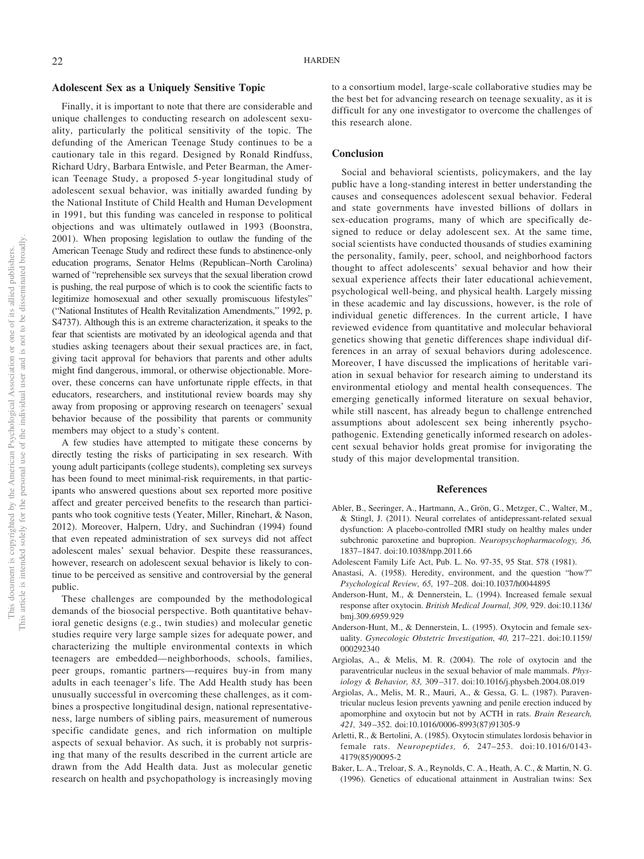#### **Adolescent Sex as a Uniquely Sensitive Topic**

Finally, it is important to note that there are considerable and unique challenges to conducting research on adolescent sexuality, particularly the political sensitivity of the topic. The defunding of the American Teenage Study continues to be a cautionary tale in this regard. Designed by Ronald Rindfuss, Richard Udry, Barbara Entwisle, and Peter Bearman, the American Teenage Study, a proposed 5-year longitudinal study of adolescent sexual behavior, was initially awarded funding by the National Institute of Child Health and Human Development in 1991, but this funding was canceled in response to political objections and was ultimately outlawed in 1993 (Boonstra, 2001). When proposing legislation to outlaw the funding of the American Teenage Study and redirect these funds to abstinence-only education programs, Senator Helms (Republican–North Carolina) warned of "reprehensible sex surveys that the sexual liberation crowd is pushing, the real purpose of which is to cook the scientific facts to legitimize homosexual and other sexually promiscuous lifestyles" ("National Institutes of Health Revitalization Amendments," 1992, p. S4737). Although this is an extreme characterization, it speaks to the fear that scientists are motivated by an ideological agenda and that studies asking teenagers about their sexual practices are, in fact, giving tacit approval for behaviors that parents and other adults might find dangerous, immoral, or otherwise objectionable. Moreover, these concerns can have unfortunate ripple effects, in that educators, researchers, and institutional review boards may shy away from proposing or approving research on teenagers' sexual behavior because of the possibility that parents or community members may object to a study's content.

A few studies have attempted to mitigate these concerns by directly testing the risks of participating in sex research. With young adult participants (college students), completing sex surveys has been found to meet minimal-risk requirements, in that participants who answered questions about sex reported more positive affect and greater perceived benefits to the research than participants who took cognitive tests (Yeater, Miller, Rinehart, & Nason, 2012). Moreover, Halpern, Udry, and Suchindran (1994) found that even repeated administration of sex surveys did not affect adolescent males' sexual behavior. Despite these reassurances, however, research on adolescent sexual behavior is likely to continue to be perceived as sensitive and controversial by the general public.

These challenges are compounded by the methodological demands of the biosocial perspective. Both quantitative behavioral genetic designs (e.g., twin studies) and molecular genetic studies require very large sample sizes for adequate power, and characterizing the multiple environmental contexts in which teenagers are embedded—neighborhoods, schools, families, peer groups, romantic partners—requires buy-in from many adults in each teenager's life. The Add Health study has been unusually successful in overcoming these challenges, as it combines a prospective longitudinal design, national representativeness, large numbers of sibling pairs, measurement of numerous specific candidate genes, and rich information on multiple aspects of sexual behavior. As such, it is probably not surprising that many of the results described in the current article are drawn from the Add Health data. Just as molecular genetic research on health and psychopathology is increasingly moving

to a consortium model, large-scale collaborative studies may be the best bet for advancing research on teenage sexuality, as it is difficult for any one investigator to overcome the challenges of this research alone.

#### **Conclusion**

Social and behavioral scientists, policymakers, and the lay public have a long-standing interest in better understanding the causes and consequences adolescent sexual behavior. Federal and state governments have invested billions of dollars in sex-education programs, many of which are specifically designed to reduce or delay adolescent sex. At the same time, social scientists have conducted thousands of studies examining the personality, family, peer, school, and neighborhood factors thought to affect adolescents' sexual behavior and how their sexual experience affects their later educational achievement, psychological well-being, and physical health. Largely missing in these academic and lay discussions, however, is the role of individual genetic differences. In the current article, I have reviewed evidence from quantitative and molecular behavioral genetics showing that genetic differences shape individual differences in an array of sexual behaviors during adolescence. Moreover, I have discussed the implications of heritable variation in sexual behavior for research aiming to understand its environmental etiology and mental health consequences. The emerging genetically informed literature on sexual behavior, while still nascent, has already begun to challenge entrenched assumptions about adolescent sex being inherently psychopathogenic. Extending genetically informed research on adolescent sexual behavior holds great promise for invigorating the study of this major developmental transition.

#### **References**

- Abler, B., Seeringer, A., Hartmann, A., Grön, G., Metzger, C., Walter, M., & Stingl, J. (2011). Neural correlates of antidepressant-related sexual dysfunction: A placebo-controlled fMRI study on healthy males under subchronic paroxetine and bupropion. *Neuropsychopharmacology, 36,* 1837–1847. doi:10.1038/npp.2011.66
- Adolescent Family Life Act, Pub. L. No. 97-35, 95 Stat. 578 (1981).
- Anastasi, A. (1958). Heredity, environment, and the question "how?" *Psychological Review, 65,* 197–208. doi:10.1037/h0044895
- Anderson-Hunt, M., & Dennerstein, L. (1994). Increased female sexual response after oxytocin. *British Medical Journal, 309,* 929. doi:10.1136/ bmj.309.6959.929
- Anderson-Hunt, M., & Dennerstein, L. (1995). Oxytocin and female sexuality. *Gynecologic Obstetric Investigation, 40,* 217–221. doi:10.1159/ 000292340
- Argiolas, A., & Melis, M. R. (2004). The role of oxytocin and the paraventricular nucleus in the sexual behavior of male mammals. *Physiology & Behavior, 83,* 309 –317. doi:10.1016/j.physbeh.2004.08.019
- Argiolas, A., Melis, M. R., Mauri, A., & Gessa, G. L. (1987). Paraventricular nucleus lesion prevents yawning and penile erection induced by apomorphine and oxytocin but not by ACTH in rats. *Brain Research, 421,* 349 –352. doi:10.1016/0006-8993(87)91305-9
- Arletti, R., & Bertolini, A. (1985). Oxytocin stimulates lordosis behavior in female rats. *Neuropeptides, 6,* 247–253. doi:10.1016/0143- 4179(85)90095-2
- Baker, L. A., Treloar, S. A., Reynolds, C. A., Heath, A. C., & Martin, N. G. (1996). Genetics of educational attainment in Australian twins: Sex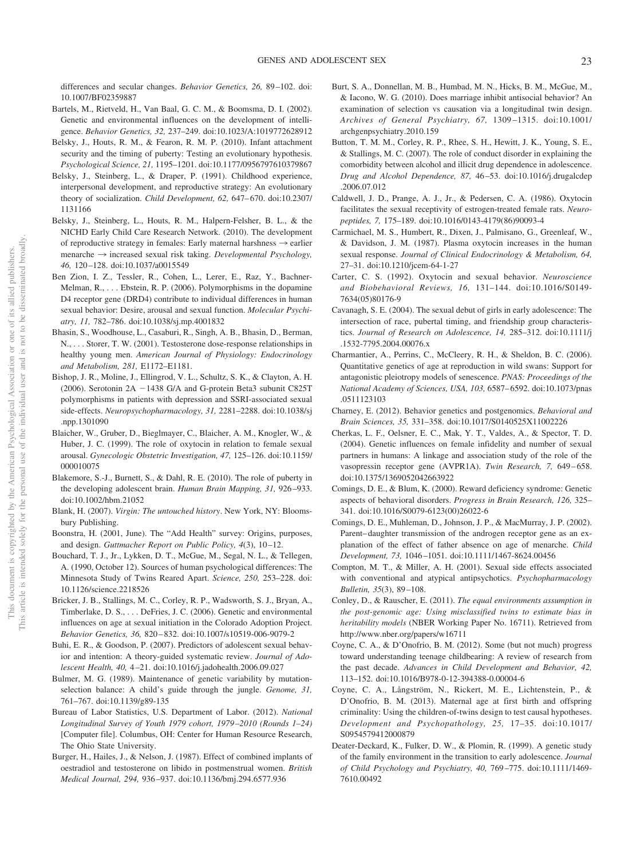differences and secular changes. *Behavior Genetics*, 26, 89-102. doi: 10.1007/BF02359887

- Bartels, M., Rietveld, H., Van Baal, G. C. M., & Boomsma, D. I. (2002). Genetic and environmental influences on the development of intelligence. *Behavior Genetics, 32,* 237–249. doi:10.1023/A:1019772628912
- Belsky, J., Houts, R. M., & Fearon, R. M. P. (2010). Infant attachment security and the timing of puberty: Testing an evolutionary hypothesis. *Psychological Science, 21,* 1195–1201. doi:10.1177/0956797610379867
- Belsky, J., Steinberg, L., & Draper, P. (1991). Childhood experience, interpersonal development, and reproductive strategy: An evolutionary theory of socialization. *Child Development*, 62, 647–670. doi:10.2307/ 1131166
- Belsky, J., Steinberg, L., Houts, R. M., Halpern-Felsher, B. L., & the NICHD Early Child Care Research Network. (2010). The development of reproductive strategy in females: Early maternal harshness  $\rightarrow$  earlier menarche ¡ increased sexual risk taking. *Developmental Psychology, 46,* 120 –128. doi:10.1037/a0015549
- Ben Zion, I. Z., Tessler, R., Cohen, L., Lerer, E., Raz, Y., Bachner-Melman, R.,... Ebstein, R. P. (2006). Polymorphisms in the dopamine D4 receptor gene (DRD4) contribute to individual differences in human sexual behavior: Desire, arousal and sexual function. *Molecular Psychiatry, 11,* 782–786. doi:10.1038/sj.mp.4001832
- Bhasin, S., Woodhouse, L., Casaburi, R., Singh, A. B., Bhasin, D., Berman, N., . . . Storer, T. W. (2001). Testosterone dose-response relationships in healthy young men. *American Journal of Physiology: Endocrinology and Metabolism, 281,* E1172–E1181.
- Bishop, J. R., Moline, J., Ellingrod, V. L., Schultz, S. K., & Clayton, A. H. (2006). Serotonin  $2A - 1438$  G/A and G-protein Beta3 subunit C825T polymorphisms in patients with depression and SSRI-associated sexual side-effects. *Neuropsychopharmacology, 31,* 2281–2288. doi:10.1038/sj .npp.1301090
- Blaicher, W., Gruber, D., Bieglmayer, C., Blaicher, A. M., Knogler, W., & Huber, J. C. (1999). The role of oxytocin in relation to female sexual arousal. *Gynecologic Obstetric Investigation, 47,* 125–126. doi:10.1159/ 000010075
- Blakemore, S.-J., Burnett, S., & Dahl, R. E. (2010). The role of puberty in the developing adolescent brain. *Human Brain Mapping, 31,* 926 –933. doi:10.1002/hbm.21052
- Blank, H. (2007). *Virgin: The untouched history*. New York, NY: Bloomsbury Publishing.
- Boonstra, H. (2001, June). The "Add Health" survey: Origins, purposes, and design. *Guttmacher Report on Public Policy, 4*(3), 10 –12.
- Bouchard, T. J., Jr., Lykken, D. T., McGue, M., Segal, N. L., & Tellegen, A. (1990, October 12). Sources of human psychological differences: The Minnesota Study of Twins Reared Apart. *Science, 250,* 253–228. doi: 10.1126/science.2218526
- Bricker, J. B., Stallings, M. C., Corley, R. P., Wadsworth, S. J., Bryan, A., Timberlake, D. S.,... DeFries, J. C. (2006). Genetic and environmental influences on age at sexual initiation in the Colorado Adoption Project. *Behavior Genetics, 36,* 820 – 832. doi:10.1007/s10519-006-9079-2
- Buhi, E. R., & Goodson, P. (2007). Predictors of adolescent sexual behavior and intention: A theory-guided systematic review. *Journal of Adolescent Health, 40,* 4 –21. doi:10.1016/j.jadohealth.2006.09.027
- Bulmer, M. G. (1989). Maintenance of genetic variability by mutationselection balance: A child's guide through the jungle. *Genome, 31,* 761–767. doi:10.1139/g89-135
- Bureau of Labor Statistics, U.S. Department of Labor. (2012). *National Longitudinal Survey of Youth 1979 cohort, 1979 –2010 (Rounds 1–24)* [Computer file]. Columbus, OH: Center for Human Resource Research, The Ohio State University.
- Burger, H., Hailes, J., & Nelson, J. (1987). Effect of combined implants of oestradiol and testosterone on libido in postmenstrual women. *British Medical Journal, 294,* 936 –937. doi:10.1136/bmj.294.6577.936
- Burt, S. A., Donnellan, M. B., Humbad, M. N., Hicks, B. M., McGue, M., & Iacono, W. G. (2010). Does marriage inhibit antisocial behavior? An examination of selection vs causation via a longitudinal twin design. *Archives of General Psychiatry, 67,* 1309 –1315. doi:10.1001/ archgenpsychiatry.2010.159
- Button, T. M. M., Corley, R. P., Rhee, S. H., Hewitt, J. K., Young, S. E., & Stallings, M. C. (2007). The role of conduct disorder in explaining the comorbidity between alcohol and illicit drug dependence in adolescence. *Drug and Alcohol Dependence, 87,* 46 –53. doi:10.1016/j.drugalcdep .2006.07.012
- Caldwell, J. D., Prange, A. J., Jr., & Pedersen, C. A. (1986). Oxytocin facilitates the sexual receptivity of estrogen-treated female rats. *Neuropeptides, 7,* 175–189. doi:10.1016/0143-4179(86)90093-4
- Carmichael, M. S., Humbert, R., Dixen, J., Palmisano, G., Greenleaf, W., & Davidson, J. M. (1987). Plasma oxytocin increases in the human sexual response. *Journal of Clinical Endocrinology & Metabolism, 64,* 27–31. doi:10.1210/jcem-64-1-27
- Carter, C. S. (1992). Oxytocin and sexual behavior. *Neuroscience and Biobehavioral Reviews, 16,* 131–144. doi:10.1016/S0149- 7634(05)80176-9
- Cavanagh, S. E. (2004). The sexual debut of girls in early adolescence: The intersection of race, pubertal timing, and friendship group characteristics. *Journal of Research on Adolescence, 14,* 285–312. doi:10.1111/j .1532-7795.2004.00076.x
- Charmantier, A., Perrins, C., McCleery, R. H., & Sheldon, B. C. (2006). Quantitative genetics of age at reproduction in wild swans: Support for antagonistic pleiotropy models of senescence. *PNAS: Proceedings of the National Academy of Sciences, USA, 103,* 6587– 6592. doi:10.1073/pnas .0511123103
- Charney, E. (2012). Behavior genetics and postgenomics. *Behavioral and Brain Sciences, 35,* 331–358. doi:10.1017/S0140525X11002226
- Cherkas, L. F., Oelsner, E. C., Mak, Y. T., Valdes, A., & Spector, T. D. (2004). Genetic influences on female infidelity and number of sexual partners in humans: A linkage and association study of the role of the vasopressin receptor gene (AVPR1A). *Twin Research*, 7, 649-658. doi:10.1375/1369052042663922
- Comings, D. E., & Blum, K. (2000). Reward deficiency syndrome: Genetic aspects of behavioral disorders. *Progress in Brain Research, 126,* 325– 341. doi:10.1016/S0079-6123(00)26022-6
- Comings, D. E., Muhleman, D., Johnson, J. P., & MacMurray, J. P. (2002). Parent– daughter transmission of the androgen receptor gene as an explanation of the effect of father absence on age of menarche. *Child Development, 73,* 1046 –1051. doi:10.1111/1467-8624.00456
- Compton, M. T., & Miller, A. H. (2001). Sexual side effects associated with conventional and atypical antipsychotics. *Psychopharmacology Bulletin, 35*(3), 89 –108.
- Conley, D., & Rauscher, E. (2011). *The equal environments assumption in the post-genomic age: Using misclassified twins to estimate bias in heritability models* (NBER Working Paper No. 16711). Retrieved from http://www.nber.org/papers/w16711
- Coyne, C. A., & D'Onofrio, B. M. (2012). Some (but not much) progress toward understanding teenage childbearing: A review of research from the past decade. *Advances in Child Development and Behavior, 42,* 113–152. doi:10.1016/B978-0-12-394388-0.00004-6
- Coyne, C. A., Långström, N., Rickert, M. E., Lichtenstein, P., & D'Onofrio, B. M. (2013). Maternal age at first birth and offspring criminality: Using the children-of-twins design to test causal hypotheses. *Development and Psychopathology, 25,* 17–35. doi:10.1017/ S0954579412000879
- Deater-Deckard, K., Fulker, D. W., & Plomin, R. (1999). A genetic study of the family environment in the transition to early adolescence. *Journal of Child Psychology and Psychiatry, 40,* 769 –775. doi:10.1111/1469- 7610.00492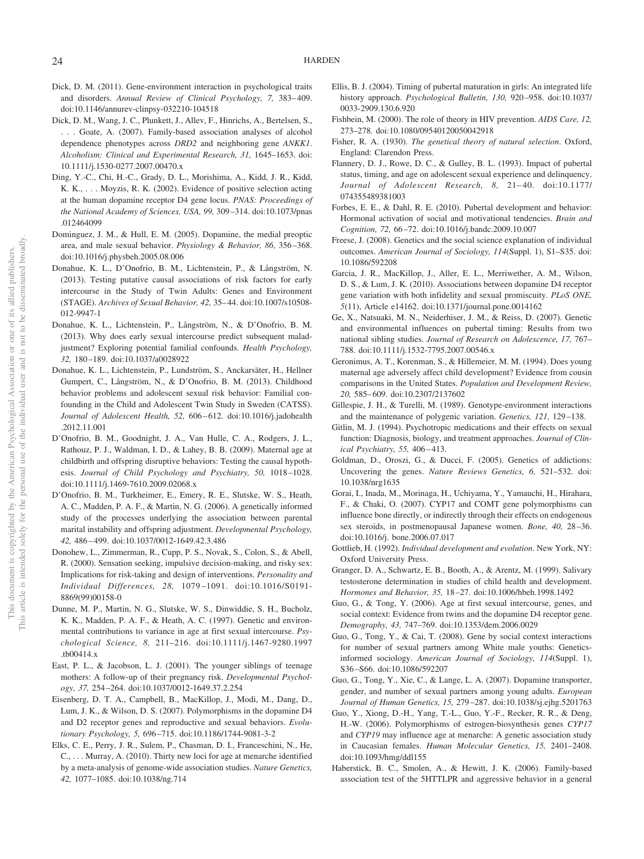- Dick, D. M. (2011). Gene-environment interaction in psychological traits and disorders. *Annual Review of Clinical Psychology, 7,* 383– 409. doi:10.1146/annurev-clinpsy-032210-104518
- Dick, D. M., Wang, J. C., Plunkett, J., Allev, F., Hinrichs, A., Bertelsen, S., . . . Goate, A. (2007). Family-based association analyses of alcohol dependence phenotypes across *DRD2* and neighboring gene *ANKK1*. *Alcoholism: Clinical and Experimental Research, 31,* 1645–1653. doi: 10.1111/j.1530-0277.2007.00470.x
- Ding, Y.-C., Chi, H.-C., Grady, D. L., Morishima, A., Kidd, J. R., Kidd, K. K., . . . Moyzis, R. K. (2002). Evidence of positive selection acting at the human dopamine receptor D4 gene locus. *PNAS: Proceedings of the National Academy of Sciences, USA, 99,* 309 –314. doi:10.1073/pnas .012464099
- Dominguez, J. M., & Hull, E. M. (2005). Dopamine, the medial preoptic area, and male sexual behavior. *Physiology & Behavior, 86,* 356 –368. doi:10.1016/j.physbeh.2005.08.006
- Donahue, K. L., D'Onofrio, B. M., Lichtenstein, P., & Långström, N. (2013). Testing putative causal associations of risk factors for early intercourse in the Study of Twin Adults: Genes and Environment (STAGE). *Archives of Sexual Behavior, 42,* 35– 44. doi:10.1007/s10508- 012-9947-1
- Donahue, K. L., Lichtenstein, P., Långström, N., & D'Onofrio, B. M. (2013). Why does early sexual intercourse predict subsequent maladjustment? Exploring potential familial confounds. *Health Psychology, 32,* 180 –189. doi:10.1037/a0028922
- Donahue, K. L., Lichtenstein, P., Lundström, S., Anckarsäter, H., Hellner Gumpert, C., Långström, N., & D'Onofrio, B. M. (2013). Childhood behavior problems and adolescent sexual risk behavior: Familial confounding in the Child and Adolescent Twin Study in Sweden (CATSS). *Journal of Adolescent Health, 52,* 606 – 612. doi:10.1016/j.jadohealth .2012.11.001
- D'Onofrio, B. M., Goodnight, J. A., Van Hulle, C. A., Rodgers, J. L., Rathouz, P. J., Waldman, I. D., & Lahey, B. B. (2009). Maternal age at childbirth and offspring disruptive behaviors: Testing the causal hypothesis. *Journal of Child Psychology and Psychiatry, 50,* 1018 –1028. doi:10.1111/j.1469-7610.2009.02068.x
- D'Onofrio, B. M., Turkheimer, E., Emery, R. E., Slutske, W. S., Heath, A. C., Madden, P. A. F., & Martin, N. G. (2006). A genetically informed study of the processes underlying the association between parental marital instability and offspring adjustment. *Developmental Psychology, 42,* 486 – 499. doi:10.1037/0012-1649.42.3.486
- Donohew, L., Zimmerman, R., Cupp, P. S., Novak, S., Colon, S., & Abell, R. (2000). Sensation seeking, impulsive decision-making, and risky sex: Implications for risk-taking and design of interventions. *Personality and Individual Differences, 28,* 1079 –1091. doi:10.1016/S0191- 8869(99)00158-0
- Dunne, M. P., Martin, N. G., Slutske, W. S., Dinwiddie, S. H., Bucholz, K. K., Madden, P. A. F., & Heath, A. C. (1997). Genetic and environmental contributions to variance in age at first sexual intercourse. *Psychological Science, 8,* 211–216. doi:10.1111/j.1467-9280.1997 .tb00414.x
- East, P. L., & Jacobson, L. J. (2001). The younger siblings of teenage mothers: A follow-up of their pregnancy risk. *Developmental Psychology, 37,* 254 –264. doi:10.1037/0012-1649.37.2.254
- Eisenberg, D. T. A., Campbell, B., MacKillop, J., Modi, M., Dang, D., Lum, J. K., & Wilson, D. S. (2007). Polymorphisms in the dopamine D4 and D2 receptor genes and reproductive and sexual behaviors. *Evolutionary Psychology, 5,* 696 –715. doi:10.1186/1744-9081-3-2
- Elks, C. E., Perry, J. R., Sulem, P., Chasman, D. I., Franceschini, N., He, C., . . . Murray, A. (2010). Thirty new loci for age at menarche identified by a meta-analysis of genome-wide association studies. *Nature Genetics, 42,* 1077–1085. doi:10.1038/ng.714
- Ellis, B. J. (2004). Timing of pubertal maturation in girls: An integrated life history approach. *Psychological Bulletin, 130,* 920 –958. doi:10.1037/ 0033-2909.130.6.920
- Fishbein, M. (2000). The role of theory in HIV prevention. *AIDS Care, 12,* 273–278. doi:10.1080/09540120050042918
- Fisher, R. A. (1930). *The genetical theory of natural selection*. Oxford, England: Clarendon Press.
- Flannery, D. J., Rowe, D. C., & Gulley, B. L. (1993). Impact of pubertal status, timing, and age on adolescent sexual experience and delinquency. *Journal of Adolescent Research, 8,* 21– 40. doi:10.1177/ 074355489381003
- Forbes, E. E., & Dahl, R. E. (2010). Pubertal development and behavior: Hormonal activation of social and motivational tendencies. *Brain and Cognition, 72,* 66 –72. doi:10.1016/j.bandc.2009.10.007
- Freese, J. (2008). Genetics and the social science explanation of individual outcomes. *American Journal of Sociology, 114*(Suppl. 1), S1–S35. doi: 10.1086/592208
- Garcia, J. R., MacKillop, J., Aller, E. L., Merriwether, A. M., Wilson, D. S., & Lum, J. K. (2010). Associations between dopamine D4 receptor gene variation with both infidelity and sexual promiscuity. *PLoS ONE, 5*(11), Article e14162. doi:10.1371/journal.pone.0014162
- Ge, X., Natsuaki, M. N., Neiderhiser, J. M., & Reiss, D. (2007). Genetic and environmental influences on pubertal timing: Results from two national sibling studies. *Journal of Research on Adolescence, 17,* 767– 788. doi:10.1111/j.1532-7795.2007.00546.x
- Geronimus, A. T., Korenman, S., & Hillemeier, M. M. (1994). Does young maternal age adversely affect child development? Evidence from cousin comparisons in the United States. *Population and Development Review, 20,* 585– 609. doi:10.2307/2137602
- Gillespie, J. H., & Turelli, M. (1989). Genotype-environment interactions and the maintenance of polygenic variation. *Genetics, 121,* 129 –138.
- Gitlin, M. J. (1994). Psychotropic medications and their effects on sexual function: Diagnosis, biology, and treatment approaches. *Journal of Clinical Psychiatry, 55,* 406 – 413.
- Goldman, D., Oroszi, G., & Ducci, F. (2005). Genetics of addictions: Uncovering the genes. *Nature Reviews Genetics, 6,* 521–532. doi: 10.1038/nrg1635
- Gorai, I., Inada, M., Morinaga, H., Uchiyama, Y., Yamauchi, H., Hirahara, F., & Chaki, O. (2007). CYP17 and COMT gene polymorphisms can influence bone directly, or indirectly through their effects on endogenous sex steroids, in postmenopausal Japanese women. *Bone, 40,* 28 –36. doi:10.1016/j. bone.2006.07.017
- Gottlieb, H. (1992). *Individual development and evolution*. New York, NY: Oxford University Press.
- Granger, D. A., Schwartz, E. B., Booth, A., & Arentz, M. (1999). Salivary testosterone determination in studies of child health and development. *Hormones and Behavior, 35,* 18 –27. doi:10.1006/hbeh.1998.1492
- Guo, G., & Tong, Y. (2006). Age at first sexual intercourse, genes, and social context: Evidence from twins and the dopamine D4 receptor gene. *Demography, 43,* 747–769. doi:10.1353/dem.2006.0029
- Guo, G., Tong, Y., & Cai, T. (2008). Gene by social context interactions for number of sexual partners among White male youths: Geneticsinformed sociology. *American Journal of Sociology, 114*(Suppl. 1), S36 –S66. doi:10.1086/592207
- Guo, G., Tong, Y., Xie, C., & Lange, L. A. (2007). Dopamine transporter, gender, and number of sexual partners among young adults. *European Journal of Human Genetics, 15,* 279 –287. doi:10.1038/sj.ejhg.5201763
- Guo, Y., Xiong, D.-H., Yang, T.-L., Guo, Y.-F., Recker, R. R., & Deng, H.-W. (2006). Polymorphisms of estrogen-biosynthesis genes *CYP17* and *CYP19* may influence age at menarche: A genetic association study in Caucasian females. *Human Molecular Genetics, 15,* 2401–2408. doi:10.1093/hmg/ddl155
- Haberstick, B. C., Smolen, A., & Hewitt, J. K. (2006). Family-based association test of the 5HTTLPR and aggressive behavior in a general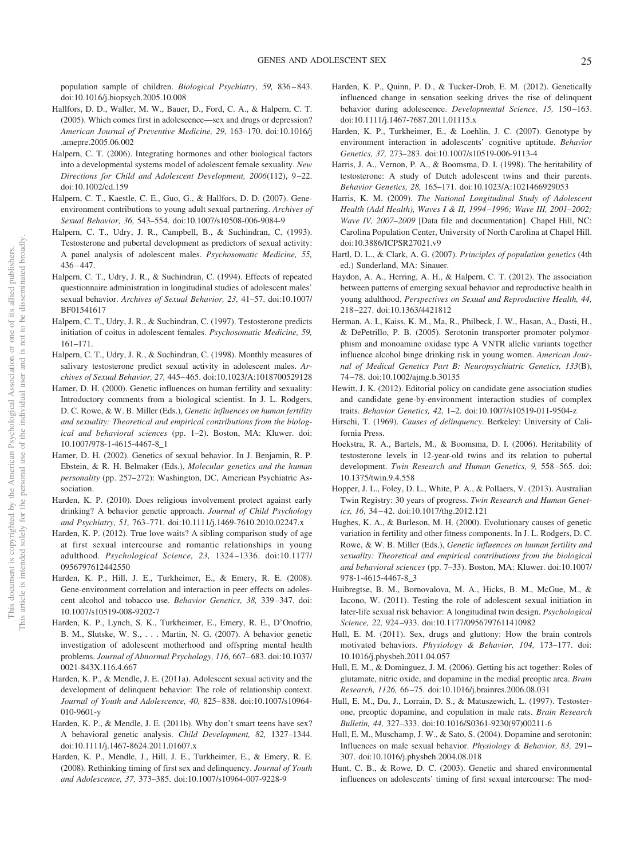population sample of children. *Biological Psychiatry, 59,* 836 – 843. doi:10.1016/j.biopsych.2005.10.008

- Hallfors, D. D., Waller, M. W., Bauer, D., Ford, C. A., & Halpern, C. T. (2005). Which comes first in adolescence—sex and drugs or depression? *American Journal of Preventive Medicine, 29,* 163–170. doi:10.1016/j .amepre.2005.06.002
- Halpern, C. T. (2006). Integrating hormones and other biological factors into a developmental systems model of adolescent female sexuality. *New Directions for Child and Adolescent Development, 2006*(112), 9 –22. doi:10.1002/cd.159
- Halpern, C. T., Kaestle, C. E., Guo, G., & Hallfors, D. D. (2007). Geneenvironment contributions to young adult sexual partnering. *Archives of Sexual Behavior, 36,* 543–554. doi:10.1007/s10508-006-9084-9
- Halpern, C. T., Udry, J. R., Campbell, B., & Suchindran, C. (1993). Testosterone and pubertal development as predictors of sexual activity: A panel analysis of adolescent males. *Psychosomatic Medicine, 55,*  $436 - 447$ .
- Halpern, C. T., Udry, J. R., & Suchindran, C. (1994). Effects of repeated questionnaire administration in longitudinal studies of adolescent males' sexual behavior. *Archives of Sexual Behavior, 23,* 41–57. doi:10.1007/ BF01541617
- Halpern, C. T., Udry, J. R., & Suchindran, C. (1997). Testosterone predicts initiation of coitus in adolescent females. *Psychosomatic Medicine, 59,* 161–171.
- Halpern, C. T., Udry, J. R., & Suchindran, C. (1998). Monthly measures of salivary testosterone predict sexual activity in adolescent males. *Archives of Sexual Behavior, 27,* 445– 465. doi:10.1023/A:1018700529128
- Hamer, D. H. (2000). Genetic influences on human fertility and sexuality: Introductory comments from a biological scientist. In J. L. Rodgers, D. C. Rowe, & W. B. Miller (Eds.), *Genetic influences on human fertility and sexuality: Theoretical and empirical contributions from the biological and behavioral sciences* (pp. 1–2). Boston, MA: Kluwer. doi: 10.1007/978-1-4615-4467-8\_1
- Hamer, D. H. (2002). Genetics of sexual behavior. In J. Benjamin, R. P. Ebstein, & R. H. Belmaker (Eds.), *Molecular genetics and the human personality* (pp. 257–272): Washington, DC, American Psychiatric Association.
- Harden, K. P. (2010). Does religious involvement protect against early drinking? A behavior genetic approach. *Journal of Child Psychology and Psychiatry, 51,* 763–771. doi:10.1111/j.1469-7610.2010.02247.x
- Harden, K. P. (2012). True love waits? A sibling comparison study of age at first sexual intercourse and romantic relationships in young adulthood. *Psychological Science, 23,* 1324 –1336. doi:10.1177/ 0956797612442550
- Harden, K. P., Hill, J. E., Turkheimer, E., & Emery, R. E. (2008). Gene-environment correlation and interaction in peer effects on adolescent alcohol and tobacco use. *Behavior Genetics, 38,* 339 –347. doi: 10.1007/s10519-008-9202-7
- Harden, K. P., Lynch, S. K., Turkheimer, E., Emery, R. E., D'Onofrio, B. M., Slutske, W. S.,... Martin, N. G. (2007). A behavior genetic investigation of adolescent motherhood and offspring mental health problems. *Journal of Abnormal Psychology, 116,* 667– 683. doi:10.1037/ 0021-843X.116.4.667
- Harden, K. P., & Mendle, J. E. (2011a). Adolescent sexual activity and the development of delinquent behavior: The role of relationship context. *Journal of Youth and Adolescence, 40,* 825– 838. doi:10.1007/s10964- 010-9601-y
- Harden, K. P., & Mendle, J. E. (2011b). Why don't smart teens have sex? A behavioral genetic analysis. *Child Development, 82,* 1327–1344. doi:10.1111/j.1467-8624.2011.01607.x
- Harden, K. P., Mendle, J., Hill, J. E., Turkheimer, E., & Emery, R. E. (2008). Rethinking timing of first sex and delinquency. *Journal of Youth and Adolescence, 37,* 373–385. doi:10.1007/s10964-007-9228-9
- Harden, K. P., Quinn, P. D., & Tucker-Drob, E. M. (2012). Genetically influenced change in sensation seeking drives the rise of delinquent behavior during adolescence. *Developmental Science, 15,* 150 –163. doi:10.1111/j.1467-7687.2011.01115.x
- Harden, K. P., Turkheimer, E., & Loehlin, J. C. (2007). Genotype by environment interaction in adolescents' cognitive aptitude. *Behavior Genetics, 37,* 273–283. doi:10.1007/s10519-006-9113-4
- Harris, J. A., Vernon, P. A., & Boomsma, D. I. (1998). The heritability of testosterone: A study of Dutch adolescent twins and their parents. *Behavior Genetics, 28,* 165–171. doi:10.1023/A:1021466929053
- Harris, K. M. (2009). *The National Longitudinal Study of Adolescent Health (Add Health), Waves I & II, 1994 –1996; Wave III, 2001–2002; Wave IV, 2007–2009* [Data file and documentation]. Chapel Hill, NC: Carolina Population Center, University of North Carolina at Chapel Hill. doi:10.3886/ICPSR27021.v9
- Hartl, D. L., & Clark, A. G. (2007). *Principles of population genetics* (4th ed.) Sunderland, MA: Sinauer.
- Haydon, A. A., Herring, A. H., & Halpern, C. T. (2012). The association between patterns of emerging sexual behavior and reproductive health in young adulthood. *Perspectives on Sexual and Reproductive Health, 44,* 218 –227. doi:10.1363/4421812
- Herman, A. I., Kaiss, K. M., Ma, R., Philbeck, J. W., Hasan, A., Dasti, H., & DePetrillo, P. B. (2005). Serotonin transporter promoter polymorphism and monoamine oxidase type A VNTR allelic variants together influence alcohol binge drinking risk in young women. *American Journal of Medical Genetics Part B: Neuropsychiatric Genetics, 133*(B), 74 –78. doi:10.1002/ajmg.b.30135
- Hewitt, J. K. (2012). Editorial policy on candidate gene association studies and candidate gene-by-environment interaction studies of complex traits. *Behavior Genetics, 42,* 1–2. doi:10.1007/s10519-011-9504-z
- Hirschi, T. (1969). *Causes of delinquency*. Berkeley: University of California Press.
- Hoekstra, R. A., Bartels, M., & Boomsma, D. I. (2006). Heritability of testosterone levels in 12-year-old twins and its relation to pubertal development. *Twin Research and Human Genetics, 9,* 558 –565. doi: 10.1375/twin.9.4.558
- Hopper, J. L., Foley, D. L., White, P. A., & Pollaers, V. (2013). Australian Twin Registry: 30 years of progress. *Twin Research and Human Genetics, 16,* 34 – 42. doi:10.1017/thg.2012.121
- Hughes, K. A., & Burleson, M. H. (2000). Evolutionary causes of genetic variation in fertility and other fitness components. In J. L. Rodgers, D. C. Rowe, & W. B. Miller (Eds.), *Genetic influences on human fertility and sexuality: Theoretical and empirical contributions from the biological and behavioral sciences* (pp. 7–33). Boston, MA: Kluwer. doi:10.1007/ 978-1-4615-4467-8\_3
- Huibregtse, B. M., Bornovalova, M. A., Hicks, B. M., McGue, M., & Iacono, W. (2011). Testing the role of adolescent sexual initiation in later-life sexual risk behavior: A longitudinal twin design. *Psychological Science, 22,* 924 –933. doi:10.1177/0956797611410982
- Hull, E. M. (2011). Sex, drugs and gluttony: How the brain controls motivated behaviors. *Physiology & Behavior, 104,* 173–177. doi: 10.1016/j.physbeh.2011.04.057
- Hull, E. M., & Dominguez, J. M. (2006). Getting his act together: Roles of glutamate, nitric oxide, and dopamine in the medial preoptic area. *Brain Research, 1126,* 66 –75. doi:10.1016/j.brainres.2006.08.031
- Hull, E. M., Du, J., Lorrain, D. S., & Matuszewich, L. (1997). Testosterone, preoptic dopamine, and copulation in male rats. *Brain Research Bulletin, 44,* 327–333. doi:10.1016/S0361-9230(97)00211-6
- Hull, E. M., Muschamp, J. W., & Sato, S. (2004). Dopamine and serotonin: Influences on male sexual behavior. *Physiology & Behavior, 83,* 291– 307. doi:10.1016/j.physbeh.2004.08.018
- Hunt, C. B., & Rowe, D. C. (2003). Genetic and shared environmental influences on adolescents' timing of first sexual intercourse: The mod-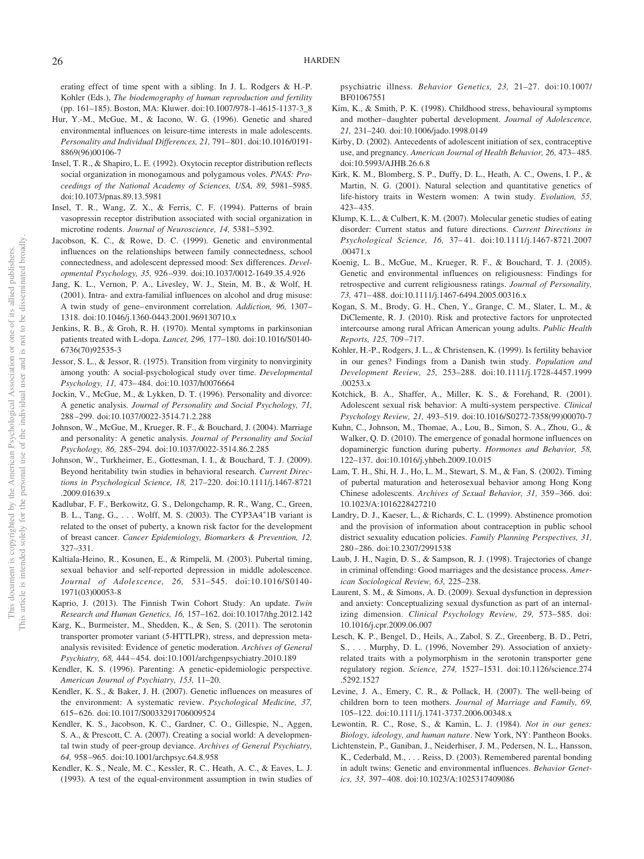- Hur, Y.-M., McGue, M., & Iacono, W. G. (1996). Genetic and shared environmental influences on leisure-time interests in male adolescents. *Personality and Individual Differences, 21,* 791– 801. doi:10.1016/0191- 8869(96)00106-7
- Insel, T. R., & Shapiro, L. E. (1992). Oxytocin receptor distribution reflects social organization in monogamous and polygamous voles. *PNAS: Proceedings of the National Academy of Sciences, USA, 89,* 5981–5985. doi:10.1073/pnas.89.13.5981
- Insel, T. R., Wang, Z. X., & Ferris, C. F. (1994). Patterns of brain vasopressin receptor distribution associated with social organization in microtine rodents. *Journal of Neuroscience, 14,* 5381–5392.
- Jacobson, K. C., & Rowe, D. C. (1999). Genetic and environmental influences on the relationships between family connectedness, school connectedness, and adolescent depressed mood: Sex differences. *Developmental Psychology, 35,* 926 –939. doi:10.1037/0012-1649.35.4.926
- Jang, K. L., Vernon, P. A., Livesley, W. J., Stein, M. B., & Wolf, H. (2001). Intra- and extra-familial influences on alcohol and drug misuse: A twin study of gene– environment correlation. *Addiction, 96,* 1307– 1318. doi:10.1046/j.1360-0443.2001.969130710.x
- Jenkins, R. B., & Groh, R. H. (1970). Mental symptoms in parkinsonian patients treated with L-dopa. *Lancet, 296,* 177–180. doi:10.1016/S0140- 6736(70)92535-3
- Jessor, S. L., & Jessor, R. (1975). Transition from virginity to nonvirginity among youth: A social-psychological study over time. *Developmental Psychology, 11,* 473– 484. doi:10.1037/h0076664
- Jockin, V., McGue, M., & Lykken, D. T. (1996). Personality and divorce: A genetic analysis. *Journal of Personality and Social Psychology, 71,* 288 –299. doi:10.1037/0022-3514.71.2.288
- Johnson, W., McGue, M., Krueger, R. F., & Bouchard, J. (2004). Marriage and personality: A genetic analysis. *Journal of Personality and Social Psychology, 86,* 285–294. doi:10.1037/0022-3514.86.2.285
- Johnson, W., Turkheimer, E., Gottesman, I. I., & Bouchard, T. J. (2009). Beyond heritability twin studies in behavioral research. *Current Directions in Psychological Science, 18,* 217–220. doi:10.1111/j.1467-8721 .2009.01639.x
- Kadlubar, F. F., Berkowitz, G. S., Delongchamp, R. R., Wang, C., Green, B. L., Tang, G.,... Wolff, M. S. (2003). The CYP3A4 1B variant is related to the onset of puberty, a known risk factor for the development of breast cancer. *Cancer Epidemiology, Biomarkers & Prevention, 12,* 327–331.
- Kaltiala-Heino, R., Kosunen, E., & Rimpelä, M. (2003). Pubertal timing, sexual behavior and self-reported depression in middle adolescence. *Journal of Adolescence, 26,* 531–545. doi:10.1016/S0140- 1971(03)00053-8
- Kaprio, J. (2013). The Finnish Twin Cohort Study: An update. *Twin Research and Human Genetics, 16,* 157–162. doi:10.1017/thg.2012.142
- Karg, K., Burmeister, M., Shedden, K., & Sen, S. (2011). The serotonin transporter promoter variant (5-HTTLPR), stress, and depression metaanalysis revisited: Evidence of genetic moderation. *Archives of General Psychiatry, 68,* 444 – 454. doi:10.1001/archgenpsychiatry.2010.189
- Kendler, K. S. (1996). Parenting: A genetic-epidemiologic perspective. *American Journal of Psychiatry, 153,* 11–20.
- Kendler, K. S., & Baker, J. H. (2007). Genetic influences on measures of the environment: A systematic review. *Psychological Medicine, 37,* 615– 626. doi:10.1017/S0033291706009524
- Kendler, K. S., Jacobson, K. C., Gardner, C. O., Gillespie, N., Aggen, S. A., & Prescott, C. A. (2007). Creating a social world: A developmental twin study of peer-group deviance. *Archives of General Psychiatry, 64,* 958 –965. doi:10.1001/archpsyc.64.8.958
- Kendler, K. S., Neale, M. C., Kessler, R. C., Heath, A. C., & Eaves, L. J. (1993). A test of the equal-environment assumption in twin studies of

psychiatric illness. *Behavior Genetics, 23,* 21–27. doi:10.1007/ BF01067551

- Kim, K., & Smith, P. K. (1998). Childhood stress, behavioural symptoms and mother– daughter pubertal development. *Journal of Adolescence, 21,* 231–240. doi:10.1006/jado.1998.0149
- Kirby, D. (2002). Antecedents of adolescent initiation of sex, contraceptive use, and pregnancy. *American Journal of Health Behavior, 26,* 473– 485. doi:10.5993/AJHB.26.6.8
- Kirk, K. M., Blomberg, S. P., Duffy, D. L., Heath, A. C., Owens, I. P., & Martin, N. G. (2001). Natural selection and quantitative genetics of life-history traits in Western women: A twin study. *Evolution, 55,* 423– 435.
- Klump, K. L., & Culbert, K. M. (2007). Molecular genetic studies of eating disorder: Current status and future directions. *Current Directions in Psychological Science, 16,* 37– 41. doi:10.1111/j.1467-8721.2007 .00471.x
- Koenig, L. B., McGue, M., Krueger, R. F., & Bouchard, T. J. (2005). Genetic and environmental influences on religiousness: Findings for retrospective and current religiousness ratings. *Journal of Personality, 73,* 471– 488. doi:10.1111/j.1467-6494.2005.00316.x
- Kogan, S. M., Brody, G. H., Chen, Y., Grange, C. M., Slater, L. M., & DiClemente, R. J. (2010). Risk and protective factors for unprotected intercourse among rural African American young adults. *Public Health Reports, 125,* 709 –717.
- Kohler, H.-P., Rodgers, J. L., & Christensen, K. (1999). Is fertility behavior in our genes? Findings from a Danish twin study. *Population and Development Review, 25,* 253–288. doi:10.1111/j.1728-4457.1999 .00253.x
- Kotchick, B. A., Shaffer, A., Miller, K. S., & Forehand, R. (2001). Adolescent sexual risk behavior: A multi-system perspective. *Clinical Psychology Review, 21,* 493–519. doi:10.1016/S0272-7358(99)00070-7
- Kuhn, C., Johnson, M., Thomae, A., Lou, B., Simon, S. A., Zhou, G., & Walker, Q. D. (2010). The emergence of gonadal hormone influences on dopaminergic function during puberty. *Hormones and Behavior, 58,* 122–137. doi:10.1016/j.yhbeh.2009.10.015
- Lam, T. H., Shi, H. J., Ho, L. M., Stewart, S. M., & Fan, S. (2002). Timing of pubertal maturation and heterosexual behavior among Hong Kong Chinese adolescents. *Archives of Sexual Behavior, 31,* 359 –366. doi: 10.1023/A:1016228427210
- Landry, D. J., Kaeser, L., & Richards, C. L. (1999). Abstinence promotion and the provision of information about contraception in public school district sexuality education policies. *Family Planning Perspectives, 31,* 280 –286. doi:10.2307/2991538
- Laub, J. H., Nagin, D. S., & Sampson, R. J. (1998). Trajectories of change in criminal offending: Good marriages and the desistance process. *American Sociological Review, 63,* 225–238.
- Laurent, S. M., & Simons, A. D. (2009). Sexual dysfunction in depression and anxiety: Conceptualizing sexual dysfunction as part of an internalizing dimension. *Clinical Psychology Review, 29,* 573–585. doi: 10.1016/j.cpr.2009.06.007
- Lesch, K. P., Bengel, D., Heils, A., Zabol, S. Z., Greenberg, B. D., Petri, S., . . . Murphy, D. L. (1996, November 29). Association of anxietyrelated traits with a polymorphism in the serotonin transporter gene regulatory region. *Science, 274,* 1527–1531. doi:10.1126/science.274 .5292.1527
- Levine, J. A., Emery, C. R., & Pollack, H. (2007). The well-being of children born to teen mothers. *Journal of Marriage and Family, 69,* 105–122. doi:10.1111/j.1741-3737.2006.00348.x
- Lewontin, R. C., Rose, S., & Kamin, L. J. (1984). *Not in our genes: Biology, ideology, and human nature*. New York, NY: Pantheon Books.
- Lichtenstein, P., Ganiban, J., Neiderhiser, J. M., Pedersen, N. L., Hansson, K., Cederbald, M., . . . Reiss, D. (2003). Remembered parental bonding in adult twins: Genetic and environmental influences. *Behavior Genetics, 33,* 397– 408. doi:10.1023/A:1025317409086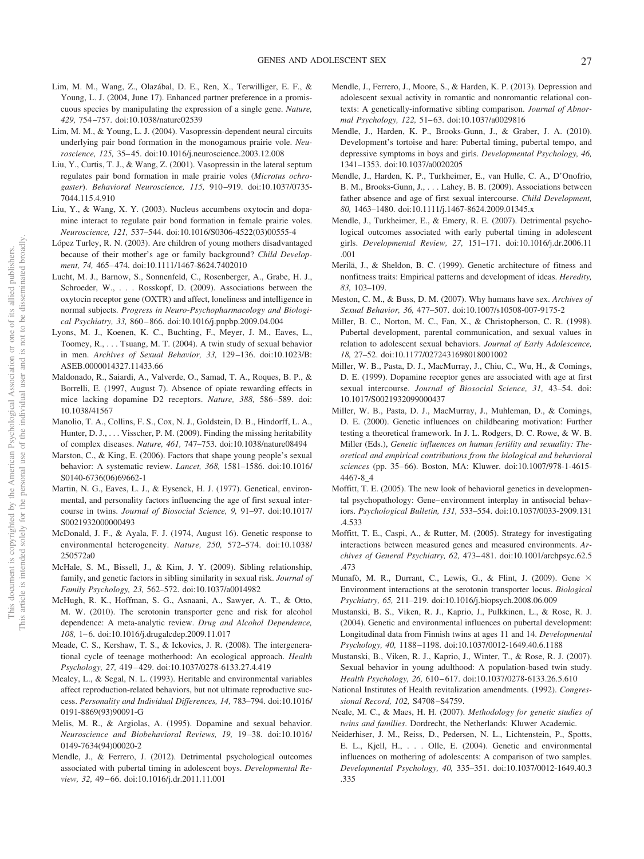- Lim, M. M., Wang, Z., Olazábal, D. E., Ren, X., Terwilliger, E. F., & Young, L. J. (2004, June 17). Enhanced partner preference in a promiscuous species by manipulating the expression of a single gene. *Nature, 429,* 754 –757. doi:10.1038/nature02539
- Lim, M. M., & Young, L. J. (2004). Vasopressin-dependent neural circuits underlying pair bond formation in the monogamous prairie vole. *Neuroscience, 125,* 35– 45. doi:10.1016/j.neuroscience.2003.12.008
- Liu, Y., Curtis, T. J., & Wang, Z. (2001). Vasopressin in the lateral septum regulates pair bond formation in male prairie voles (*Microtus ochrogaster*). *Behavioral Neuroscience, 115,* 910 –919. doi:10.1037/0735- 7044.115.4.910
- Liu, Y., & Wang, X. Y. (2003). Nucleus accumbens oxytocin and dopamine interact to regulate pair bond formation in female prairie voles. *Neuroscience, 121,* 537–544. doi:10.1016/S0306-4522(03)00555-4
- López Turley, R. N. (2003). Are children of young mothers disadvantaged because of their mother's age or family background? *Child Development, 74,* 465– 474. doi:10.1111/1467-8624.7402010
- Lucht, M. J., Barnow, S., Sonnenfeld, C., Rosenberger, A., Grabe, H. J., Schroeder, W., ... Rosskopf, D. (2009). Associations between the oxytocin receptor gene (OXTR) and affect, loneliness and intelligence in normal subjects. *Progress in Neuro-Psychopharmacology and Biological Psychiatry, 33,* 860 – 866. doi:10.1016/j.pnpbp.2009.04.004
- Lyons, M. J., Koenen, K. C., Buchting, F., Meyer, J. M., Eaves, L., Toomey, R.,... Tsuang, M. T. (2004). A twin study of sexual behavior in men. *Archives of Sexual Behavior, 33,* 129 –136. doi:10.1023/B: ASEB.0000014327.11433.66
- Maldonado, R., Saiardi, A., Valverde, O., Samad, T. A., Roques, B. P., & Borrelli, E. (1997, August 7). Absence of opiate rewarding effects in mice lacking dopamine D2 receptors. *Nature, 388,* 586 –589. doi: 10.1038/41567
- Manolio, T. A., Collins, F. S., Cox, N. J., Goldstein, D. B., Hindorff, L. A., Hunter, D. J.,... Visscher, P. M. (2009). Finding the missing heritability of complex diseases. *Nature, 461,* 747–753. doi:10.1038/nature08494
- Marston, C., & King, E. (2006). Factors that shape young people's sexual behavior: A systematic review. *Lancet, 368,* 1581–1586. doi:10.1016/ S0140-6736(06)69662-1
- Martin, N. G., Eaves, L. J., & Eysenck, H. J. (1977). Genetical, environmental, and personality factors influencing the age of first sexual intercourse in twins. *Journal of Biosocial Science, 9,* 91–97. doi:10.1017/ S0021932000000493
- McDonald, J. F., & Ayala, F. J. (1974, August 16). Genetic response to environmental heterogeneity. *Nature, 250,* 572–574. doi:10.1038/ 250572a0
- McHale, S. M., Bissell, J., & Kim, J. Y. (2009). Sibling relationship, family, and genetic factors in sibling similarity in sexual risk. *Journal of Family Psychology, 23,* 562–572. doi:10.1037/a0014982
- McHugh, R. K., Hoffman, S. G., Asnaani, A., Sawyer, A. T., & Otto, M. W. (2010). The serotonin transporter gene and risk for alcohol dependence: A meta-analytic review. *Drug and Alcohol Dependence, 108,* 1– 6. doi:10.1016/j.drugalcdep.2009.11.017
- Meade, C. S., Kershaw, T. S., & Ickovics, J. R. (2008). The intergenerational cycle of teenage motherhood: An ecological approach. *Health Psychology, 27,* 419 – 429. doi:10.1037/0278-6133.27.4.419
- Mealey, L., & Segal, N. L. (1993). Heritable and environmental variables affect reproduction-related behaviors, but not ultimate reproductive success. *Personality and Individual Differences, 14,* 783–794. doi:10.1016/ 0191-8869(93)90091-G
- Melis, M. R., & Argiolas, A. (1995). Dopamine and sexual behavior. *Neuroscience and Biobehavioral Reviews, 19,* 19 –38. doi:10.1016/ 0149-7634(94)00020-2
- Mendle, J., & Ferrero, J. (2012). Detrimental psychological outcomes associated with pubertal timing in adolescent boys. *Developmental Review, 32,* 49 – 66. doi:10.1016/j.dr.2011.11.001
- Mendle, J., Ferrero, J., Moore, S., & Harden, K. P. (2013). Depression and adolescent sexual activity in romantic and nonromantic relational contexts: A genetically-informative sibling comparison. *Journal of Abnormal Psychology, 122,* 51– 63. doi:10.1037/a0029816
- Mendle, J., Harden, K. P., Brooks-Gunn, J., & Graber, J. A. (2010). Development's tortoise and hare: Pubertal timing, pubertal tempo, and depressive symptoms in boys and girls. *Developmental Psychology, 46,* 1341–1353. doi:10.1037/a0020205
- Mendle, J., Harden, K. P., Turkheimer, E., van Hulle, C. A., D'Onofrio, B. M., Brooks-Gunn, J.,... Lahey, B. B. (2009). Associations between father absence and age of first sexual intercourse. *Child Development, 80,* 1463–1480. doi:10.1111/j.1467-8624.2009.01345.x
- Mendle, J., Turkheimer, E., & Emery, R. E. (2007). Detrimental psychological outcomes associated with early pubertal timing in adolescent girls. *Developmental Review, 27,* 151–171. doi:10.1016/j.dr.2006.11 .001
- Merilä, J., & Sheldon, B. C. (1999). Genetic architecture of fitness and nonfitness traits: Empirical patterns and development of ideas. *Heredity, 83,* 103–109.
- Meston, C. M., & Buss, D. M. (2007). Why humans have sex. *Archives of Sexual Behavior, 36,* 477–507. doi:10.1007/s10508-007-9175-2
- Miller, B. C., Norton, M. C., Fan, X., & Christopherson, C. R. (1998). Pubertal development, parental communication, and sexual values in relation to adolescent sexual behaviors. *Journal of Early Adolescence, 18,* 27–52. doi:10.1177/0272431698018001002
- Miller, W. B., Pasta, D. J., MacMurray, J., Chiu, C., Wu, H., & Comings, D. E. (1999). Dopamine receptor genes are associated with age at first sexual intercourse. *Journal of Biosocial Science, 31,* 43–54. doi: 10.1017/S0021932099000437
- Miller, W. B., Pasta, D. J., MacMurray, J., Muhleman, D., & Comings, D. E. (2000). Genetic influences on childbearing motivation: Further testing a theoretical framework. In J. L. Rodgers, D. C. Rowe, & W. B. Miller (Eds.), *Genetic influences on human fertility and sexuality: Theoretical and empirical contributions from the biological and behavioral sciences* (pp. 35– 66). Boston, MA: Kluwer. doi:10.1007/978-1-4615- 4467-8\_4
- Moffitt, T. E. (2005). The new look of behavioral genetics in developmental psychopathology: Gene– environment interplay in antisocial behaviors. *Psychological Bulletin, 131,* 533–554. doi:10.1037/0033-2909.131 .4.533
- Moffitt, T. E., Caspi, A., & Rutter, M. (2005). Strategy for investigating interactions between measured genes and measured environments. *Archives of General Psychiatry, 62,* 473– 481. doi:10.1001/archpsyc.62.5 .473
- Munafò, M. R., Durrant, C., Lewis, G., & Flint, J. (2009). Gene × Environment interactions at the serotonin transporter locus. *Biological Psychiatry, 65,* 211–219. doi:10.1016/j.biopsych.2008.06.009
- Mustanski, B. S., Viken, R. J., Kaprio, J., Pulkkinen, L., & Rose, R. J. (2004). Genetic and environmental influences on pubertal development: Longitudinal data from Finnish twins at ages 11 and 14. *Developmental Psychology, 40,* 1188 –1198. doi:10.1037/0012-1649.40.6.1188
- Mustanski, B., Viken, R. J., Kaprio, J., Winter, T., & Rose, R. J. (2007). Sexual behavior in young adulthood: A population-based twin study. *Health Psychology, 26,* 610 – 617. doi:10.1037/0278-6133.26.5.610
- National Institutes of Health revitalization amendments. (1992). *Congressional Record, 102,* S4708 –S4759.
- Neale, M. C., & Maes, H. H. (2007). *Methodology for genetic studies of twins and families*. Dordrecht, the Netherlands: Kluwer Academic.
- Neiderhiser, J. M., Reiss, D., Pedersen, N. L., Lichtenstein, P., Spotts, E. L., Kjell, H.,... Olle, E. (2004). Genetic and environmental influences on mothering of adolescents: A comparison of two samples. *Developmental Psychology, 40,* 335–351. doi:10.1037/0012-1649.40.3 .335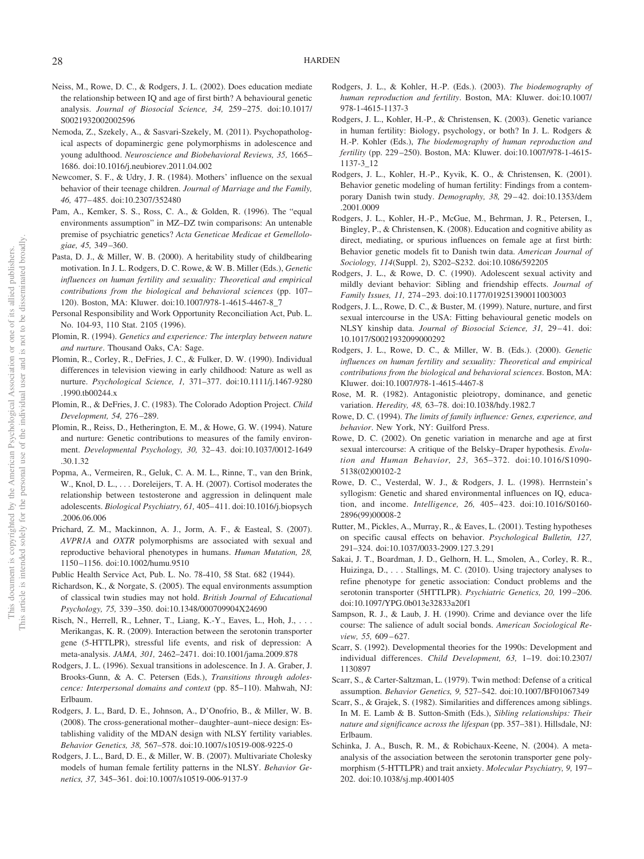- Neiss, M., Rowe, D. C., & Rodgers, J. L. (2002). Does education mediate the relationship between IQ and age of first birth? A behavioural genetic analysis. *Journal of Biosocial Science, 34,* 259 –275. doi:10.1017/ S0021932002002596
- Nemoda, Z., Szekely, A., & Sasvari-Szekely, M. (2011). Psychopathological aspects of dopaminergic gene polymorphisms in adolescence and young adulthood. *Neuroscience and Biobehavioral Reviews, 35,* 1665– 1686. doi:10.1016/j.neubiorev.2011.04.002
- Newcomer, S. F., & Udry, J. R. (1984). Mothers' influence on the sexual behavior of their teenage children. *Journal of Marriage and the Family, 46,* 477– 485. doi:10.2307/352480
- Pam, A., Kemker, S. S., Ross, C. A., & Golden, R. (1996). The "equal environments assumption" in MZ–DZ twin comparisons: An untenable premise of psychiatric genetics? *Acta Geneticae Medicae et Gemellologiae, 45,* 349 –360.
- Pasta, D. J., & Miller, W. B. (2000). A heritability study of childbearing motivation. In J. L. Rodgers, D. C. Rowe, & W. B. Miller (Eds.), *Genetic influences on human fertility and sexuality: Theoretical and empirical contributions from the biological and behavioral sciences* (pp. 107– 120). Boston, MA: Kluwer. doi:10.1007/978-1-4615-4467-8\_7
- Personal Responsibility and Work Opportunity Reconciliation Act, Pub. L. No. 104-93, 110 Stat. 2105 (1996).
- Plomin, R. (1994). *Genetics and experience: The interplay between nature and nurture*. Thousand Oaks, CA: Sage.
- Plomin, R., Corley, R., DeFries, J. C., & Fulker, D. W. (1990). Individual differences in television viewing in early childhood: Nature as well as nurture. *Psychological Science, 1,* 371–377. doi:10.1111/j.1467-9280 .1990.tb00244.x
- Plomin, R., & DeFries, J. C. (1983). The Colorado Adoption Project. *Child Development, 54,* 276 –289.
- Plomin, R., Reiss, D., Hetherington, E. M., & Howe, G. W. (1994). Nature and nurture: Genetic contributions to measures of the family environment. *Developmental Psychology, 30,* 32– 43. doi:10.1037/0012-1649 .30.1.32
- Popma, A., Vermeiren, R., Geluk, C. A. M. L., Rinne, T., van den Brink, W., Knol, D. L., . . . Doreleijers, T. A. H. (2007). Cortisol moderates the relationship between testosterone and aggression in delinquent male adolescents. *Biological Psychiatry, 61,* 405– 411. doi:10.1016/j.biopsych .2006.06.006
- Prichard, Z. M., Mackinnon, A. J., Jorm, A. F., & Easteal, S. (2007). *AVPR1A* and *OXTR* polymorphisms are associated with sexual and reproductive behavioral phenotypes in humans. *Human Mutation, 28,* 1150 –1156. doi:10.1002/humu.9510
- Public Health Service Act, Pub. L. No. 78-410, 58 Stat. 682 (1944).
- Richardson, K., & Norgate, S. (2005). The equal environments assumption of classical twin studies may not hold. *British Journal of Educational Psychology, 75,* 339 –350. doi:10.1348/000709904X24690
- Risch, N., Herrell, R., Lehner, T., Liang, K.-Y., Eaves, L., Hoh, J.,... Merikangas, K. R. (2009). Interaction between the serotonin transporter gene (5-HTTLPR), stressful life events, and risk of depression: A meta-analysis. *JAMA, 301,* 2462–2471. doi:10.1001/jama.2009.878
- Rodgers, J. L. (1996). Sexual transitions in adolescence. In J. A. Graber, J. Brooks-Gunn, & A. C. Petersen (Eds.), *Transitions through adolescence: Interpersonal domains and context* (pp. 85–110). Mahwah, NJ: Erlbaum.
- Rodgers, J. L., Bard, D. E., Johnson, A., D'Onofrio, B., & Miller, W. B. (2008). The cross-generational mother– daughter–aunt–niece design: Establishing validity of the MDAN design with NLSY fertility variables. *Behavior Genetics, 38,* 567–578. doi:10.1007/s10519-008-9225-0
- Rodgers, J. L., Bard, D. E., & Miller, W. B. (2007). Multivariate Cholesky models of human female fertility patterns in the NLSY. *Behavior Genetics, 37,* 345–361. doi:10.1007/s10519-006-9137-9
- Rodgers, J. L., & Kohler, H.-P. (Eds.). (2003). *The biodemography of human reproduction and fertility*. Boston, MA: Kluwer. doi:10.1007/ 978-1-4615-1137-3
- Rodgers, J. L., Kohler, H.-P., & Christensen, K. (2003). Genetic variance in human fertility: Biology, psychology, or both? In J. L. Rodgers & H.-P. Kohler (Eds.), *The biodemography of human reproduction and fertility* (pp. 229 –250). Boston, MA: Kluwer. doi:10.1007/978-1-4615- 1137-3\_12
- Rodgers, J. L., Kohler, H.-P., Kyvik, K. O., & Christensen, K. (2001). Behavior genetic modeling of human fertility: Findings from a contemporary Danish twin study. *Demography, 38,* 29 – 42. doi:10.1353/dem .2001.0009
- Rodgers, J. L., Kohler, H.-P., McGue, M., Behrman, J. R., Petersen, I., Bingley, P., & Christensen, K. (2008). Education and cognitive ability as direct, mediating, or spurious influences on female age at first birth: Behavior genetic models fit to Danish twin data. *American Journal of Sociology, 114*(Suppl. 2), S202–S232. doi:10.1086/592205
- Rodgers, J. L., & Rowe, D. C. (1990). Adolescent sexual activity and mildly deviant behavior: Sibling and friendship effects. *Journal of Family Issues, 11,* 274 –293. doi:10.1177/019251390011003003
- Rodgers, J. L., Rowe, D. C., & Buster, M. (1999). Nature, nurture, and first sexual intercourse in the USA: Fitting behavioural genetic models on NLSY kinship data. *Journal of Biosocial Science*, 31, 29-41. doi: 10.1017/S0021932099000292
- Rodgers, J. L., Rowe, D. C., & Miller, W. B. (Eds.). (2000). *Genetic influences on human fertility and sexuality: Theoretical and empirical contributions from the biological and behavioral sciences*. Boston, MA: Kluwer. doi:10.1007/978-1-4615-4467-8
- Rose, M. R. (1982). Antagonistic pleiotropy, dominance, and genetic variation. *Heredity, 48,* 63–78. doi:10.1038/hdy.1982.7
- Rowe, D. C. (1994). *The limits of family influence: Genes, experience, and behavior*. New York, NY: Guilford Press.
- Rowe, D. C. (2002). On genetic variation in menarche and age at first sexual intercourse: A critique of the Belsky–Draper hypothesis. *Evolution and Human Behavior, 23,* 365–372. doi:10.1016/S1090- 5138(02)00102-2
- Rowe, D. C., Vesterdal, W. J., & Rodgers, J. L. (1998). Herrnstein's syllogism: Genetic and shared environmental influences on IQ, education, and income. *Intelligence, 26,* 405– 423. doi:10.1016/S0160- 2896(99)00008-2
- Rutter, M., Pickles, A., Murray, R., & Eaves, L. (2001). Testing hypotheses on specific causal effects on behavior. *Psychological Bulletin, 127,* 291–324. doi:10.1037/0033-2909.127.3.291
- Sakai, J. T., Boardman, J. D., Gelhorn, H. L., Smolen, A., Corley, R. R., Huizinga, D.,... Stallings, M. C. (2010). Using trajectory analyses to refine phenotype for genetic association: Conduct problems and the serotonin transporter (5HTTLPR). *Psychiatric Genetics, 20,* 199 –206. doi:10.1097/YPG.0b013e32833a20f1
- Sampson, R. J., & Laub, J. H. (1990). Crime and deviance over the life course: The salience of adult social bonds. *American Sociological Review, 55,* 609 – 627.
- Scarr, S. (1992). Developmental theories for the 1990s: Development and individual differences. *Child Development, 63,* 1–19. doi:10.2307/ 1130897
- Scarr, S., & Carter-Saltzman, L. (1979). Twin method: Defense of a critical assumption. *Behavior Genetics, 9,* 527–542. doi:10.1007/BF01067349
- Scarr, S., & Grajek, S. (1982). Similarities and differences among siblings. In M. E. Lamb & B. Sutton-Smith (Eds.), *Sibling relationships: Their nature and significance across the lifespan* (pp. 357–381). Hillsdale, NJ: Erlbaum.
- Schinka, J. A., Busch, R. M., & Robichaux-Keene, N. (2004). A metaanalysis of the association between the serotonin transporter gene polymorphism (5-HTTLPR) and trait anxiety. *Molecular Psychiatry, 9,* 197– 202. doi:10.1038/sj.mp.4001405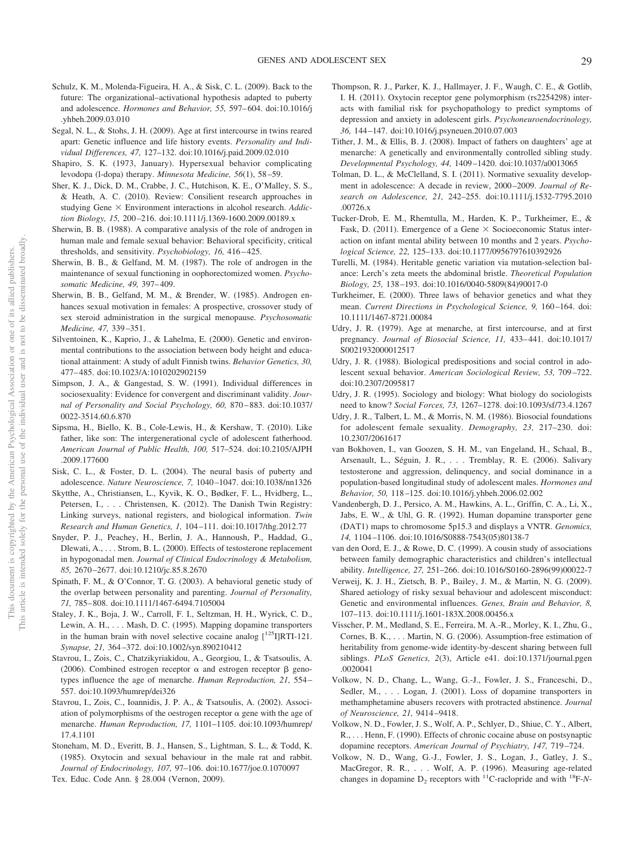- Schulz, K. M., Molenda-Figueira, H. A., & Sisk, C. L. (2009). Back to the future: The organizational–activational hypothesis adapted to puberty and adolescence. *Hormones and Behavior, 55,* 597– 604. doi:10.1016/j .yhbeh.2009.03.010
- Segal, N. L., & Stohs, J. H. (2009). Age at first intercourse in twins reared apart: Genetic influence and life history events. *Personality and Individual Differences, 47,* 127–132. doi:10.1016/j.paid.2009.02.010
- Shapiro, S. K. (1973, January). Hypersexual behavior complicating levodopa (l-dopa) therapy. *Minnesota Medicine, 56*(1), 58 –59.
- Sher, K. J., Dick, D. M., Crabbe, J. C., Hutchison, K. E., O'Malley, S. S., & Heath, A. C. (2010). Review: Consilient research approaches in studying Gene  $\times$  Environment interactions in alcohol research. *Addiction Biology, 15,* 200 –216. doi:10.1111/j.1369-1600.2009.00189.x
- Sherwin, B. B. (1988). A comparative analysis of the role of androgen in human male and female sexual behavior: Behavioral specificity, critical thresholds, and sensitivity. *Psychobiology, 16,* 416 – 425.
- Sherwin, B. B., & Gelfand, M. M. (1987). The role of androgen in the maintenance of sexual functioning in oophorectomized women. *Psychosomatic Medicine, 49,* 397– 409.
- Sherwin, B. B., Gelfand, M. M., & Brender, W. (1985). Androgen enhances sexual motivation in females: A prospective, crossover study of sex steroid administration in the surgical menopause. *Psychosomatic Medicine, 47,* 339 –351.
- Silventoinen, K., Kaprio, J., & Lahelma, E. (2000). Genetic and environmental contributions to the association between body height and educational attainment: A study of adult Finnish twins. *Behavior Genetics, 30,* 477– 485. doi:10.1023/A:1010202902159
- Simpson, J. A., & Gangestad, S. W. (1991). Individual differences in sociosexuality: Evidence for convergent and discriminant validity. *Journal of Personality and Social Psychology, 60,* 870 – 883. doi:10.1037/ 0022-3514.60.6.870
- Sipsma, H., Biello, K. B., Cole-Lewis, H., & Kershaw, T. (2010). Like father, like son: The intergenerational cycle of adolescent fatherhood. *American Journal of Public Health, 100,* 517–524. doi:10.2105/AJPH .2009.177600
- Sisk, C. L., & Foster, D. L. (2004). The neural basis of puberty and adolescence. *Nature Neuroscience, 7,* 1040 –1047. doi:10.1038/nn1326
- Skytthe, A., Christiansen, L., Kyvik, K. O., Bødker, F. L., Hvidberg, L., Petersen, I.,... Christensen, K. (2012). The Danish Twin Registry: Linking surveys, national registers, and biological information. *Twin Research and Human Genetics, 1,* 104 –111. doi:10.1017/thg.2012.77
- Snyder, P. J., Peachey, H., Berlin, J. A., Hannoush, P., Haddad, G., Dlewati, A., ... Strom, B. L. (2000). Effects of testosterone replacement in hypogonadal men. *Journal of Clinical Endocrinology & Metabolism, 85,* 2670 –2677. doi:10.1210/jc.85.8.2670
- Spinath, F. M., & O'Connor, T. G. (2003). A behavioral genetic study of the overlap between personality and parenting. *Journal of Personality, 71,* 785– 808. doi:10.1111/1467-6494.7105004
- Staley, J. K., Boja, J. W., Carroll, F. I., Seltzman, H. H., Wyrick, C. D., Lewin, A. H.,... Mash, D. C. (1995). Mapping dopamine transporters in the human brain with novel selective cocaine analog  $[^{125}I]RTI-121$ . *Synapse, 21,* 364 –372. doi:10.1002/syn.890210412
- Stavrou, I., Zois, C., Chatzikyriakidou, A., Georgiou, I., & Tsatsoulis, A. (2006). Combined estrogen receptor  $\alpha$  and estrogen receptor  $\beta$  genotypes influence the age of menarche. *Human Reproduction, 21,* 554 – 557. doi:10.1093/humrep/dei326
- Stavrou, I., Zois, C., Ioannidis, J. P. A., & Tsatsoulis, A. (2002). Association of polymorphisms of the oestrogen receptor  $\alpha$  gene with the age of menarche. *Human Reproduction, 17,* 1101–1105. doi:10.1093/humrep/ 17.4.1101
- Stoneham, M. D., Everitt, B. J., Hansen, S., Lightman, S. L., & Todd, K. (1985). Oxytocin and sexual behaviour in the male rat and rabbit. *Journal of Endocrinology, 107,* 97–106. doi:10.1677/joe.0.1070097
- Thompson, R. J., Parker, K. J., Hallmayer, J. F., Waugh, C. E., & Gotlib, I. H. (2011). Oxytocin receptor gene polymorphism (rs2254298) interacts with familial risk for psychopathology to predict symptoms of depression and anxiety in adolescent girls. *Psychoneuroendocrinology, 36,* 144 –147. doi:10.1016/j.psyneuen.2010.07.003
- Tither, J. M., & Ellis, B. J. (2008). Impact of fathers on daughters' age at menarche: A genetically and environmentally controlled sibling study. *Developmental Psychology, 44,* 1409 –1420. doi:10.1037/a0013065
- Tolman, D. L., & McClelland, S. I. (2011). Normative sexuality development in adolescence: A decade in review, 2000 –2009. *Journal of Research on Adolescence, 21,* 242–255. doi:10.1111/j.1532-7795.2010 .00726.x
- Tucker-Drob, E. M., Rhemtulla, M., Harden, K. P., Turkheimer, E., & Fask, D. (2011). Emergence of a Gene  $\times$  Socioeconomic Status interaction on infant mental ability between 10 months and 2 years. *Psychological Science, 22,* 125–133. doi:10.1177/0956797610392926
- Turelli, M. (1984). Heritable genetic variation via mutation-selection balance: Lerch's zeta meets the abdominal bristle. *Theoretical Population Biology, 25,* 138 –193. doi:10.1016/0040-5809(84)90017-0
- Turkheimer, E. (2000). Three laws of behavior genetics and what they mean. *Current Directions in Psychological Science*, 9, 160-164. doi: 10.1111/1467-8721.00084
- Udry, J. R. (1979). Age at menarche, at first intercourse, and at first pregnancy. *Journal of Biosocial Science, 11,* 433– 441. doi:10.1017/ S0021932000012517
- Udry, J. R. (1988). Biological predispositions and social control in adolescent sexual behavior. *American Sociological Review, 53,* 709 –722. doi:10.2307/2095817
- Udry, J. R. (1995). Sociology and biology: What biology do sociologists need to know? *Social Forces, 73,* 1267–1278. doi:10.1093/sf/73.4.1267
- Udry, J. R., Talbert, L. M., & Morris, N. M. (1986). Biosocial foundations for adolescent female sexuality. *Demography, 23,* 217–230. doi: 10.2307/2061617
- van Bokhoven, I., van Goozen, S. H. M., van Engeland, H., Schaal, B., Arsenault, L., Séguin, J. R.,... Tremblay, R. E. (2006). Salivary testosterone and aggression, delinquency, and social dominance in a population-based longitudinal study of adolescent males. *Hormones and Behavior, 50,* 118 –125. doi:10.1016/j.yhbeh.2006.02.002
- Vandenbergh, D. J., Persico, A. M., Hawkins, A. L., Griffin, C. A., Li, X., Jabs, E. W., & Uhl, G. R. (1992). Human dopamine transporter gene (DAT1) maps to chromosome 5p15.3 and displays a VNTR. *Genomics, 14,* 1104 –1106. doi:10.1016/S0888-7543(05)80138-7
- van den Oord, E. J., & Rowe, D. C. (1999). A cousin study of associations between family demographic characteristics and children's intellectual ability. *Intelligence, 27,* 251–266. doi:10.1016/S0160-2896(99)00022-7
- Verweij, K. J. H., Zietsch, B. P., Bailey, J. M., & Martin, N. G. (2009). Shared aetiology of risky sexual behaviour and adolescent misconduct: Genetic and environmental influences. *Genes, Brain and Behavior, 8,* 107–113. doi:10.1111/j.1601-183X.2008.00456.x
- Visscher, P. M., Medland, S. E., Ferreira, M. A.-R., Morley, K. I., Zhu, G., Cornes, B. K.,... Martin, N. G. (2006). Assumption-free estimation of heritability from genome-wide identity-by-descent sharing between full siblings. *PLoS Genetics, 2*(3), Article e41. doi:10.1371/journal.pgen .0020041
- Volkow, N. D., Chang, L., Wang, G.-J., Fowler, J. S., Franceschi, D., Sedler, M., . . . Logan, J. (2001). Loss of dopamine transporters in methamphetamine abusers recovers with protracted abstinence. *Journal of Neuroscience, 21,* 9414 –9418.
- Volkow, N. D., Fowler, J. S., Wolf, A. P., Schlyer, D., Shiue, C. Y., Albert, R., . . . Henn, F. (1990). Effects of chronic cocaine abuse on postsynaptic dopamine receptors. *American Journal of Psychiatry, 147,* 719 –724.
- Volkow, N. D., Wang, G.-J., Fowler, J. S., Logan, J., Gatley, J. S., MacGregor, R. R.,... Wolf, A. P. (1996). Measuring age-related changes in dopamine  $D_2$  receptors with <sup>11</sup>C-raclopride and with <sup>18</sup>F-N-

Tex. Educ. Code Ann. § 28.004 (Vernon, 2009).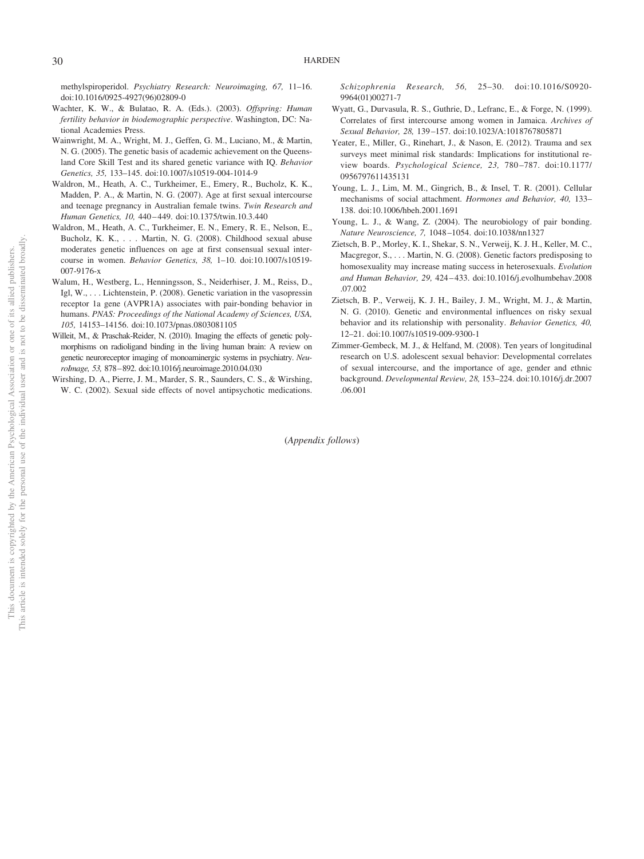methylspiroperidol. *Psychiatry Research: Neuroimaging, 67,* 11–16. doi:10.1016/0925-4927(96)02809-0

- Wachter, K. W., & Bulatao, R. A. (Eds.). (2003). *Offspring: Human fertility behavior in biodemographic perspective*. Washington, DC: National Academies Press.
- Wainwright, M. A., Wright, M. J., Geffen, G. M., Luciano, M., & Martin, N. G. (2005). The genetic basis of academic achievement on the Queensland Core Skill Test and its shared genetic variance with IQ. *Behavior Genetics, 35,* 133–145. doi:10.1007/s10519-004-1014-9
- Waldron, M., Heath, A. C., Turkheimer, E., Emery, R., Bucholz, K. K., Madden, P. A., & Martin, N. G. (2007). Age at first sexual intercourse and teenage pregnancy in Australian female twins. *Twin Research and Human Genetics, 10,* 440 – 449. doi:10.1375/twin.10.3.440
- Waldron, M., Heath, A. C., Turkheimer, E. N., Emery, R. E., Nelson, E., Bucholz, K. K., . . . Martin, N. G. (2008). Childhood sexual abuse moderates genetic influences on age at first consensual sexual intercourse in women. *Behavior Genetics, 38,* 1–10. doi:10.1007/s10519- 007-9176-x
- Walum, H., Westberg, L., Henningsson, S., Neiderhiser, J. M., Reiss, D., Igl, W., ... Lichtenstein, P. (2008). Genetic variation in the vasopressin receptor 1a gene (AVPR1A) associates with pair-bonding behavior in humans. *PNAS: Proceedings of the National Academy of Sciences, USA, 105,* 14153–14156. doi:10.1073/pnas.0803081105
- Willeit, M., & Praschak-Reider, N. (2010). Imaging the effects of genetic polymorphisms on radioligand binding in the living human brain: A review on genetic neuroreceptor imaging of monoaminergic systems in psychiatry. *NeuroImage, 53,* 878–892. doi:10.1016/j.neuroimage.2010.04.030
- Wirshing, D. A., Pierre, J. M., Marder, S. R., Saunders, C. S., & Wirshing, W. C. (2002). Sexual side effects of novel antipsychotic medications.

*Schizophrenia Research, 56,* 25–30. doi:10.1016/S0920- 9964(01)00271-7

- Wyatt, G., Durvasula, R. S., Guthrie, D., Lefranc, E., & Forge, N. (1999). Correlates of first intercourse among women in Jamaica. *Archives of Sexual Behavior, 28,* 139 –157. doi:10.1023/A:1018767805871
- Yeater, E., Miller, G., Rinehart, J., & Nason, E. (2012). Trauma and sex surveys meet minimal risk standards: Implications for institutional review boards. *Psychological Science, 23,* 780 –787. doi:10.1177/ 0956797611435131
- Young, L. J., Lim, M. M., Gingrich, B., & Insel, T. R. (2001). Cellular mechanisms of social attachment. *Hormones and Behavior, 40,* 133– 138. doi:10.1006/hbeh.2001.1691
- Young, L. J., & Wang, Z. (2004). The neurobiology of pair bonding. *Nature Neuroscience, 7,* 1048 –1054. doi:10.1038/nn1327
- Zietsch, B. P., Morley, K. I., Shekar, S. N., Verweij, K. J. H., Keller, M. C., Macgregor, S.,... Martin, N. G. (2008). Genetic factors predisposing to homosexuality may increase mating success in heterosexuals. *Evolution and Human Behavior, 29,* 424 – 433. doi:10.1016/j.evolhumbehav.2008 .07.002
- Zietsch, B. P., Verweij, K. J. H., Bailey, J. M., Wright, M. J., & Martin, N. G. (2010). Genetic and environmental influences on risky sexual behavior and its relationship with personality. *Behavior Genetics, 40,* 12–21. doi:10.1007/s10519-009-9300-1
- Zimmer-Gembeck, M. J., & Helfand, M. (2008). Ten years of longitudinal research on U.S. adolescent sexual behavior: Developmental correlates of sexual intercourse, and the importance of age, gender and ethnic background. *Developmental Review, 28,* 153–224. doi:10.1016/j.dr.2007 .06.001

(*Appendix follows*)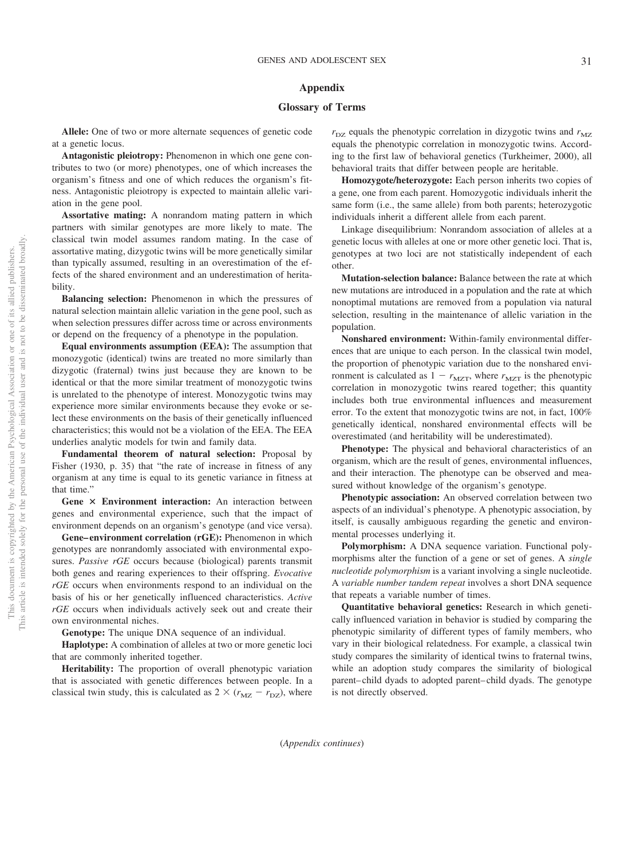#### **Appendix**

#### **Glossary of Terms**

**Allele:** One of two or more alternate sequences of genetic code at a genetic locus.

**Antagonistic pleiotropy:** Phenomenon in which one gene contributes to two (or more) phenotypes, one of which increases the organism's fitness and one of which reduces the organism's fitness. Antagonistic pleiotropy is expected to maintain allelic variation in the gene pool.

**Assortative mating:** A nonrandom mating pattern in which partners with similar genotypes are more likely to mate. The classical twin model assumes random mating. In the case of assortative mating, dizygotic twins will be more genetically similar than typically assumed, resulting in an overestimation of the effects of the shared environment and an underestimation of heritability.

**Balancing selection:** Phenomenon in which the pressures of natural selection maintain allelic variation in the gene pool, such as when selection pressures differ across time or across environments or depend on the frequency of a phenotype in the population.

**Equal environments assumption (EEA):** The assumption that monozygotic (identical) twins are treated no more similarly than dizygotic (fraternal) twins just because they are known to be identical or that the more similar treatment of monozygotic twins is unrelated to the phenotype of interest. Monozygotic twins may experience more similar environments because they evoke or select these environments on the basis of their genetically influenced characteristics; this would not be a violation of the EEA. The EEA underlies analytic models for twin and family data.

**Fundamental theorem of natural selection:** Proposal by Fisher (1930, p. 35) that "the rate of increase in fitness of any organism at any time is equal to its genetic variance in fitness at that time."

Gene  $\times$  Environment interaction: An interaction between genes and environmental experience, such that the impact of environment depends on an organism's genotype (and vice versa).

**Gene– environment correlation (rGE):** Phenomenon in which genotypes are nonrandomly associated with environmental exposures. *Passive rGE* occurs because (biological) parents transmit both genes and rearing experiences to their offspring. *Evocative rGE* occurs when environments respond to an individual on the basis of his or her genetically influenced characteristics. *Active rGE* occurs when individuals actively seek out and create their own environmental niches.

**Genotype:** The unique DNA sequence of an individual.

**Haplotype:** A combination of alleles at two or more genetic loci that are commonly inherited together.

**Heritability:** The proportion of overall phenotypic variation that is associated with genetic differences between people. In a classical twin study, this is calculated as  $2 \times (r_{\text{MZ}} - r_{\text{DZ}})$ , where

 $r_{\text{DZ}}$  equals the phenotypic correlation in dizygotic twins and  $r_{\text{MZ}}$ equals the phenotypic correlation in monozygotic twins. According to the first law of behavioral genetics (Turkheimer, 2000), all behavioral traits that differ between people are heritable.

**Homozygote/heterozygote:** Each person inherits two copies of a gene, one from each parent. Homozygotic individuals inherit the same form (i.e., the same allele) from both parents; heterozygotic individuals inherit a different allele from each parent.

Linkage disequilibrium: Nonrandom association of alleles at a genetic locus with alleles at one or more other genetic loci. That is, genotypes at two loci are not statistically independent of each other.

**Mutation-selection balance:** Balance between the rate at which new mutations are introduced in a population and the rate at which nonoptimal mutations are removed from a population via natural selection, resulting in the maintenance of allelic variation in the population.

**Nonshared environment:** Within-family environmental differences that are unique to each person. In the classical twin model, the proportion of phenotypic variation due to the nonshared environment is calculated as  $1 - r_{\text{MZT}}$ , where  $r_{\text{MZT}}$  is the phenotypic correlation in monozygotic twins reared together; this quantity includes both true environmental influences and measurement error. To the extent that monozygotic twins are not, in fact, 100% genetically identical, nonshared environmental effects will be overestimated (and heritability will be underestimated).

**Phenotype:** The physical and behavioral characteristics of an organism, which are the result of genes, environmental influences, and their interaction. The phenotype can be observed and measured without knowledge of the organism's genotype.

**Phenotypic association:** An observed correlation between two aspects of an individual's phenotype. A phenotypic association, by itself, is causally ambiguous regarding the genetic and environmental processes underlying it.

**Polymorphism:** A DNA sequence variation. Functional polymorphisms alter the function of a gene or set of genes. A *single nucleotide polymorphism* is a variant involving a single nucleotide. A *variable number tandem repeat* involves a short DNA sequence that repeats a variable number of times.

**Quantitative behavioral genetics:** Research in which genetically influenced variation in behavior is studied by comparing the phenotypic similarity of different types of family members, who vary in their biological relatedness. For example, a classical twin study compares the similarity of identical twins to fraternal twins, while an adoption study compares the similarity of biological parent– child dyads to adopted parent– child dyads. The genotype is not directly observed.

(*Appendix continues*)